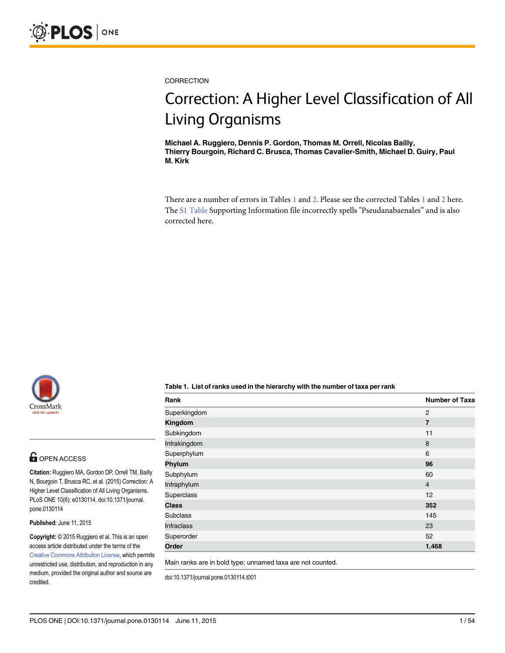<span id="page-0-0"></span>

**CORRECTION** 

# Correction: A Higher Level Classification of All

ے کی کہ کا کہ ہے۔<br>Michael A. Ruggiero, Dennis P. Gordon, Thomas M. Orrell, Nicolas Bailly, Thierry Bourgoin, Richard C. Brusca, Thomas Cavalier-Smith, Michael D. Guiry, Paul M. Kirk

There are a number of errors in Tables  $1$  and  $2$ . Please see the corrected Tables  $1$  and  $2$  here. The [S1 Table](#page-53-0) Supporting Information file incorrectly spells "Pseudanabaenales" and is also corrected here.



### **G** OPEN ACCESS

Citation: Ruggiero MA, Gordon DP, Orrell TM, Bailly N, Bourgoin T, Brusca RC, et al. (2015) Correction: A Higher Level Classification of All Living Organisms. PLoS ONE 10(6): e0130114. doi:10.1371/journal. pone.0130114

Published: June 11, 2015

Copyright: © 2015 Ruggiero et al. This is an open access article distributed under the terms of the [Creative Commons Attribution License,](http://creativecommons.org/licenses/by/4.0/) which permits unrestricted use, distribution, and reproduction in any medium, provided the original author and source are credited.

Table 1. List of ranks used in the hierarchy with the number of taxa per rank

| Rank              | <b>Number of Taxa</b> |
|-------------------|-----------------------|
| Superkingdom      | $\overline{2}$        |
| Kingdom           | $\overline{7}$        |
| Subkingdom        | 11                    |
| Infrakingdom      | 8                     |
| Superphylum       | 6                     |
| Phylum            | 96                    |
| Subphylum         | 60                    |
| Infraphylum       | $\overline{4}$        |
| Superclass        | 12                    |
| <b>Class</b>      | 352                   |
| <b>Subclass</b>   | 145                   |
| <b>Infraclass</b> | 23                    |
| Superorder        | 52                    |
| Order             | 1,468                 |

Main ranks are in bold type; unnamed taxa are not counted.

doi:10.1371/journal.pone.0130114.t001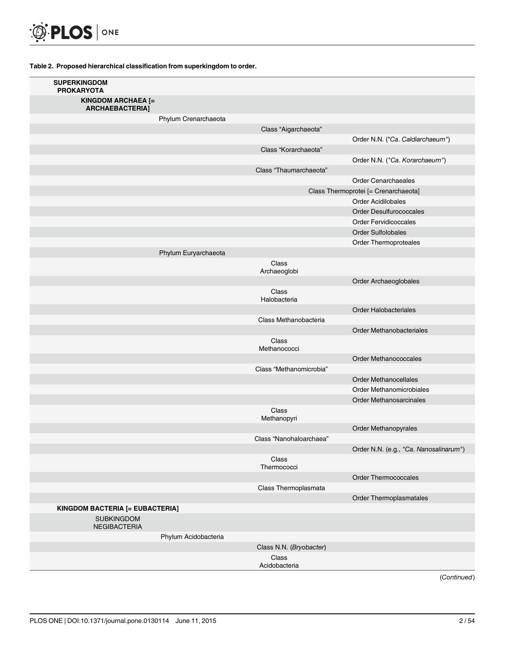<span id="page-1-0"></span>

| <b>SUPERKINGDOM</b><br><b>PROKARYOTA</b>     |                      |                         |                                        |
|----------------------------------------------|----------------------|-------------------------|----------------------------------------|
| <b>KINGDOM ARCHAEA [=</b><br>ARCHAEBACTERIA] |                      |                         |                                        |
|                                              | Phylum Crenarchaeota |                         |                                        |
|                                              |                      | Class "Aigarchaeota"    |                                        |
|                                              |                      |                         | Order N.N. ("Ca. Caldiarchaeum")       |
|                                              |                      | Class "Korarchaeota"    |                                        |
|                                              |                      |                         | Order N.N. ("Ca. Korarchaeum")         |
|                                              |                      | Class "Thaumarchaeota"  |                                        |
|                                              |                      |                         | <b>Order Cenarchaeales</b>             |
|                                              |                      |                         | Class Thermoprotei [= Crenarchaeota]   |
|                                              |                      |                         | <b>Order Acidilobales</b>              |
|                                              |                      |                         | <b>Order Desulfurococcales</b>         |
|                                              |                      |                         | <b>Order Fervidicoccales</b>           |
|                                              |                      |                         | <b>Order Sulfolobales</b>              |
|                                              |                      |                         | Order Thermoproteales                  |
|                                              | Phylum Euryarchaeota |                         |                                        |
|                                              |                      | Class<br>Archaeoglobi   |                                        |
|                                              |                      |                         | Order Archaeoglobales                  |
|                                              |                      | Class<br>Halobacteria   |                                        |
|                                              |                      |                         | <b>Order Halobacteriales</b>           |
|                                              |                      | Class Methanobacteria   |                                        |
|                                              |                      |                         | <b>Order Methanobacteriales</b>        |
|                                              |                      | Class<br>Methanococci   |                                        |
|                                              |                      |                         | Order Methanococcales                  |
|                                              |                      | Class "Methanomicrobia" |                                        |
|                                              |                      |                         | <b>Order Methanocellales</b>           |
|                                              |                      |                         | Order Methanomicrobiales               |
|                                              |                      |                         | <b>Order Methanosarcinales</b>         |
|                                              |                      | Class<br>Methanopyri    |                                        |
|                                              |                      |                         | Order Methanopyrales                   |
|                                              |                      | Class "Nanohaloarchaea" |                                        |
|                                              |                      |                         | Order N.N. (e.g., "Ca. Nanosalinarum") |
|                                              |                      | Class<br>Thermococci    |                                        |
|                                              |                      |                         | <b>Order Thermococcales</b>            |
|                                              |                      | Class Thermoplasmata    |                                        |
|                                              |                      |                         | Order Thermoplasmatales                |
| KINGDOM BACTERIA [= EUBACTERIA]              |                      |                         |                                        |
| <b>SUBKINGDOM</b><br>NEGIBACTERIA            |                      |                         |                                        |
|                                              | Phylum Acidobacteria |                         |                                        |
|                                              |                      | Class N.N. (Bryobacter) |                                        |
|                                              |                      | Class<br>Acidobacteria  |                                        |
|                                              |                      |                         | (Continued)                            |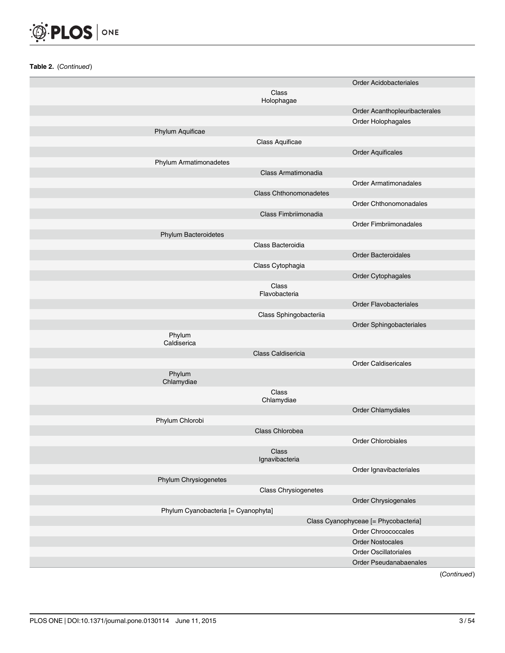

| <b>Order Acidobacteriales</b><br>Class<br>Holophagae<br>Order Acanthopleuribacterales<br>Order Holophagales<br>Phylum Aquificae<br>Class Aquificae<br><b>Order Aquificales</b><br>Phylum Armatimonadetes<br>Class Armatimonadia<br><b>Order Armatimonadales</b><br><b>Class Chthonomonadetes</b><br>Order Chthonomonadales<br>Class Fimbriimonadia<br>Order Fimbriimonadales<br>Phylum Bacteroidetes<br>Class Bacteroidia<br><b>Order Bacteroidales</b><br>Class Cytophagia<br>Order Cytophagales<br>Class<br>Flavobacteria<br><b>Order Flavobacteriales</b><br>Class Sphingobacteriia<br>Order Sphingobacteriales<br>Phylum<br>Caldiserica<br>Class Caldisericia<br><b>Order Caldisericales</b><br>Phylum<br>Chlamydiae<br>Class<br>Chlamydiae<br>Order Chlamydiales<br>Phylum Chlorobi<br>Class Chlorobea<br><b>Order Chlorobiales</b><br>Class<br>Ignavibacteria<br>Order Ignavibacteriales<br>Phylum Chrysiogenetes<br><b>Class Chrysiogenetes</b><br>Order Chrysiogenales<br>Phylum Cyanobacteria [= Cyanophyta]<br>Class Cyanophyceae [= Phycobacteria]<br>Order Chroococcales<br><b>Order Nostocales</b><br>Order Oscillatoriales<br>Order Pseudanabaenales |  |  |
|--------------------------------------------------------------------------------------------------------------------------------------------------------------------------------------------------------------------------------------------------------------------------------------------------------------------------------------------------------------------------------------------------------------------------------------------------------------------------------------------------------------------------------------------------------------------------------------------------------------------------------------------------------------------------------------------------------------------------------------------------------------------------------------------------------------------------------------------------------------------------------------------------------------------------------------------------------------------------------------------------------------------------------------------------------------------------------------------------------------------------------------------------------------------|--|--|
|                                                                                                                                                                                                                                                                                                                                                                                                                                                                                                                                                                                                                                                                                                                                                                                                                                                                                                                                                                                                                                                                                                                                                                    |  |  |
|                                                                                                                                                                                                                                                                                                                                                                                                                                                                                                                                                                                                                                                                                                                                                                                                                                                                                                                                                                                                                                                                                                                                                                    |  |  |
|                                                                                                                                                                                                                                                                                                                                                                                                                                                                                                                                                                                                                                                                                                                                                                                                                                                                                                                                                                                                                                                                                                                                                                    |  |  |
|                                                                                                                                                                                                                                                                                                                                                                                                                                                                                                                                                                                                                                                                                                                                                                                                                                                                                                                                                                                                                                                                                                                                                                    |  |  |
|                                                                                                                                                                                                                                                                                                                                                                                                                                                                                                                                                                                                                                                                                                                                                                                                                                                                                                                                                                                                                                                                                                                                                                    |  |  |
|                                                                                                                                                                                                                                                                                                                                                                                                                                                                                                                                                                                                                                                                                                                                                                                                                                                                                                                                                                                                                                                                                                                                                                    |  |  |
|                                                                                                                                                                                                                                                                                                                                                                                                                                                                                                                                                                                                                                                                                                                                                                                                                                                                                                                                                                                                                                                                                                                                                                    |  |  |
|                                                                                                                                                                                                                                                                                                                                                                                                                                                                                                                                                                                                                                                                                                                                                                                                                                                                                                                                                                                                                                                                                                                                                                    |  |  |
|                                                                                                                                                                                                                                                                                                                                                                                                                                                                                                                                                                                                                                                                                                                                                                                                                                                                                                                                                                                                                                                                                                                                                                    |  |  |
|                                                                                                                                                                                                                                                                                                                                                                                                                                                                                                                                                                                                                                                                                                                                                                                                                                                                                                                                                                                                                                                                                                                                                                    |  |  |
|                                                                                                                                                                                                                                                                                                                                                                                                                                                                                                                                                                                                                                                                                                                                                                                                                                                                                                                                                                                                                                                                                                                                                                    |  |  |
|                                                                                                                                                                                                                                                                                                                                                                                                                                                                                                                                                                                                                                                                                                                                                                                                                                                                                                                                                                                                                                                                                                                                                                    |  |  |
|                                                                                                                                                                                                                                                                                                                                                                                                                                                                                                                                                                                                                                                                                                                                                                                                                                                                                                                                                                                                                                                                                                                                                                    |  |  |
|                                                                                                                                                                                                                                                                                                                                                                                                                                                                                                                                                                                                                                                                                                                                                                                                                                                                                                                                                                                                                                                                                                                                                                    |  |  |
|                                                                                                                                                                                                                                                                                                                                                                                                                                                                                                                                                                                                                                                                                                                                                                                                                                                                                                                                                                                                                                                                                                                                                                    |  |  |
|                                                                                                                                                                                                                                                                                                                                                                                                                                                                                                                                                                                                                                                                                                                                                                                                                                                                                                                                                                                                                                                                                                                                                                    |  |  |
|                                                                                                                                                                                                                                                                                                                                                                                                                                                                                                                                                                                                                                                                                                                                                                                                                                                                                                                                                                                                                                                                                                                                                                    |  |  |
|                                                                                                                                                                                                                                                                                                                                                                                                                                                                                                                                                                                                                                                                                                                                                                                                                                                                                                                                                                                                                                                                                                                                                                    |  |  |
|                                                                                                                                                                                                                                                                                                                                                                                                                                                                                                                                                                                                                                                                                                                                                                                                                                                                                                                                                                                                                                                                                                                                                                    |  |  |
|                                                                                                                                                                                                                                                                                                                                                                                                                                                                                                                                                                                                                                                                                                                                                                                                                                                                                                                                                                                                                                                                                                                                                                    |  |  |
|                                                                                                                                                                                                                                                                                                                                                                                                                                                                                                                                                                                                                                                                                                                                                                                                                                                                                                                                                                                                                                                                                                                                                                    |  |  |
|                                                                                                                                                                                                                                                                                                                                                                                                                                                                                                                                                                                                                                                                                                                                                                                                                                                                                                                                                                                                                                                                                                                                                                    |  |  |
|                                                                                                                                                                                                                                                                                                                                                                                                                                                                                                                                                                                                                                                                                                                                                                                                                                                                                                                                                                                                                                                                                                                                                                    |  |  |
|                                                                                                                                                                                                                                                                                                                                                                                                                                                                                                                                                                                                                                                                                                                                                                                                                                                                                                                                                                                                                                                                                                                                                                    |  |  |
|                                                                                                                                                                                                                                                                                                                                                                                                                                                                                                                                                                                                                                                                                                                                                                                                                                                                                                                                                                                                                                                                                                                                                                    |  |  |
|                                                                                                                                                                                                                                                                                                                                                                                                                                                                                                                                                                                                                                                                                                                                                                                                                                                                                                                                                                                                                                                                                                                                                                    |  |  |
|                                                                                                                                                                                                                                                                                                                                                                                                                                                                                                                                                                                                                                                                                                                                                                                                                                                                                                                                                                                                                                                                                                                                                                    |  |  |
|                                                                                                                                                                                                                                                                                                                                                                                                                                                                                                                                                                                                                                                                                                                                                                                                                                                                                                                                                                                                                                                                                                                                                                    |  |  |
|                                                                                                                                                                                                                                                                                                                                                                                                                                                                                                                                                                                                                                                                                                                                                                                                                                                                                                                                                                                                                                                                                                                                                                    |  |  |
|                                                                                                                                                                                                                                                                                                                                                                                                                                                                                                                                                                                                                                                                                                                                                                                                                                                                                                                                                                                                                                                                                                                                                                    |  |  |
|                                                                                                                                                                                                                                                                                                                                                                                                                                                                                                                                                                                                                                                                                                                                                                                                                                                                                                                                                                                                                                                                                                                                                                    |  |  |
|                                                                                                                                                                                                                                                                                                                                                                                                                                                                                                                                                                                                                                                                                                                                                                                                                                                                                                                                                                                                                                                                                                                                                                    |  |  |
|                                                                                                                                                                                                                                                                                                                                                                                                                                                                                                                                                                                                                                                                                                                                                                                                                                                                                                                                                                                                                                                                                                                                                                    |  |  |
|                                                                                                                                                                                                                                                                                                                                                                                                                                                                                                                                                                                                                                                                                                                                                                                                                                                                                                                                                                                                                                                                                                                                                                    |  |  |
|                                                                                                                                                                                                                                                                                                                                                                                                                                                                                                                                                                                                                                                                                                                                                                                                                                                                                                                                                                                                                                                                                                                                                                    |  |  |
|                                                                                                                                                                                                                                                                                                                                                                                                                                                                                                                                                                                                                                                                                                                                                                                                                                                                                                                                                                                                                                                                                                                                                                    |  |  |
|                                                                                                                                                                                                                                                                                                                                                                                                                                                                                                                                                                                                                                                                                                                                                                                                                                                                                                                                                                                                                                                                                                                                                                    |  |  |
|                                                                                                                                                                                                                                                                                                                                                                                                                                                                                                                                                                                                                                                                                                                                                                                                                                                                                                                                                                                                                                                                                                                                                                    |  |  |
|                                                                                                                                                                                                                                                                                                                                                                                                                                                                                                                                                                                                                                                                                                                                                                                                                                                                                                                                                                                                                                                                                                                                                                    |  |  |
|                                                                                                                                                                                                                                                                                                                                                                                                                                                                                                                                                                                                                                                                                                                                                                                                                                                                                                                                                                                                                                                                                                                                                                    |  |  |
|                                                                                                                                                                                                                                                                                                                                                                                                                                                                                                                                                                                                                                                                                                                                                                                                                                                                                                                                                                                                                                                                                                                                                                    |  |  |
|                                                                                                                                                                                                                                                                                                                                                                                                                                                                                                                                                                                                                                                                                                                                                                                                                                                                                                                                                                                                                                                                                                                                                                    |  |  |
|                                                                                                                                                                                                                                                                                                                                                                                                                                                                                                                                                                                                                                                                                                                                                                                                                                                                                                                                                                                                                                                                                                                                                                    |  |  |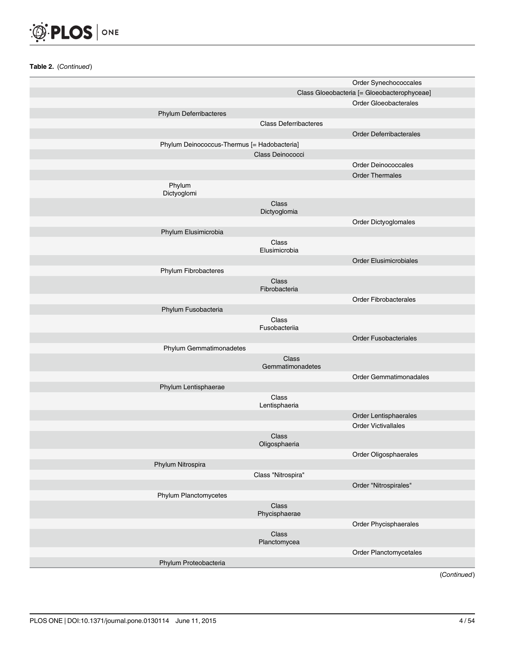

|                                             |                              | Order Synechococcales                       |
|---------------------------------------------|------------------------------|---------------------------------------------|
|                                             |                              | Class Gloeobacteria [= Gloeobacterophyceae] |
|                                             |                              | Order Gloeobacterales                       |
| Phylum Deferribacteres                      |                              |                                             |
|                                             | <b>Class Deferribacteres</b> |                                             |
|                                             |                              | <b>Order Deferribacterales</b>              |
| Phylum Deinococcus-Thermus [= Hadobacteria] |                              |                                             |
|                                             | Class Deinococci             |                                             |
|                                             |                              | <b>Order Deinococcales</b>                  |
|                                             |                              | <b>Order Thermales</b>                      |
| Phylum<br>Dictyoglomi                       |                              |                                             |
|                                             | Class<br>Dictyoglomia        |                                             |
|                                             |                              | Order Dictyoglomales                        |
| Phylum Elusimicrobia                        |                              |                                             |
|                                             | Class<br>Elusimicrobia       |                                             |
|                                             |                              | <b>Order Elusimicrobiales</b>               |
| Phylum Fibrobacteres                        |                              |                                             |
|                                             | Class<br>Fibrobacteria       |                                             |
|                                             |                              | <b>Order Fibrobacterales</b>                |
| Phylum Fusobacteria                         |                              |                                             |
|                                             | Class<br>Fusobacteriia       |                                             |
|                                             |                              | <b>Order Fusobacteriales</b>                |
| Phylum Gemmatimonadetes                     |                              |                                             |
|                                             | Class<br>Gemmatimonadetes    |                                             |
|                                             |                              | Order Gemmatimonadales                      |
| Phylum Lentisphaerae                        |                              |                                             |
|                                             | Class<br>Lentisphaeria       |                                             |
|                                             |                              | Order Lentisphaerales                       |
|                                             |                              | <b>Order Victivallales</b>                  |
|                                             | Class<br>Oligosphaeria       |                                             |
|                                             |                              | Order Oligosphaerales                       |
| Phylum Nitrospira                           |                              |                                             |
|                                             | Class "Nitrospira"           |                                             |
|                                             |                              | Order "Nitrospirales"                       |
| Phylum Planctomycetes                       |                              |                                             |
|                                             | Class<br>Phycisphaerae       |                                             |
|                                             |                              | Order Phycisphaerales                       |
|                                             | Class<br>Planctomycea        |                                             |
|                                             |                              | Order Planctomycetales                      |
| Phylum Proteobacteria                       |                              |                                             |
|                                             |                              | (Continued)                                 |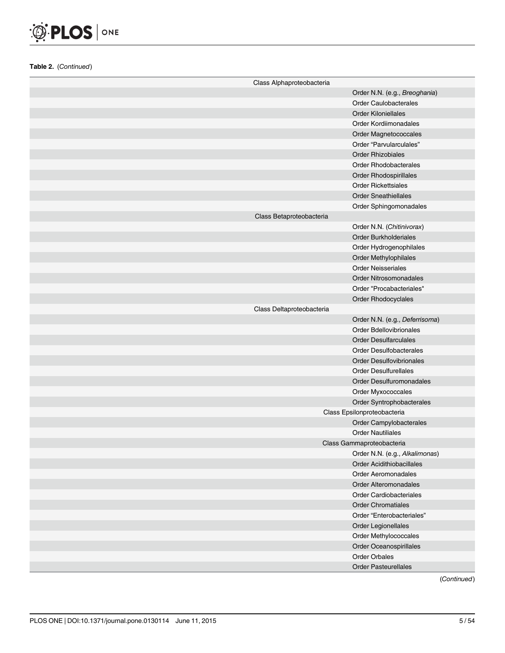

| Class Alphaproteobacteria |                                  |
|---------------------------|----------------------------------|
|                           | Order N.N. (e.g., Breoghania)    |
|                           | <b>Order Caulobacterales</b>     |
|                           | <b>Order Kiloniellales</b>       |
|                           | Order Kordiimonadales            |
|                           | Order Magnetococcales            |
|                           | Order "Parvularculales"          |
|                           | <b>Order Rhizobiales</b>         |
|                           | <b>Order Rhodobacterales</b>     |
|                           | <b>Order Rhodospirillales</b>    |
|                           | <b>Order Rickettsiales</b>       |
|                           | <b>Order Sneathiellales</b>      |
|                           | Order Sphingomonadales           |
| Class Betaproteobacteria  |                                  |
|                           | Order N.N. (Chitinivorax)        |
|                           | <b>Order Burkholderiales</b>     |
|                           | Order Hydrogenophilales          |
|                           | Order Methylophilales            |
|                           | <b>Order Neisseriales</b>        |
|                           | <b>Order Nitrosomonadales</b>    |
|                           | Order "Procabacteriales"         |
|                           | Order Rhodocyclales              |
| Class Deltaproteobacteria |                                  |
|                           | Order N.N. (e.g., Deferrisoma)   |
|                           | <b>Order Bdellovibrionales</b>   |
|                           | <b>Order Desulfarculales</b>     |
|                           | <b>Order Desulfobacterales</b>   |
|                           | <b>Order Desulfovibrionales</b>  |
|                           | <b>Order Desulfurellales</b>     |
|                           | Order Desulfuromonadales         |
|                           | Order Myxococcales               |
|                           | Order Syntrophobacterales        |
|                           | Class Epsilonproteobacteria      |
|                           | Order Campylobacterales          |
|                           | <b>Order Nautiliales</b>         |
|                           | Class Gammaproteobacteria        |
|                           | Order N.N. (e.g., Alkalimonas)   |
|                           | <b>Order Acidithiobacillales</b> |
|                           | <b>Order Aeromonadales</b>       |
|                           | <b>Order Alteromonadales</b>     |
|                           | <b>Order Cardiobacteriales</b>   |
|                           | <b>Order Chromatiales</b>        |
|                           | Order "Enterobacteriales"        |
|                           | Order Legionellales              |
|                           | Order Methylococcales            |
|                           | Order Oceanospirillales          |
|                           | <b>Order Orbales</b>             |
|                           | <b>Order Pasteurellales</b>      |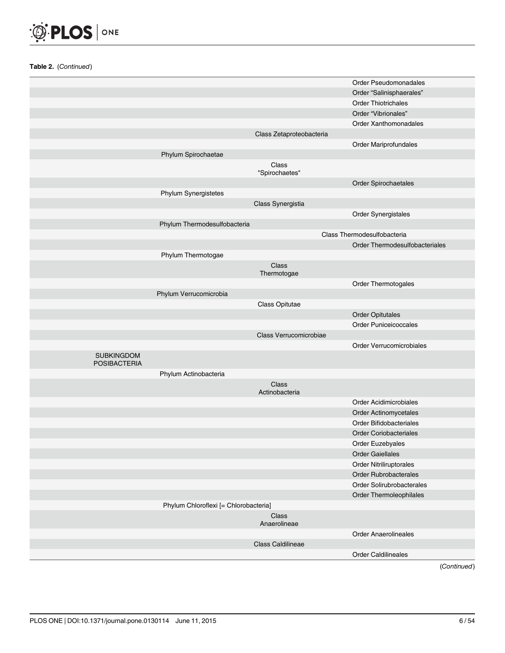

|                                          |                          | <b>Order Caldilineales</b>     |
|------------------------------------------|--------------------------|--------------------------------|
|                                          | Class Caldilineae        | <b>Order Anaerolineales</b>    |
|                                          | Anaerolineae             |                                |
|                                          | Class                    |                                |
| Phylum Chloroflexi [= Chlorobacteria]    |                          |                                |
|                                          |                          | Order Thermoleophilales        |
|                                          |                          | Order Solirubrobacterales      |
|                                          |                          | <b>Order Rubrobacterales</b>   |
|                                          |                          | <b>Order Nitriliruptorales</b> |
|                                          |                          | <b>Order Gaiellales</b>        |
|                                          |                          | Order Euzebyales               |
|                                          |                          | <b>Order Coriobacteriales</b>  |
|                                          |                          | Order Bifidobacteriales        |
|                                          |                          | Order Actinomycetales          |
|                                          |                          | Order Acidimicrobiales         |
|                                          | Actinobacteria           |                                |
|                                          | Class                    |                                |
| Phylum Actinobacteria                    |                          |                                |
| <b>SUBKINGDOM</b><br><b>POSIBACTERIA</b> |                          |                                |
|                                          |                          | Order Verrucomicrobiales       |
|                                          | Class Verrucomicrobiae   |                                |
|                                          |                          | Order Puniceicoccales          |
|                                          |                          | <b>Order Opitutales</b>        |
|                                          | Class Opitutae           |                                |
| Phylum Verrucomicrobia                   |                          |                                |
|                                          |                          | Order Thermotogales            |
|                                          | Thermotogae              |                                |
|                                          | Class                    |                                |
| Phylum Thermotogae                       |                          |                                |
|                                          |                          | Order Thermodesulfobacteriales |
|                                          |                          | Class Thermodesulfobacteria    |
| Phylum Thermodesulfobacteria             |                          | Order Synergistales            |
|                                          | Class Synergistia        |                                |
| Phylum Synergistetes                     |                          |                                |
|                                          |                          | Order Spirochaetales           |
|                                          | "Spirochaetes"           |                                |
|                                          | Class                    |                                |
| Phylum Spirochaetae                      |                          |                                |
|                                          |                          | Order Mariprofundales          |
|                                          | Class Zetaproteobacteria |                                |
|                                          |                          | Order Xanthomonadales          |
|                                          |                          | Order "Vibrionales"            |
|                                          |                          | <b>Order Thiotrichales</b>     |
|                                          |                          | Order "Salinisphaerales"       |
|                                          |                          | Order Pseudomonadales          |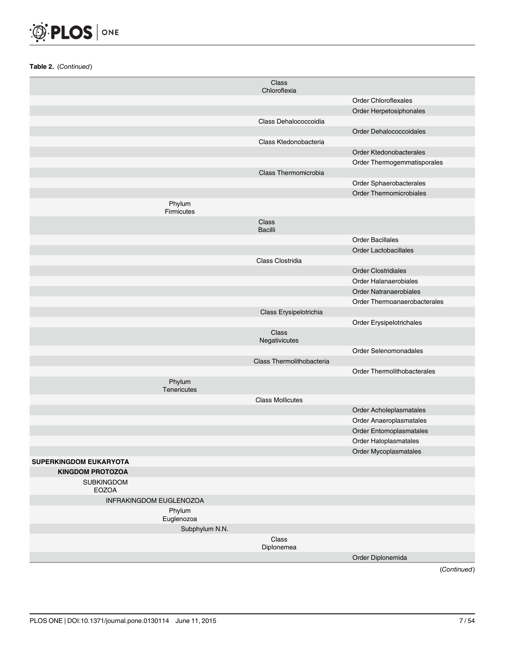

|                                   |                             | Class<br>Chloroflexia     |                                |
|-----------------------------------|-----------------------------|---------------------------|--------------------------------|
|                                   |                             |                           | <b>Order Chloroflexales</b>    |
|                                   |                             |                           | Order Herpetosiphonales        |
|                                   |                             | Class Dehalococcoidia     |                                |
|                                   |                             |                           | Order Dehalococcoidales        |
|                                   |                             | Class Ktedonobacteria     |                                |
|                                   |                             |                           | Order Ktedonobacterales        |
|                                   |                             |                           | Order Thermogemmatisporales    |
|                                   |                             | Class Thermomicrobia      |                                |
|                                   |                             |                           | Order Sphaerobacterales        |
|                                   |                             |                           | <b>Order Thermomicrobiales</b> |
|                                   | Phylum<br><b>Firmicutes</b> |                           |                                |
|                                   |                             | Class<br><b>Bacilli</b>   |                                |
|                                   |                             |                           | <b>Order Bacillales</b>        |
|                                   |                             |                           | <b>Order Lactobacillales</b>   |
|                                   |                             | Class Clostridia          |                                |
|                                   |                             |                           | <b>Order Clostridiales</b>     |
|                                   |                             |                           | <b>Order Halanaerobiales</b>   |
|                                   |                             |                           | <b>Order Natranaerobiales</b>  |
|                                   |                             |                           | Order Thermoanaerobacterales   |
|                                   |                             | Class Erysipelotrichia    |                                |
|                                   |                             |                           | Order Erysipelotrichales       |
|                                   |                             | Class<br>Negativicutes    |                                |
|                                   |                             |                           | Order Selenomonadales          |
|                                   |                             | Class Thermolithobacteria |                                |
|                                   |                             |                           | Order Thermolithobacterales    |
|                                   | Phylum<br>Tenericutes       |                           |                                |
|                                   |                             | <b>Class Mollicutes</b>   |                                |
|                                   |                             |                           | Order Acholeplasmatales        |
|                                   |                             |                           | Order Anaeroplasmatales        |
|                                   |                             |                           | Order Entomoplasmatales        |
|                                   |                             |                           | Order Haloplasmatales          |
|                                   |                             |                           | Order Mycoplasmatales          |
| <b>SUPERKINGDOM EUKARYOTA</b>     |                             |                           |                                |
| <b>KINGDOM PROTOZOA</b>           |                             |                           |                                |
| <b>SUBKINGDOM</b><br><b>EOZOA</b> |                             |                           |                                |
| INFRAKINGDOM EUGLENOZOA           |                             |                           |                                |
|                                   | Phylum<br>Euglenozoa        |                           |                                |
|                                   | Subphylum N.N.              |                           |                                |
|                                   |                             | Class<br>Diplonemea       |                                |
|                                   |                             |                           | Order Diplonemida              |
|                                   |                             |                           | (Continued)                    |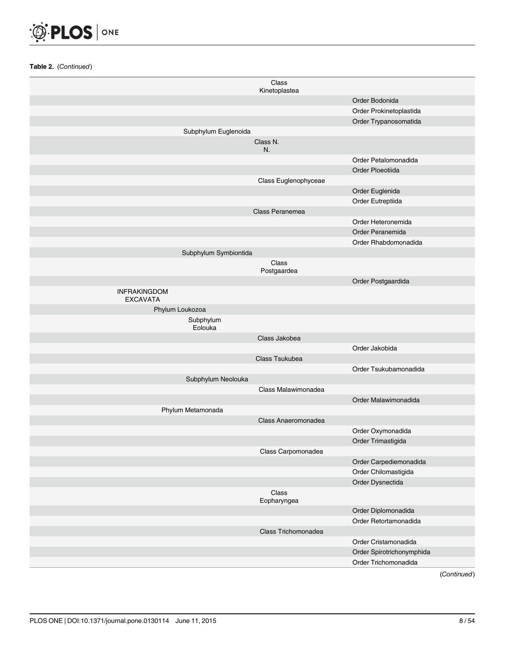

|                                        | Class<br>Kinetoplastea |                           |
|----------------------------------------|------------------------|---------------------------|
|                                        |                        | Order Bodonida            |
|                                        |                        | Order Prokinetoplastida   |
|                                        |                        | Order Trypanosomatida     |
|                                        | Subphylum Euglenoida   |                           |
|                                        | Class N.<br>N.         |                           |
|                                        |                        | Order Petalomonadida      |
|                                        |                        | Order Ploeotiida          |
|                                        | Class Euglenophyceae   |                           |
|                                        |                        | Order Euglenida           |
|                                        |                        | Order Eutreptiida         |
|                                        | Class Peranemea        |                           |
|                                        |                        | Order Heteronemida        |
|                                        |                        | Order Peranemida          |
|                                        |                        | Order Rhabdomonadida      |
|                                        | Subphylum Symbiontida  |                           |
|                                        | Class<br>Postgaardea   |                           |
|                                        |                        | Order Postgaardida        |
| <b>INFRAKINGDOM</b><br><b>EXCAVATA</b> |                        |                           |
| Phylum Loukozoa                        |                        |                           |
|                                        | Subphylum<br>Eolouka   |                           |
|                                        | Class Jakobea          |                           |
|                                        |                        | Order Jakobida            |
|                                        | Class Tsukubea         |                           |
|                                        |                        | Order Tsukubamonadida     |
|                                        | Subphylum Neolouka     |                           |
|                                        | Class Malawimonadea    |                           |
|                                        |                        | Order Malawimonadida      |
| Phylum Metamonada                      |                        |                           |
|                                        | Class Anaeromonadea    |                           |
|                                        |                        | Order Oxymonadida         |
|                                        |                        | Order Trimastigida        |
|                                        | Class Carpomonadea     |                           |
|                                        |                        | Order Carpediemonadida    |
|                                        |                        | Order Chilomastigida      |
|                                        |                        | Order Dysnectida          |
|                                        | Class<br>Eopharyngea   |                           |
|                                        |                        | Order Diplomonadida       |
|                                        |                        | Order Retortamonadida     |
|                                        | Class Trichomonadea    |                           |
|                                        |                        | Order Cristamonadida      |
|                                        |                        | Order Spirotrichonymphida |
|                                        |                        | Order Trichomonadida      |
|                                        |                        |                           |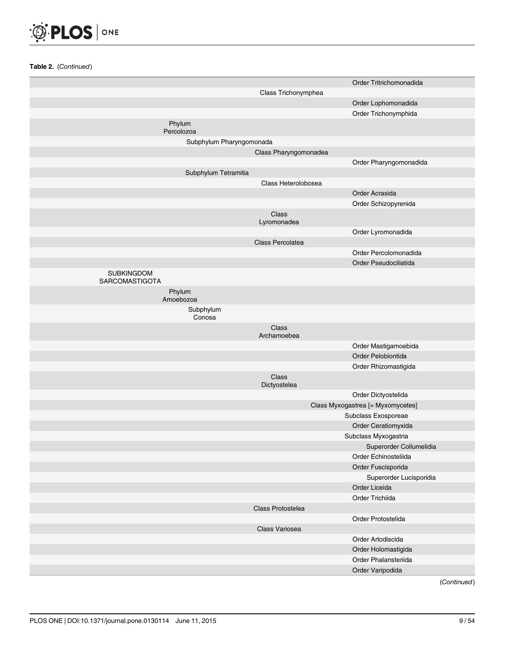

|                                     |                       | Order Tritrichomonadida           |
|-------------------------------------|-----------------------|-----------------------------------|
|                                     | Class Trichonymphea   |                                   |
|                                     |                       | Order Lophomonadida               |
|                                     |                       | Order Trichonymphida              |
| Phylum<br>Percolozoa                |                       |                                   |
| Subphylum Pharyngomonada            |                       |                                   |
|                                     | Class Pharyngomonadea |                                   |
|                                     |                       | Order Pharyngomonadida            |
| Subphylum Tetramitia                |                       |                                   |
|                                     | Class Heterolobosea   |                                   |
|                                     |                       | Order Acrasida                    |
|                                     |                       | Order Schizopyrenida              |
|                                     | Class<br>Lyromonadea  |                                   |
|                                     |                       | Order Lyromonadida                |
|                                     | Class Percolatea      |                                   |
|                                     |                       | Order Percolomonadida             |
|                                     |                       | Order Pseudociliatida             |
| <b>SUBKINGDOM</b><br>SARCOMASTIGOTA |                       |                                   |
| Phylum<br>Amoebozoa                 |                       |                                   |
| Subphylum<br>Conosa                 |                       |                                   |
|                                     | Class<br>Archamoebea  |                                   |
|                                     |                       | Order Mastigamoebida              |
|                                     |                       | Order Pelobiontida                |
|                                     |                       | Order Rhizomastigida              |
|                                     | Class<br>Dictyostelea |                                   |
|                                     |                       | Order Dictyostelida               |
|                                     |                       | Class Myxogastrea [= Myxomycetes] |
|                                     |                       | Subclass Exosporeae               |
|                                     |                       | Order Ceratiomyxida               |
|                                     |                       | Subclass Myxogastria              |
|                                     |                       | Superorder Collumelidia           |
|                                     |                       | Order Echinosteliida              |
|                                     |                       | Order Fuscisporida                |
|                                     |                       | Superorder Lucisporidia           |
|                                     |                       | Order Liceida                     |
|                                     |                       | Order Trichiida                   |
|                                     | Class Protostelea     |                                   |
|                                     |                       | Order Protostelida                |
|                                     | Class Variosea        |                                   |
|                                     |                       | Order Artodiscida                 |
|                                     |                       | Order Holomastigida               |
|                                     |                       | Order Phalansteriida              |
|                                     |                       | Order Varipodida                  |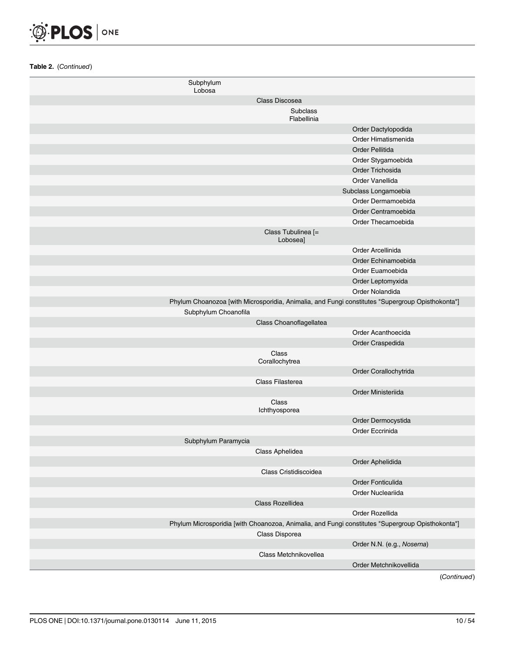| Subphylum<br>Lobosa  |                                |                                                                                                  |
|----------------------|--------------------------------|--------------------------------------------------------------------------------------------------|
|                      | Class Discosea                 |                                                                                                  |
|                      | Subclass                       |                                                                                                  |
|                      | Flabellinia                    |                                                                                                  |
|                      |                                | Order Dactylopodida                                                                              |
|                      |                                | Order Himatismenida                                                                              |
|                      |                                | Order Pellitida                                                                                  |
|                      |                                | Order Stygamoebida                                                                               |
|                      |                                | Order Trichosida                                                                                 |
|                      |                                | Order Vanellida                                                                                  |
|                      |                                | Subclass Longamoebia                                                                             |
|                      |                                | Order Dermamoebida                                                                               |
|                      |                                | Order Centramoebida                                                                              |
|                      |                                | Order Thecamoebida                                                                               |
|                      | Class Tubulinea [=<br>Lobosea] |                                                                                                  |
|                      |                                | Order Arcellinida                                                                                |
|                      |                                | Order Echinamoebida                                                                              |
|                      |                                | Order Euamoebida                                                                                 |
|                      |                                | Order Leptomyxida                                                                                |
|                      |                                | Order Nolandida                                                                                  |
|                      |                                | Phylum Choanozoa [with Microsporidia, Animalia, and Fungi constitutes "Supergroup Opisthokonta"] |
| Subphylum Choanofila |                                |                                                                                                  |
|                      | Class Choanoflagellatea        |                                                                                                  |
|                      |                                | Order Acanthoecida                                                                               |
|                      |                                | Order Craspedida                                                                                 |
|                      | Class<br>Corallochytrea        |                                                                                                  |
|                      |                                | Order Corallochytrida                                                                            |
|                      | Class Filasterea               |                                                                                                  |
|                      |                                | Order Ministeriida                                                                               |
|                      | Class<br>Ichthyosporea         |                                                                                                  |
|                      |                                | Order Dermocystida                                                                               |
|                      |                                | Order Eccrinida                                                                                  |
| Subphylum Paramycia  |                                |                                                                                                  |
|                      | Class Aphelidea                |                                                                                                  |
|                      |                                | Order Aphelidida                                                                                 |
|                      | Class Cristidiscoidea          |                                                                                                  |
|                      |                                | Order Fonticulida                                                                                |
|                      |                                | Order Nucleariida                                                                                |
|                      | Class Rozellidea               |                                                                                                  |
|                      |                                | Order Rozellida                                                                                  |
|                      |                                | Phylum Microsporidia [with Choanozoa, Animalia, and Fungi constitutes "Supergroup Opisthokonta"] |
|                      | Class Disporea                 |                                                                                                  |
|                      |                                | Order N.N. (e.g., Nosema)                                                                        |
|                      | Class Metchnikovellea          |                                                                                                  |
|                      |                                | Order Metchnikovellida                                                                           |
|                      |                                | .                                                                                                |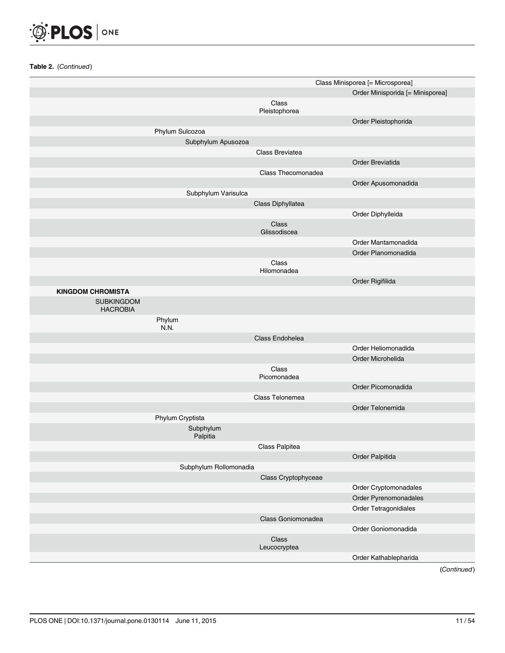

|                                      |                        |                        | Class Minisporea [= Microsporea] |
|--------------------------------------|------------------------|------------------------|----------------------------------|
|                                      |                        |                        | Order Minisporida [= Minisporea] |
|                                      |                        | Class<br>Pleistophorea |                                  |
|                                      |                        |                        | Order Pleistophorida             |
|                                      | Phylum Sulcozoa        |                        |                                  |
|                                      | Subphylum Apusozoa     |                        |                                  |
|                                      |                        | Class Breviatea        |                                  |
|                                      |                        |                        | Order Breviatida                 |
|                                      |                        | Class Thecomonadea     |                                  |
|                                      |                        |                        | Order Apusomonadida              |
|                                      | Subphylum Varisulca    |                        |                                  |
|                                      |                        | Class Diphyllatea      |                                  |
|                                      |                        |                        | Order Diphylleida                |
|                                      |                        | Class<br>Glissodiscea  |                                  |
|                                      |                        |                        | Order Mantamonadida              |
|                                      |                        |                        | Order Planomonadida              |
|                                      |                        | Class<br>Hilomonadea   |                                  |
|                                      |                        |                        | Order Rigifilida                 |
| <b>KINGDOM CHROMISTA</b>             |                        |                        |                                  |
| <b>SUBKINGDOM</b><br><b>HACROBIA</b> |                        |                        |                                  |
|                                      | Phylum<br>N.N.         |                        |                                  |
|                                      |                        | Class Endohelea        |                                  |
|                                      |                        |                        | Order Heliomonadida              |
|                                      |                        |                        | Order Microhelida                |
|                                      |                        | Class<br>Picomonadea   |                                  |
|                                      |                        |                        | Order Picomonadida               |
|                                      |                        | Class Telonemea        |                                  |
|                                      |                        |                        | Order Telonemida                 |
|                                      | Phylum Cryptista       |                        |                                  |
|                                      | Subphylum<br>Palpitia  |                        |                                  |
|                                      |                        | Class Palpitea         |                                  |
|                                      |                        |                        | Order Palpitida                  |
|                                      | Subphylum Rollomonadia |                        |                                  |
|                                      |                        | Class Cryptophyceae    |                                  |
|                                      |                        |                        | Order Cryptomonadales            |
|                                      |                        |                        | Order Pyrenomonadales            |
|                                      |                        |                        | Order Tetragonidiales            |
|                                      |                        | Class Goniomonadea     |                                  |
|                                      |                        |                        | Order Goniomonadida              |
|                                      |                        | Class                  |                                  |
|                                      |                        | Leucocryptea           |                                  |
|                                      |                        |                        | Order Kathablepharida            |
|                                      |                        |                        | (Continued)                      |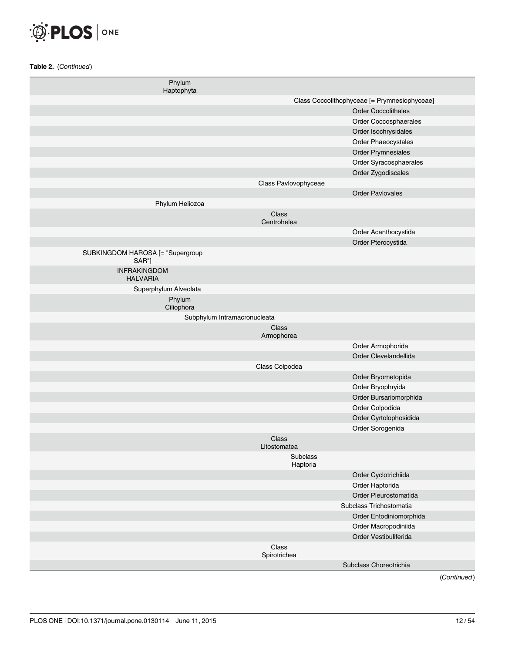

| Phylum<br>Haptophyta                      |                       |                                              |
|-------------------------------------------|-----------------------|----------------------------------------------|
|                                           |                       | Class Coccolithophyceae [= Prymnesiophyceae] |
|                                           |                       | <b>Order Coccolithales</b>                   |
|                                           |                       | Order Coccosphaerales                        |
|                                           |                       | Order Isochrysidales                         |
|                                           |                       | Order Phaeocystales                          |
|                                           |                       | Order Prymnesiales                           |
|                                           |                       | Order Syracosphaerales                       |
|                                           |                       | Order Zygodiscales                           |
|                                           | Class Pavlovophyceae  |                                              |
|                                           |                       | <b>Order Pavlovales</b>                      |
| Phylum Heliozoa                           |                       |                                              |
|                                           | Class<br>Centrohelea  |                                              |
|                                           |                       | Order Acanthocystida                         |
|                                           |                       | Order Pterocystida                           |
| SUBKINGDOM HAROSA [= "Supergroup<br>SAR"] |                       |                                              |
| <b>INFRAKINGDOM</b><br><b>HALVARIA</b>    |                       |                                              |
| Superphylum Alveolata                     |                       |                                              |
| Phylum                                    |                       |                                              |
| Ciliophora                                |                       |                                              |
| Subphylum Intramacronucleata              |                       |                                              |
|                                           | Class<br>Armophorea   |                                              |
|                                           |                       | Order Armophorida                            |
|                                           |                       | Order Clevelandellida                        |
|                                           | Class Colpodea        |                                              |
|                                           |                       | Order Bryometopida                           |
|                                           |                       | Order Bryophryida                            |
|                                           |                       | Order Bursariomorphida                       |
|                                           |                       | Order Colpodida                              |
|                                           |                       | Order Cyrtolophosidida                       |
|                                           |                       | Order Sorogenida                             |
|                                           | Class<br>Litostomatea |                                              |
|                                           | Subclass<br>Haptoria  |                                              |
|                                           |                       | Order Cyclotrichiida                         |
|                                           |                       | Order Haptorida                              |
|                                           |                       | Order Pleurostomatida                        |
|                                           |                       | Subclass Trichostomatia                      |
|                                           |                       | Order Entodiniomorphida                      |
|                                           |                       | Order Macropodiniida                         |
|                                           |                       | Order Vestibuliferida                        |
|                                           | Class<br>Spirotrichea |                                              |
|                                           |                       | Subclass Choreotrichia                       |
|                                           |                       |                                              |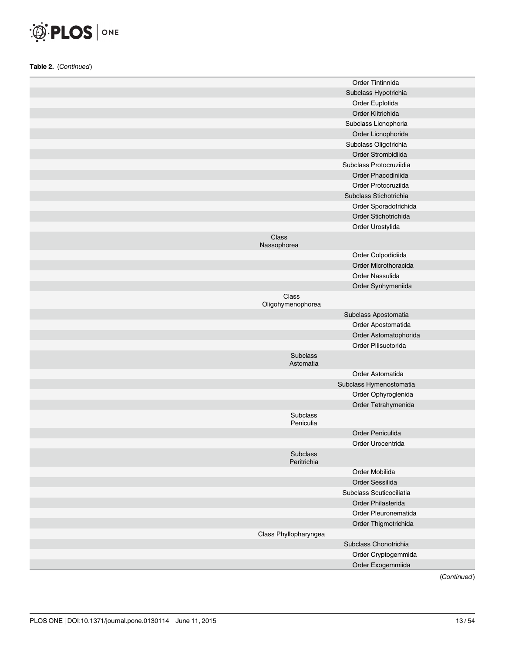

| Subclass Hypotrichia<br>Order Euplotida<br>Order Kiitrichida<br>Subclass Licnophoria<br>Order Licnophorida<br>Subclass Oligotrichia<br>Order Strombidiida<br>Subclass Protocruziidia<br>Order Phacodiniida<br>Order Protocruziida<br>Subclass Stichotrichia<br>Order Sporadotrichida<br>Order Stichotrichida<br>Order Urostylida<br>Class<br>Nassophorea<br>Order Colpodidiida<br>Order Microthoracida<br>Order Nassulida<br>Order Synhymeniida<br>Class<br>Oligohymenophorea<br>Subclass Apostomatia<br>Order Apostomatida<br>Order Astomatophorida<br>Order Pilisuctorida<br><b>Subclass</b><br>Astomatia<br>Order Astomatida<br>Subclass Hymenostomatia<br>Order Ophyroglenida<br>Order Tetrahymenida<br>Subclass<br>Peniculia<br>Order Peniculida<br>Order Urocentrida<br>Subclass<br>Peritrichia<br>Order Mobilida<br>Order Sessilida<br>Subclass Scuticociliatia<br>Order Philasterida<br>Order Pleuronematida<br>Order Thigmotrichida<br>Class Phyllopharyngea<br>Subclass Chonotrichia<br>Order Cryptogemmida |  | Order Tintinnida  |
|-----------------------------------------------------------------------------------------------------------------------------------------------------------------------------------------------------------------------------------------------------------------------------------------------------------------------------------------------------------------------------------------------------------------------------------------------------------------------------------------------------------------------------------------------------------------------------------------------------------------------------------------------------------------------------------------------------------------------------------------------------------------------------------------------------------------------------------------------------------------------------------------------------------------------------------------------------------------------------------------------------------------------|--|-------------------|
|                                                                                                                                                                                                                                                                                                                                                                                                                                                                                                                                                                                                                                                                                                                                                                                                                                                                                                                                                                                                                       |  |                   |
|                                                                                                                                                                                                                                                                                                                                                                                                                                                                                                                                                                                                                                                                                                                                                                                                                                                                                                                                                                                                                       |  |                   |
|                                                                                                                                                                                                                                                                                                                                                                                                                                                                                                                                                                                                                                                                                                                                                                                                                                                                                                                                                                                                                       |  |                   |
|                                                                                                                                                                                                                                                                                                                                                                                                                                                                                                                                                                                                                                                                                                                                                                                                                                                                                                                                                                                                                       |  |                   |
|                                                                                                                                                                                                                                                                                                                                                                                                                                                                                                                                                                                                                                                                                                                                                                                                                                                                                                                                                                                                                       |  |                   |
|                                                                                                                                                                                                                                                                                                                                                                                                                                                                                                                                                                                                                                                                                                                                                                                                                                                                                                                                                                                                                       |  |                   |
|                                                                                                                                                                                                                                                                                                                                                                                                                                                                                                                                                                                                                                                                                                                                                                                                                                                                                                                                                                                                                       |  |                   |
|                                                                                                                                                                                                                                                                                                                                                                                                                                                                                                                                                                                                                                                                                                                                                                                                                                                                                                                                                                                                                       |  |                   |
|                                                                                                                                                                                                                                                                                                                                                                                                                                                                                                                                                                                                                                                                                                                                                                                                                                                                                                                                                                                                                       |  |                   |
|                                                                                                                                                                                                                                                                                                                                                                                                                                                                                                                                                                                                                                                                                                                                                                                                                                                                                                                                                                                                                       |  |                   |
|                                                                                                                                                                                                                                                                                                                                                                                                                                                                                                                                                                                                                                                                                                                                                                                                                                                                                                                                                                                                                       |  |                   |
|                                                                                                                                                                                                                                                                                                                                                                                                                                                                                                                                                                                                                                                                                                                                                                                                                                                                                                                                                                                                                       |  |                   |
|                                                                                                                                                                                                                                                                                                                                                                                                                                                                                                                                                                                                                                                                                                                                                                                                                                                                                                                                                                                                                       |  |                   |
|                                                                                                                                                                                                                                                                                                                                                                                                                                                                                                                                                                                                                                                                                                                                                                                                                                                                                                                                                                                                                       |  |                   |
|                                                                                                                                                                                                                                                                                                                                                                                                                                                                                                                                                                                                                                                                                                                                                                                                                                                                                                                                                                                                                       |  |                   |
|                                                                                                                                                                                                                                                                                                                                                                                                                                                                                                                                                                                                                                                                                                                                                                                                                                                                                                                                                                                                                       |  |                   |
|                                                                                                                                                                                                                                                                                                                                                                                                                                                                                                                                                                                                                                                                                                                                                                                                                                                                                                                                                                                                                       |  |                   |
|                                                                                                                                                                                                                                                                                                                                                                                                                                                                                                                                                                                                                                                                                                                                                                                                                                                                                                                                                                                                                       |  |                   |
|                                                                                                                                                                                                                                                                                                                                                                                                                                                                                                                                                                                                                                                                                                                                                                                                                                                                                                                                                                                                                       |  |                   |
|                                                                                                                                                                                                                                                                                                                                                                                                                                                                                                                                                                                                                                                                                                                                                                                                                                                                                                                                                                                                                       |  |                   |
|                                                                                                                                                                                                                                                                                                                                                                                                                                                                                                                                                                                                                                                                                                                                                                                                                                                                                                                                                                                                                       |  |                   |
|                                                                                                                                                                                                                                                                                                                                                                                                                                                                                                                                                                                                                                                                                                                                                                                                                                                                                                                                                                                                                       |  |                   |
|                                                                                                                                                                                                                                                                                                                                                                                                                                                                                                                                                                                                                                                                                                                                                                                                                                                                                                                                                                                                                       |  |                   |
|                                                                                                                                                                                                                                                                                                                                                                                                                                                                                                                                                                                                                                                                                                                                                                                                                                                                                                                                                                                                                       |  |                   |
|                                                                                                                                                                                                                                                                                                                                                                                                                                                                                                                                                                                                                                                                                                                                                                                                                                                                                                                                                                                                                       |  |                   |
|                                                                                                                                                                                                                                                                                                                                                                                                                                                                                                                                                                                                                                                                                                                                                                                                                                                                                                                                                                                                                       |  |                   |
|                                                                                                                                                                                                                                                                                                                                                                                                                                                                                                                                                                                                                                                                                                                                                                                                                                                                                                                                                                                                                       |  |                   |
|                                                                                                                                                                                                                                                                                                                                                                                                                                                                                                                                                                                                                                                                                                                                                                                                                                                                                                                                                                                                                       |  |                   |
|                                                                                                                                                                                                                                                                                                                                                                                                                                                                                                                                                                                                                                                                                                                                                                                                                                                                                                                                                                                                                       |  |                   |
|                                                                                                                                                                                                                                                                                                                                                                                                                                                                                                                                                                                                                                                                                                                                                                                                                                                                                                                                                                                                                       |  |                   |
|                                                                                                                                                                                                                                                                                                                                                                                                                                                                                                                                                                                                                                                                                                                                                                                                                                                                                                                                                                                                                       |  |                   |
|                                                                                                                                                                                                                                                                                                                                                                                                                                                                                                                                                                                                                                                                                                                                                                                                                                                                                                                                                                                                                       |  |                   |
|                                                                                                                                                                                                                                                                                                                                                                                                                                                                                                                                                                                                                                                                                                                                                                                                                                                                                                                                                                                                                       |  |                   |
|                                                                                                                                                                                                                                                                                                                                                                                                                                                                                                                                                                                                                                                                                                                                                                                                                                                                                                                                                                                                                       |  |                   |
|                                                                                                                                                                                                                                                                                                                                                                                                                                                                                                                                                                                                                                                                                                                                                                                                                                                                                                                                                                                                                       |  |                   |
|                                                                                                                                                                                                                                                                                                                                                                                                                                                                                                                                                                                                                                                                                                                                                                                                                                                                                                                                                                                                                       |  |                   |
|                                                                                                                                                                                                                                                                                                                                                                                                                                                                                                                                                                                                                                                                                                                                                                                                                                                                                                                                                                                                                       |  |                   |
|                                                                                                                                                                                                                                                                                                                                                                                                                                                                                                                                                                                                                                                                                                                                                                                                                                                                                                                                                                                                                       |  |                   |
|                                                                                                                                                                                                                                                                                                                                                                                                                                                                                                                                                                                                                                                                                                                                                                                                                                                                                                                                                                                                                       |  |                   |
|                                                                                                                                                                                                                                                                                                                                                                                                                                                                                                                                                                                                                                                                                                                                                                                                                                                                                                                                                                                                                       |  |                   |
|                                                                                                                                                                                                                                                                                                                                                                                                                                                                                                                                                                                                                                                                                                                                                                                                                                                                                                                                                                                                                       |  |                   |
|                                                                                                                                                                                                                                                                                                                                                                                                                                                                                                                                                                                                                                                                                                                                                                                                                                                                                                                                                                                                                       |  |                   |
|                                                                                                                                                                                                                                                                                                                                                                                                                                                                                                                                                                                                                                                                                                                                                                                                                                                                                                                                                                                                                       |  | Order Exogemmiida |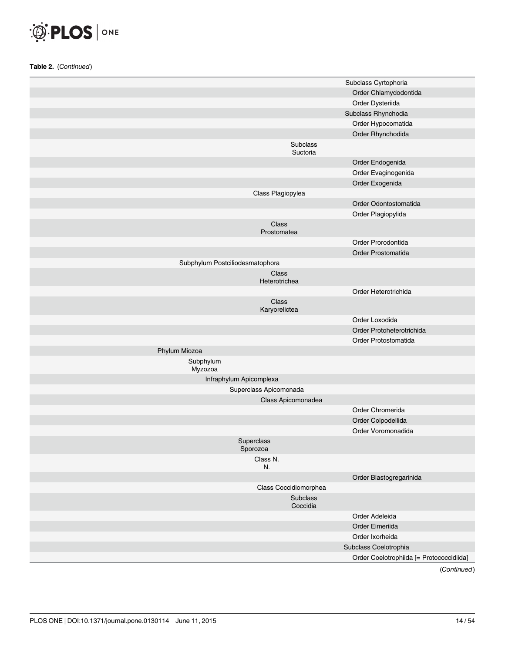

|                                 | Subclass Cyrtophoria                     |
|---------------------------------|------------------------------------------|
|                                 | Order Chlamydodontida                    |
|                                 | Order Dysteriida                         |
|                                 | Subclass Rhynchodia                      |
|                                 | Order Hypocomatida                       |
|                                 | Order Rhynchodida                        |
|                                 | Subclass<br>Suctoria                     |
|                                 | Order Endogenida                         |
|                                 | Order Evaginogenida                      |
|                                 | Order Exogenida                          |
| Class Plagiopylea               |                                          |
|                                 | Order Odontostomatida                    |
|                                 | Order Plagiopylida                       |
| Class<br>Prostomatea            |                                          |
|                                 | Order Prorodontida                       |
|                                 | Order Prostomatida                       |
| Subphylum Postciliodesmatophora |                                          |
| Class<br>Heterotrichea          |                                          |
|                                 | Order Heterotrichida                     |
| Class<br>Karyorelictea          |                                          |
|                                 | Order Loxodida                           |
|                                 | Order Protoheterotrichida                |
|                                 | Order Protostomatida                     |
| Phylum Miozoa                   |                                          |
| Subphylum<br>Myzozoa            |                                          |
| Infraphylum Apicomplexa         |                                          |
| Superclass Apicomonada          |                                          |
| Class Apicomonadea              |                                          |
|                                 | Order Chromerida                         |
|                                 | Order Colpodellida                       |
|                                 | Order Voromonadida                       |
| Superclass<br>Sporozoa          |                                          |
| Class N.<br>N.                  |                                          |
|                                 | Order Blastogregarinida                  |
| Class Coccidiomorphea           |                                          |
|                                 | Subclass<br>Coccidia                     |
|                                 | Order Adeleida                           |
|                                 | Order Eimeriida                          |
|                                 | Order Ixorheida                          |
|                                 | Subclass Coelotrophia                    |
|                                 | Order Coelotrophiida [= Protococcidiida] |
|                                 |                                          |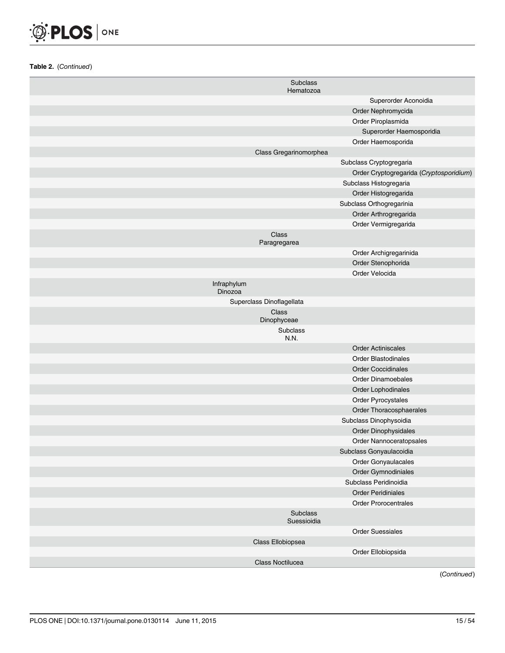

| Subclass<br>Hematozoa     |                                         |
|---------------------------|-----------------------------------------|
|                           | Superorder Aconoidia                    |
|                           | Order Nephromycida                      |
|                           | Order Piroplasmida                      |
|                           | Superorder Haemosporidia                |
|                           | Order Haemosporida                      |
| Class Gregarinomorphea    |                                         |
|                           | Subclass Cryptogregaria                 |
|                           | Order Cryptogregarida (Cryptosporidium) |
|                           | Subclass Histogregaria                  |
|                           | Order Histogregarida                    |
|                           | Subclass Orthogregarinia                |
|                           | Order Arthrogregarida                   |
|                           | Order Vermigregarida                    |
| Class<br>Paragregarea     |                                         |
|                           | Order Archigregarinida                  |
|                           | Order Stenophorida                      |
|                           | Order Velocida                          |
| Infraphylum<br>Dinozoa    |                                         |
| Superclass Dinoflagellata |                                         |
| Class<br>Dinophyceae      |                                         |
| <b>Subclass</b><br>N.N.   |                                         |
|                           | <b>Order Actiniscales</b>               |
|                           | <b>Order Blastodinales</b>              |
|                           | <b>Order Coccidinales</b>               |
|                           | <b>Order Dinamoebales</b>               |
|                           | Order Lophodinales                      |
|                           | Order Pyrocystales                      |
|                           | Order Thoracosphaerales                 |
|                           | Subclass Dinophysoidia                  |
|                           | Order Dinophysidales                    |
|                           | Order Nannoceratopsales                 |
|                           | Subclass Gonyaulacoidia                 |
|                           | Order Gonyaulacales                     |
|                           | Order Gymnodiniales                     |
|                           | Subclass Peridinoidia                   |
|                           | <b>Order Peridiniales</b>               |
|                           | <b>Order Prorocentrales</b>             |
| Subclass<br>Suessioidia   |                                         |
|                           | <b>Order Suessiales</b>                 |
| Class Ellobiopsea         |                                         |
|                           | Order Ellobiopsida                      |
| Class Noctilucea          |                                         |
|                           | (Continued)                             |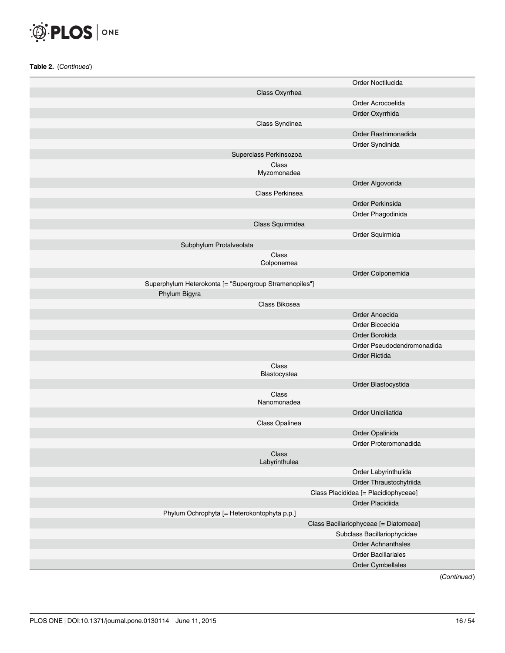

|                                                        |                        | Order Noctilucida                        |
|--------------------------------------------------------|------------------------|------------------------------------------|
|                                                        | Class Oxyrrhea         |                                          |
|                                                        |                        | Order Acrocoelida                        |
|                                                        |                        | Order Oxyrrhida                          |
|                                                        | Class Syndinea         |                                          |
|                                                        |                        | Order Rastrimonadida                     |
|                                                        |                        | Order Syndinida                          |
|                                                        | Superclass Perkinsozoa |                                          |
|                                                        | Class                  |                                          |
|                                                        | Myzomonadea            |                                          |
|                                                        |                        | Order Algovorida                         |
|                                                        | Class Perkinsea        |                                          |
|                                                        |                        | Order Perkinsida                         |
|                                                        |                        | Order Phagodinida                        |
|                                                        | Class Squirmidea       |                                          |
|                                                        |                        | Order Squirmida                          |
| Subphylum Protalveolata                                |                        |                                          |
|                                                        | Class<br>Colponemea    |                                          |
|                                                        |                        | Order Colponemida                        |
| Superphylum Heterokonta [= "Supergroup Stramenopiles"] |                        |                                          |
| Phylum Bigyra                                          |                        |                                          |
|                                                        | Class Bikosea          |                                          |
|                                                        |                        | Order Anoecida                           |
|                                                        |                        | Order Bicoecida                          |
|                                                        |                        | Order Borokida                           |
|                                                        |                        | Order Pseudodendromonadida               |
|                                                        |                        | Order Rictida                            |
|                                                        | Class                  |                                          |
|                                                        | Blastocystea           |                                          |
|                                                        |                        | Order Blastocystida                      |
|                                                        | Class                  |                                          |
|                                                        | Nanomonadea            |                                          |
|                                                        |                        | Order Uniciliatida                       |
|                                                        | Class Opalinea         |                                          |
|                                                        |                        | Order Opalinida<br>Order Proteromonadida |
|                                                        | Class                  |                                          |
|                                                        | Labyrinthulea          |                                          |
|                                                        |                        | Order Labyrinthulida                     |
|                                                        |                        | Order Thraustochytriida                  |
|                                                        |                        | Class Placididea [= Placidiophyceae]     |
|                                                        |                        | Order Placidiida                         |
| Phylum Ochrophyta [= Heterokontophyta p.p.]            |                        |                                          |
|                                                        |                        | Class Bacillariophyceae [= Diatomeae]    |
|                                                        |                        | Subclass Bacillariophycidae              |
|                                                        |                        | <b>Order Achnanthales</b>                |
|                                                        |                        | <b>Order Bacillariales</b>               |
|                                                        |                        | Order Cymbellales                        |
|                                                        |                        |                                          |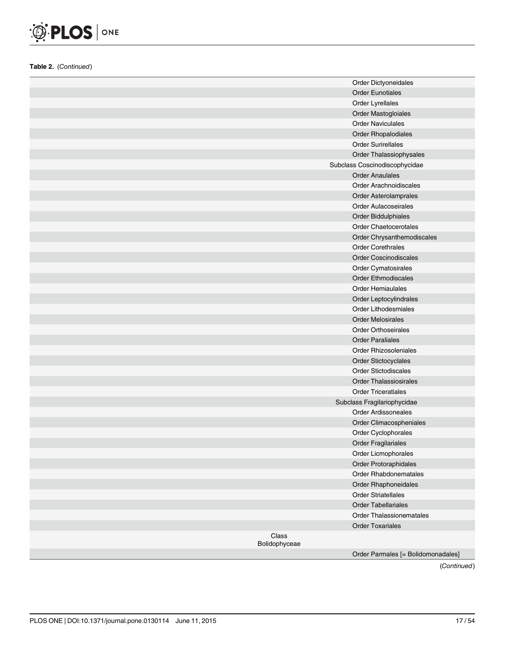

|                        | Order Dictyoneidales               |
|------------------------|------------------------------------|
|                        | <b>Order Eunotiales</b>            |
|                        | Order Lyrellales                   |
|                        | Order Mastogloiales                |
|                        | <b>Order Naviculales</b>           |
|                        | <b>Order Rhopalodiales</b>         |
|                        | <b>Order Surirellales</b>          |
|                        | Order Thalassiophysales            |
|                        | Subclass Coscinodiscophycidae      |
|                        | <b>Order Anaulales</b>             |
|                        | <b>Order Arachnoidiscales</b>      |
|                        | Order Asterolamprales              |
|                        | <b>Order Aulacoseirales</b>        |
|                        | Order Biddulphiales                |
|                        | <b>Order Chaetocerotales</b>       |
|                        | Order Chrysanthemodiscales         |
|                        | <b>Order Corethrales</b>           |
|                        | Order Coscinodiscales              |
|                        | Order Cymatosirales                |
|                        | <b>Order Ethmodiscales</b>         |
|                        | <b>Order Hemiaulales</b>           |
|                        | Order Leptocylindrales             |
|                        | <b>Order Lithodesmiales</b>        |
|                        | <b>Order Melosirales</b>           |
|                        | <b>Order Orthoseirales</b>         |
|                        | <b>Order Paraliales</b>            |
|                        | Order Rhizosoleniales              |
|                        | Order Stictocyclales               |
|                        | <b>Order Stictodiscales</b>        |
|                        | <b>Order Thalassiosirales</b>      |
|                        | <b>Order Triceratiales</b>         |
|                        | Subclass Fragilariophycidae        |
|                        | <b>Order Ardissoneales</b>         |
|                        | Order Climacospheniales            |
|                        | Order Cyclophorales                |
|                        | <b>Order Fragilariales</b>         |
|                        | Order Licmophorales                |
|                        | Order Protoraphidales              |
|                        | Order Rhabdonematales              |
|                        | Order Rhaphoneidales               |
|                        | <b>Order Striatellales</b>         |
|                        | <b>Order Tabellariales</b>         |
|                        | <b>Order Thalassionematales</b>    |
|                        | <b>Order Toxariales</b>            |
| Class<br>Bolidophyceae |                                    |
|                        | Order Parmales [= Bolidomonadales] |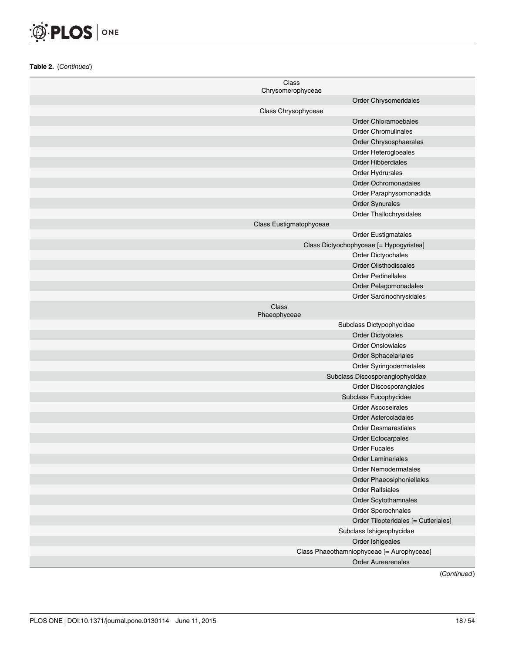

| Class<br>Chrysomerophyceae |                                           |
|----------------------------|-------------------------------------------|
|                            | Order Chrysomeridales                     |
| Class Chrysophyceae        |                                           |
|                            | <b>Order Chloramoebales</b>               |
|                            | <b>Order Chromulinales</b>                |
|                            | Order Chrysosphaerales                    |
|                            | Order Heterogloeales                      |
|                            | <b>Order Hibberdiales</b>                 |
|                            | Order Hydrurales                          |
|                            | <b>Order Ochromonadales</b>               |
|                            | Order Paraphysomonadida                   |
|                            | <b>Order Synurales</b>                    |
|                            | Order Thallochrysidales                   |
| Class Eustigmatophyceae    |                                           |
|                            | <b>Order Eustigmatales</b>                |
|                            | Class Dictyochophyceae [= Hypogyristea]   |
|                            | Order Dictyochales                        |
|                            | <b>Order Olisthodiscales</b>              |
|                            | <b>Order Pedinellales</b>                 |
|                            | Order Pelagomonadales                     |
|                            | Order Sarcinochrysidales                  |
| Class<br>Phaeophyceae      |                                           |
|                            | Subclass Dictypophycidae                  |
|                            | <b>Order Dictyotales</b>                  |
|                            | <b>Order Onslowiales</b>                  |
|                            | Order Sphacelariales                      |
|                            | Order Syringodermatales                   |
|                            | Subclass Discosporangiophycidae           |
|                            | Order Discosporangiales                   |
|                            | Subclass Fucophycidae                     |
|                            | <b>Order Ascoseirales</b>                 |
|                            | <b>Order Asterocladales</b>               |
|                            | <b>Order Desmarestiales</b>               |
|                            | <b>Order Ectocarpales</b>                 |
|                            | <b>Order Fucales</b>                      |
|                            | <b>Order Laminariales</b>                 |
|                            | <b>Order Nemodermatales</b>               |
|                            | Order Phaeosiphoniellales                 |
|                            | <b>Order Ralfsiales</b>                   |
|                            | Order Scytothamnales                      |
|                            | Order Sporochnales                        |
|                            | Order Tilopteridales [= Cutleriales]      |
|                            | Subclass Ishigeophycidae                  |
|                            | Order Ishigeales                          |
|                            | Class Phaeothamniophyceae [= Aurophyceae] |
|                            | <b>Order Aurearenales</b>                 |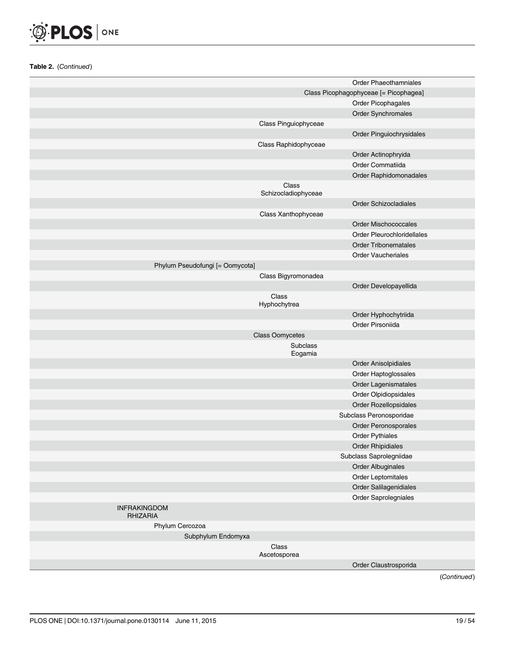

|                                        |                              | <b>Order Phaeothamniales</b>          |
|----------------------------------------|------------------------------|---------------------------------------|
|                                        |                              | Class Picophagophyceae [= Picophagea] |
|                                        |                              | Order Picophagales                    |
|                                        |                              | Order Synchromales                    |
|                                        | Class Pinguiophyceae         |                                       |
|                                        |                              | Order Pinguiochrysidales              |
|                                        | Class Raphidophyceae         |                                       |
|                                        |                              | Order Actinophryida                   |
|                                        |                              | Order Commatiida                      |
|                                        |                              | Order Raphidomonadales                |
|                                        | Class<br>Schizocladiophyceae |                                       |
|                                        |                              | <b>Order Schizocladiales</b>          |
|                                        | Class Xanthophyceae          |                                       |
|                                        |                              | Order Mischococcales                  |
|                                        |                              | Order Pleurochloridellales            |
|                                        |                              | <b>Order Tribonematales</b>           |
|                                        |                              | <b>Order Vaucheriales</b>             |
| Phylum Pseudofungi [= Oomycota]        |                              |                                       |
|                                        | Class Bigyromonadea          |                                       |
|                                        |                              | Order Developayellida                 |
|                                        | Class<br>Hyphochytrea        |                                       |
|                                        |                              | Order Hyphochytriida                  |
|                                        |                              | Order Pirsoniida                      |
|                                        | <b>Class Oomycetes</b>       |                                       |
|                                        | Subclass<br>Eogamia          |                                       |
|                                        |                              | Order Anisolpidiales                  |
|                                        |                              | Order Haptoglossales                  |
|                                        |                              | Order Lagenismatales                  |
|                                        |                              | Order Olpidiopsidales                 |
|                                        |                              | Order Rozellopsidales                 |
|                                        |                              | Subclass Peronosporidae               |
|                                        |                              | Order Peronosporales                  |
|                                        |                              | <b>Order Pythiales</b>                |
|                                        |                              | <b>Order Rhipidiales</b>              |
|                                        |                              | Subclass Saprolegniidae               |
|                                        |                              | <b>Order Albuginales</b>              |
|                                        |                              | Order Leptomitales                    |
|                                        |                              | Order Salilagenidiales                |
|                                        |                              | Order Saprolegniales                  |
| <b>INFRAKINGDOM</b><br><b>RHIZARIA</b> |                              |                                       |
| Phylum Cercozoa                        |                              |                                       |
| Subphylum Endomyxa                     |                              |                                       |
|                                        | Class<br>Ascetosporea        |                                       |
|                                        |                              | Order Claustrosporida                 |
|                                        |                              |                                       |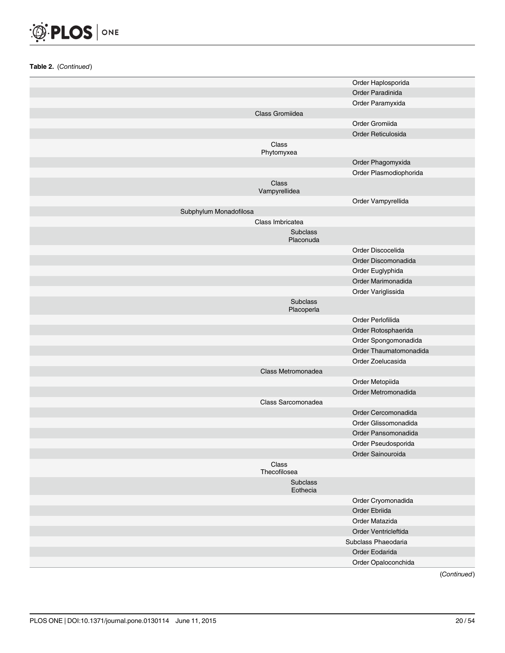

|                        |                        | Order Haplosporida     |
|------------------------|------------------------|------------------------|
|                        |                        | Order Paradinida       |
|                        |                        | Order Paramyxida       |
|                        | Class Gromiidea        |                        |
|                        |                        | Order Gromiida         |
|                        |                        | Order Reticulosida     |
|                        | Class<br>Phytomyxea    |                        |
|                        |                        | Order Phagomyxida      |
|                        |                        | Order Plasmodiophorida |
|                        | Class<br>Vampyrellidea |                        |
|                        |                        | Order Vampyrellida     |
| Subphylum Monadofilosa |                        |                        |
|                        | Class Imbricatea       |                        |
|                        | Subclass<br>Placonuda  |                        |
|                        |                        | Order Discocelida      |
|                        |                        | Order Discomonadida    |
|                        |                        | Order Euglyphida       |
|                        |                        | Order Marimonadida     |
|                        |                        | Order Variglissida     |
|                        | Subclass<br>Placoperla |                        |
|                        |                        | Order Perlofilida      |
|                        |                        | Order Rotosphaerida    |
|                        |                        | Order Spongomonadida   |
|                        |                        | Order Thaumatomonadida |
|                        |                        | Order Zoelucasida      |
|                        | Class Metromonadea     |                        |
|                        |                        | Order Metopiida        |
|                        |                        | Order Metromonadida    |
|                        | Class Sarcomonadea     |                        |
|                        |                        | Order Cercomonadida    |
|                        |                        | Order Glissomonadida   |
|                        |                        | Order Pansomonadida    |
|                        |                        | Order Pseudosporida    |
|                        |                        | Order Sainouroida      |
|                        | Class<br>Thecofilosea  |                        |
|                        | Subclass<br>Eothecia   |                        |
|                        |                        | Order Cryomonadida     |
|                        |                        | Order Ebriida          |
|                        |                        | Order Matazida         |
|                        |                        | Order Ventricleftida   |
|                        |                        | Subclass Phaeodaria    |
|                        |                        | Order Eodarida         |
|                        |                        | Order Opaloconchida    |
|                        |                        |                        |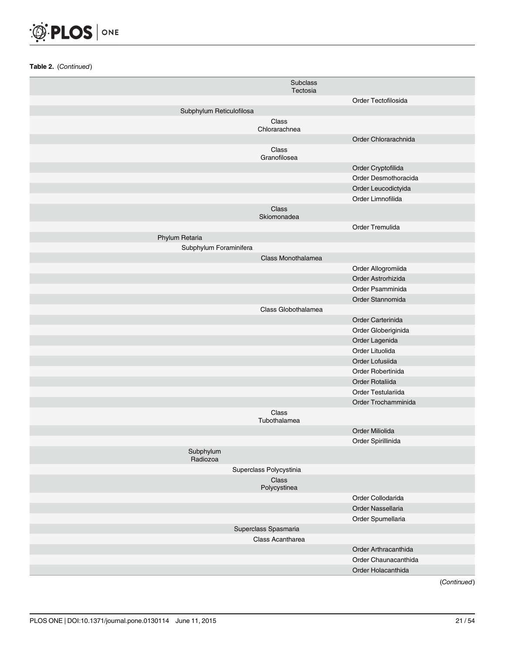

|                          | Subclass                |                      |
|--------------------------|-------------------------|----------------------|
|                          | Tectosia                |                      |
|                          |                         | Order Tectofilosida  |
| Subphylum Reticulofilosa |                         |                      |
|                          | Class<br>Chlorarachnea  |                      |
|                          |                         | Order Chlorarachnida |
|                          | Class<br>Granofilosea   |                      |
|                          |                         | Order Cryptofilida   |
|                          |                         | Order Desmothoracida |
|                          |                         | Order Leucodictyida  |
|                          |                         | Order Limnofilida    |
|                          | Class                   |                      |
|                          | Skiomonadea             |                      |
|                          |                         | Order Tremulida      |
| Phylum Retaria           |                         |                      |
| Subphylum Foraminifera   |                         |                      |
|                          | Class Monothalamea      |                      |
|                          |                         | Order Allogromiida   |
|                          |                         | Order Astrorhizida   |
|                          |                         | Order Psamminida     |
|                          |                         | Order Stannomida     |
|                          | Class Globothalamea     |                      |
|                          |                         | Order Carterinida    |
|                          |                         | Order Globeriginida  |
|                          |                         | Order Lagenida       |
|                          |                         | Order Lituolida      |
|                          |                         | Order Lofusiida      |
|                          |                         | Order Robertinida    |
|                          |                         | Order Rotaliida      |
|                          |                         | Order Testulariida   |
|                          |                         | Order Trochamminida  |
|                          | Class<br>Tubothalamea   |                      |
|                          |                         | Order Miliolida      |
|                          |                         | Order Spirillinida   |
| Subphylum<br>Radiozoa    |                         |                      |
|                          | Superclass Polycystinia |                      |
|                          | Class<br>Polycystinea   |                      |
|                          |                         | Order Collodarida    |
|                          |                         | Order Nassellaria    |
|                          |                         | Order Spumellaria    |
|                          | Superclass Spasmaria    |                      |
|                          | Class Acantharea        |                      |
|                          |                         | Order Arthracanthida |
|                          |                         | Order Chaunacanthida |
|                          |                         | Order Holacanthida   |
|                          |                         |                      |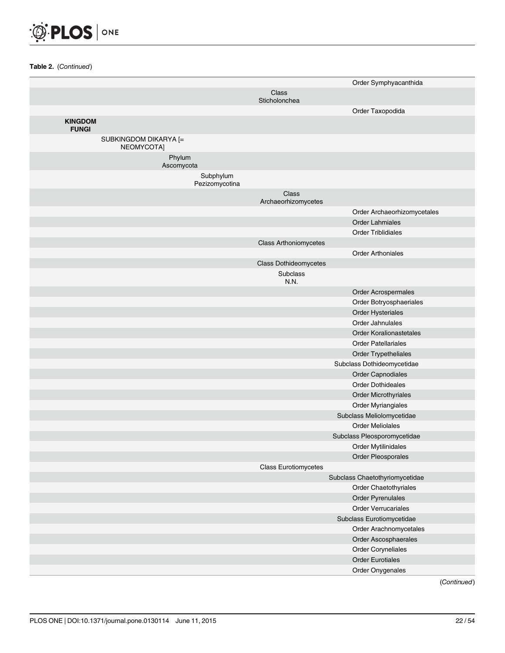

| Class<br>Sticholonchea<br>Order Taxopodida<br><b>KINGDOM</b><br><b>FUNGI</b><br>SUBKINGDOM DIKARYA [=<br>NEOMYCOTA]<br>Phylum<br>Ascomycota<br>Subphylum<br>Pezizomycotina<br>Class<br>Archaeorhizomycetes<br>Order Archaeorhizomycetales<br><b>Order Lahmiales</b><br><b>Order Triblidiales</b><br><b>Class Arthoniomycetes</b><br><b>Order Arthoniales</b><br><b>Class Dothideomycetes</b><br>Subclass<br>N.N.<br>Order Acrospermales<br>Order Botryosphaeriales<br>Order Hysteriales<br>Order Jahnulales<br><b>Order Koralionastetales</b><br><b>Order Patellariales</b><br>Order Trypetheliales<br>Subclass Dothideomycetidae<br>Order Capnodiales<br><b>Order Dothideales</b><br><b>Order Microthyriales</b><br>Order Myriangiales<br>Subclass Meliolomycetidae<br><b>Order Meliolales</b><br>Subclass Pleosporomycetidae<br>Order Mytilinidales<br>Order Pleosporales<br><b>Class Eurotiomycetes</b><br>Subclass Chaetothyriomycetidae<br>Order Chaetothyriales<br>Order Pyrenulales<br><b>Order Verrucariales</b><br>Subclass Eurotiomycetidae<br>Order Arachnomycetales<br>Order Ascosphaerales<br>Order Coryneliales |  | Order Symphyacanthida |
|-------------------------------------------------------------------------------------------------------------------------------------------------------------------------------------------------------------------------------------------------------------------------------------------------------------------------------------------------------------------------------------------------------------------------------------------------------------------------------------------------------------------------------------------------------------------------------------------------------------------------------------------------------------------------------------------------------------------------------------------------------------------------------------------------------------------------------------------------------------------------------------------------------------------------------------------------------------------------------------------------------------------------------------------------------------------------------------------------------------------------------|--|-----------------------|
|                                                                                                                                                                                                                                                                                                                                                                                                                                                                                                                                                                                                                                                                                                                                                                                                                                                                                                                                                                                                                                                                                                                               |  |                       |
|                                                                                                                                                                                                                                                                                                                                                                                                                                                                                                                                                                                                                                                                                                                                                                                                                                                                                                                                                                                                                                                                                                                               |  |                       |
|                                                                                                                                                                                                                                                                                                                                                                                                                                                                                                                                                                                                                                                                                                                                                                                                                                                                                                                                                                                                                                                                                                                               |  |                       |
|                                                                                                                                                                                                                                                                                                                                                                                                                                                                                                                                                                                                                                                                                                                                                                                                                                                                                                                                                                                                                                                                                                                               |  |                       |
|                                                                                                                                                                                                                                                                                                                                                                                                                                                                                                                                                                                                                                                                                                                                                                                                                                                                                                                                                                                                                                                                                                                               |  |                       |
|                                                                                                                                                                                                                                                                                                                                                                                                                                                                                                                                                                                                                                                                                                                                                                                                                                                                                                                                                                                                                                                                                                                               |  |                       |
|                                                                                                                                                                                                                                                                                                                                                                                                                                                                                                                                                                                                                                                                                                                                                                                                                                                                                                                                                                                                                                                                                                                               |  |                       |
|                                                                                                                                                                                                                                                                                                                                                                                                                                                                                                                                                                                                                                                                                                                                                                                                                                                                                                                                                                                                                                                                                                                               |  |                       |
|                                                                                                                                                                                                                                                                                                                                                                                                                                                                                                                                                                                                                                                                                                                                                                                                                                                                                                                                                                                                                                                                                                                               |  |                       |
|                                                                                                                                                                                                                                                                                                                                                                                                                                                                                                                                                                                                                                                                                                                                                                                                                                                                                                                                                                                                                                                                                                                               |  |                       |
|                                                                                                                                                                                                                                                                                                                                                                                                                                                                                                                                                                                                                                                                                                                                                                                                                                                                                                                                                                                                                                                                                                                               |  |                       |
|                                                                                                                                                                                                                                                                                                                                                                                                                                                                                                                                                                                                                                                                                                                                                                                                                                                                                                                                                                                                                                                                                                                               |  |                       |
|                                                                                                                                                                                                                                                                                                                                                                                                                                                                                                                                                                                                                                                                                                                                                                                                                                                                                                                                                                                                                                                                                                                               |  |                       |
|                                                                                                                                                                                                                                                                                                                                                                                                                                                                                                                                                                                                                                                                                                                                                                                                                                                                                                                                                                                                                                                                                                                               |  |                       |
|                                                                                                                                                                                                                                                                                                                                                                                                                                                                                                                                                                                                                                                                                                                                                                                                                                                                                                                                                                                                                                                                                                                               |  |                       |
|                                                                                                                                                                                                                                                                                                                                                                                                                                                                                                                                                                                                                                                                                                                                                                                                                                                                                                                                                                                                                                                                                                                               |  |                       |
|                                                                                                                                                                                                                                                                                                                                                                                                                                                                                                                                                                                                                                                                                                                                                                                                                                                                                                                                                                                                                                                                                                                               |  |                       |
|                                                                                                                                                                                                                                                                                                                                                                                                                                                                                                                                                                                                                                                                                                                                                                                                                                                                                                                                                                                                                                                                                                                               |  |                       |
|                                                                                                                                                                                                                                                                                                                                                                                                                                                                                                                                                                                                                                                                                                                                                                                                                                                                                                                                                                                                                                                                                                                               |  |                       |
|                                                                                                                                                                                                                                                                                                                                                                                                                                                                                                                                                                                                                                                                                                                                                                                                                                                                                                                                                                                                                                                                                                                               |  |                       |
|                                                                                                                                                                                                                                                                                                                                                                                                                                                                                                                                                                                                                                                                                                                                                                                                                                                                                                                                                                                                                                                                                                                               |  |                       |
|                                                                                                                                                                                                                                                                                                                                                                                                                                                                                                                                                                                                                                                                                                                                                                                                                                                                                                                                                                                                                                                                                                                               |  |                       |
|                                                                                                                                                                                                                                                                                                                                                                                                                                                                                                                                                                                                                                                                                                                                                                                                                                                                                                                                                                                                                                                                                                                               |  |                       |
|                                                                                                                                                                                                                                                                                                                                                                                                                                                                                                                                                                                                                                                                                                                                                                                                                                                                                                                                                                                                                                                                                                                               |  |                       |
|                                                                                                                                                                                                                                                                                                                                                                                                                                                                                                                                                                                                                                                                                                                                                                                                                                                                                                                                                                                                                                                                                                                               |  |                       |
|                                                                                                                                                                                                                                                                                                                                                                                                                                                                                                                                                                                                                                                                                                                                                                                                                                                                                                                                                                                                                                                                                                                               |  |                       |
|                                                                                                                                                                                                                                                                                                                                                                                                                                                                                                                                                                                                                                                                                                                                                                                                                                                                                                                                                                                                                                                                                                                               |  |                       |
|                                                                                                                                                                                                                                                                                                                                                                                                                                                                                                                                                                                                                                                                                                                                                                                                                                                                                                                                                                                                                                                                                                                               |  |                       |
|                                                                                                                                                                                                                                                                                                                                                                                                                                                                                                                                                                                                                                                                                                                                                                                                                                                                                                                                                                                                                                                                                                                               |  |                       |
|                                                                                                                                                                                                                                                                                                                                                                                                                                                                                                                                                                                                                                                                                                                                                                                                                                                                                                                                                                                                                                                                                                                               |  |                       |
|                                                                                                                                                                                                                                                                                                                                                                                                                                                                                                                                                                                                                                                                                                                                                                                                                                                                                                                                                                                                                                                                                                                               |  |                       |
|                                                                                                                                                                                                                                                                                                                                                                                                                                                                                                                                                                                                                                                                                                                                                                                                                                                                                                                                                                                                                                                                                                                               |  |                       |
|                                                                                                                                                                                                                                                                                                                                                                                                                                                                                                                                                                                                                                                                                                                                                                                                                                                                                                                                                                                                                                                                                                                               |  |                       |
|                                                                                                                                                                                                                                                                                                                                                                                                                                                                                                                                                                                                                                                                                                                                                                                                                                                                                                                                                                                                                                                                                                                               |  |                       |
|                                                                                                                                                                                                                                                                                                                                                                                                                                                                                                                                                                                                                                                                                                                                                                                                                                                                                                                                                                                                                                                                                                                               |  |                       |
|                                                                                                                                                                                                                                                                                                                                                                                                                                                                                                                                                                                                                                                                                                                                                                                                                                                                                                                                                                                                                                                                                                                               |  |                       |
|                                                                                                                                                                                                                                                                                                                                                                                                                                                                                                                                                                                                                                                                                                                                                                                                                                                                                                                                                                                                                                                                                                                               |  |                       |
|                                                                                                                                                                                                                                                                                                                                                                                                                                                                                                                                                                                                                                                                                                                                                                                                                                                                                                                                                                                                                                                                                                                               |  |                       |
|                                                                                                                                                                                                                                                                                                                                                                                                                                                                                                                                                                                                                                                                                                                                                                                                                                                                                                                                                                                                                                                                                                                               |  |                       |
|                                                                                                                                                                                                                                                                                                                                                                                                                                                                                                                                                                                                                                                                                                                                                                                                                                                                                                                                                                                                                                                                                                                               |  |                       |
| <b>Order Eurotiales</b>                                                                                                                                                                                                                                                                                                                                                                                                                                                                                                                                                                                                                                                                                                                                                                                                                                                                                                                                                                                                                                                                                                       |  |                       |
| Order Onygenales                                                                                                                                                                                                                                                                                                                                                                                                                                                                                                                                                                                                                                                                                                                                                                                                                                                                                                                                                                                                                                                                                                              |  |                       |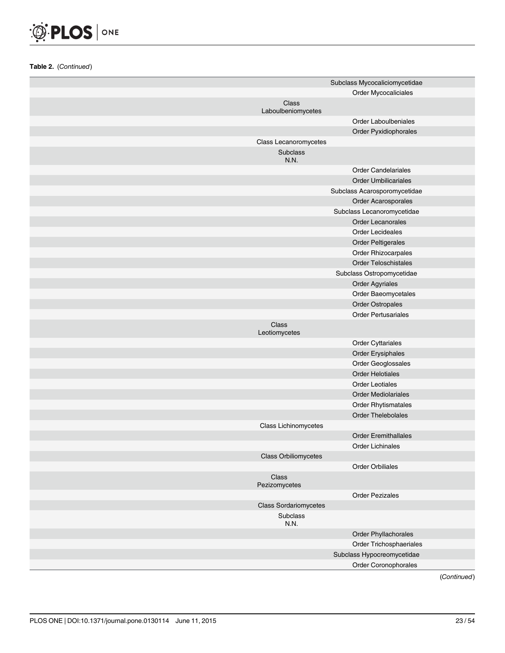

|                              | Subclass Mycocaliciomycetidae |
|------------------------------|-------------------------------|
|                              | Order Mycocaliciales          |
| Class<br>Laboulbeniomycetes  |                               |
|                              | <b>Order Laboulbeniales</b>   |
|                              | Order Pyxidiophorales         |
| Class Lecanoromycetes        |                               |
| Subclass<br>N.N.             |                               |
|                              | <b>Order Candelariales</b>    |
|                              | <b>Order Umbilicariales</b>   |
|                              | Subclass Acarosporomycetidae  |
|                              | Order Acarosporales           |
|                              | Subclass Lecanoromycetidae    |
|                              | <b>Order Lecanorales</b>      |
|                              | <b>Order Lecideales</b>       |
|                              | <b>Order Peltigerales</b>     |
|                              | Order Rhizocarpales           |
|                              | <b>Order Teloschistales</b>   |
|                              | Subclass Ostropomycetidae     |
|                              | <b>Order Agyriales</b>        |
|                              | Order Baeomycetales           |
|                              | Order Ostropales              |
|                              | <b>Order Pertusariales</b>    |
| Class<br>Leotiomycetes       |                               |
|                              | Order Cyttariales             |
|                              | Order Erysiphales             |
|                              | Order Geoglossales            |
|                              | <b>Order Helotiales</b>       |
|                              | <b>Order Leotiales</b>        |
|                              | <b>Order Mediolariales</b>    |
|                              | <b>Order Rhytismatales</b>    |
|                              | <b>Order Thelebolales</b>     |
| Class Lichinomycetes         |                               |
|                              | <b>Order Eremithallales</b>   |
|                              | <b>Order Lichinales</b>       |
| <b>Class Orbiliomycetes</b>  |                               |
|                              | Order Orbiliales              |
| Class<br>Pezizomycetes       |                               |
|                              | <b>Order Pezizales</b>        |
| <b>Class Sordariomycetes</b> |                               |
| Subclass<br>N.N.             |                               |
|                              | Order Phyllachorales          |
|                              | Order Trichosphaeriales       |
|                              | Subclass Hypocreomycetidae    |
|                              | Order Coronophorales          |
|                              |                               |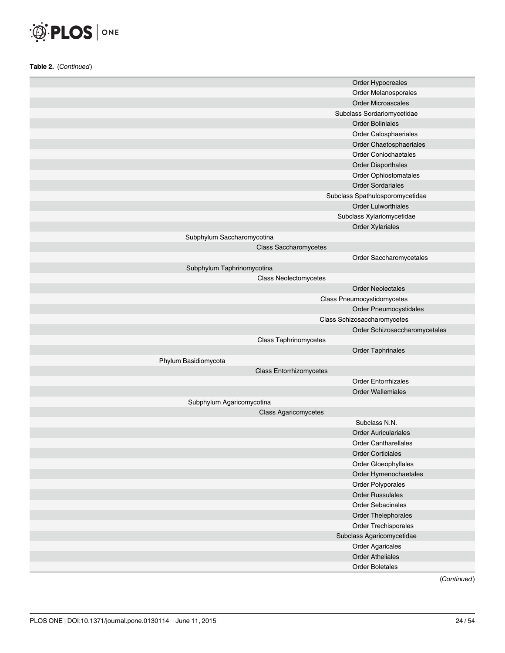

|                            | Order Hypocreales               |
|----------------------------|---------------------------------|
|                            | Order Melanosporales            |
|                            | Order Microascales              |
|                            | Subclass Sordariomycetidae      |
|                            | <b>Order Boliniales</b>         |
|                            | Order Calosphaeriales           |
|                            | Order Chaetosphaeriales         |
|                            | <b>Order Coniochaetales</b>     |
|                            | <b>Order Diaporthales</b>       |
|                            | Order Ophiostomatales           |
|                            | <b>Order Sordariales</b>        |
|                            | Subclass Spathulosporomycetidae |
|                            | <b>Order Lulworthiales</b>      |
|                            | Subclass Xylariomycetidae       |
|                            | Order Xylariales                |
| Subphylum Saccharomycotina |                                 |
|                            | <b>Class Saccharomycetes</b>    |
|                            | Order Saccharomycetales         |
| Subphylum Taphrinomycotina |                                 |
|                            | Class Neolectomycetes           |
|                            | <b>Order Neolectales</b>        |
|                            | Class Pneumocystidomycetes      |
|                            | Order Pneumocystidales          |
|                            | Class Schizosaccharomycetes     |
|                            | Order Schizosaccharomycetales   |
|                            | <b>Class Taphrinomycetes</b>    |
|                            | Order Taphrinales               |
| Phylum Basidiomycota       |                                 |
|                            | <b>Class Entorrhizomycetes</b>  |
|                            | <b>Order Entorrhizales</b>      |
|                            | <b>Order Wallemiales</b>        |
| Subphylum Agaricomycotina  |                                 |
|                            | <b>Class Agaricomycetes</b>     |
|                            | Subclass N.N.                   |
|                            | <b>Order Auriculariales</b>     |
|                            | <b>Order Cantharellales</b>     |
|                            | <b>Order Corticiales</b>        |
|                            | Order Gloeophyllales            |
|                            | Order Hymenochaetales           |
|                            | Order Polyporales               |
|                            | <b>Order Russulales</b>         |
|                            | Order Sebacinales               |
|                            | Order Thelephorales             |
|                            | Order Trechisporales            |
|                            | Subclass Agaricomycetidae       |
|                            |                                 |
|                            | <b>Order Agaricales</b>         |
|                            | <b>Order Atheliales</b>         |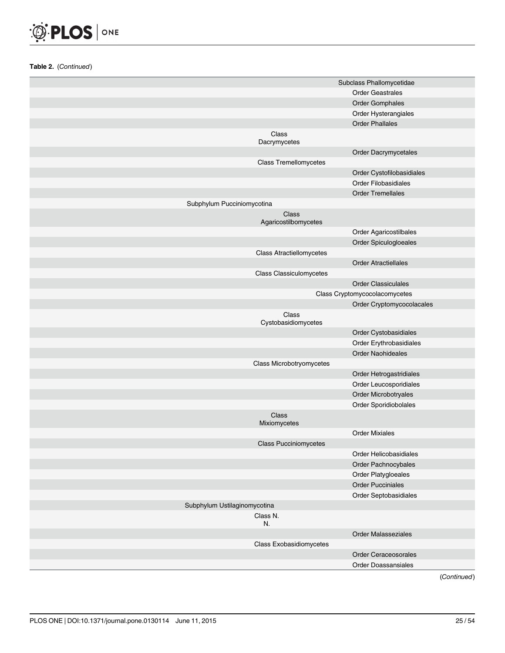

|                              |                                 | Subclass Phallomycetidae      |
|------------------------------|---------------------------------|-------------------------------|
|                              |                                 | <b>Order Geastrales</b>       |
|                              |                                 | <b>Order Gomphales</b>        |
|                              |                                 | Order Hysterangiales          |
|                              |                                 | <b>Order Phallales</b>        |
|                              | Class<br>Dacrymycetes           |                               |
|                              |                                 | Order Dacrymycetales          |
|                              | <b>Class Tremellomycetes</b>    |                               |
|                              |                                 | Order Cystofilobasidiales     |
|                              |                                 | <b>Order Filobasidiales</b>   |
|                              |                                 | <b>Order Tremellales</b>      |
| Subphylum Pucciniomycotina   |                                 |                               |
|                              | Class<br>Agaricostilbomycetes   |                               |
|                              |                                 | Order Agaricostilbales        |
|                              |                                 | Order Spiculogloeales         |
|                              | <b>Class Atractiellomycetes</b> |                               |
|                              |                                 | <b>Order Atractiellales</b>   |
|                              | Class Classiculomycetes         |                               |
|                              |                                 | <b>Order Classiculales</b>    |
|                              |                                 | Class Cryptomycocolacomycetes |
|                              |                                 | Order Cryptomycocolacales     |
|                              | Class<br>Cystobasidiomycetes    |                               |
|                              |                                 | Order Cystobasidiales         |
|                              |                                 | Order Erythrobasidiales       |
|                              |                                 | <b>Order Naohideales</b>      |
|                              | Class Microbotryomycetes        |                               |
|                              |                                 | Order Hetrogastridiales       |
|                              |                                 | Order Leucosporidiales        |
|                              |                                 | Order Microbotryales          |
|                              |                                 | Order Sporidiobolales         |
|                              | <b>Class</b><br>Mixiomycetes    |                               |
|                              |                                 | <b>Order Mixiales</b>         |
|                              | <b>Class Pucciniomycetes</b>    |                               |
|                              |                                 | Order Helicobasidiales        |
|                              |                                 | Order Pachnocybales           |
|                              |                                 | Order Platygloeales           |
|                              |                                 | <b>Order Pucciniales</b>      |
|                              |                                 | Order Septobasidiales         |
| Subphylum Ustilaginomycotina |                                 |                               |
|                              | Class N.<br>N.                  |                               |
|                              |                                 | <b>Order Malasseziales</b>    |
|                              | <b>Class Exobasidiomycetes</b>  |                               |
|                              |                                 | Order Ceraceosorales          |
|                              |                                 | <b>Order Doassansiales</b>    |
|                              |                                 |                               |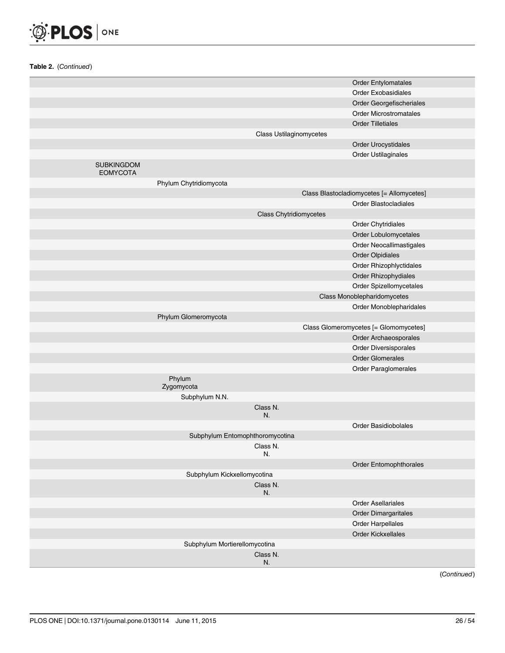

| Order Exobasidiales<br>Order Georgefischeriales<br><b>Order Microstromatales</b><br><b>Order Tilletiales</b><br><b>Class Ustilaginomycetes</b><br>Order Urocystidales<br>Order Ustilaginales<br><b>SUBKINGDOM</b><br><b>EOMYCOTA</b><br>Phylum Chytridiomycota<br>Class Blastocladiomycetes [= Allomycetes]<br><b>Order Blastocladiales</b><br><b>Class Chytridiomycetes</b><br>Order Chytridiales<br>Order Lobulomycetales<br>Order Neocallimastigales<br><b>Order Olpidiales</b><br>Order Rhizophlyctidales<br>Order Rhizophydiales<br>Order Spizellomycetales<br>Class Monoblepharidomycetes<br>Order Monoblepharidales<br>Phylum Glomeromycota<br>Class Glomeromycetes [= Glomomycetes]<br>Order Archaeosporales<br>Order Diversisporales<br><b>Order Glomerales</b><br>Order Paraglomerales<br>Phylum<br>Zygomycota<br>Subphylum N.N.<br>Class N.<br>N.<br><b>Order Basidiobolales</b><br>Subphylum Entomophthoromycotina<br>Class N.<br>N.<br>Order Entomophthorales<br>Subphylum Kickxellomycotina<br>Class N.<br>N.<br><b>Order Asellariales</b><br><b>Order Dimargaritales</b><br>Order Harpellales<br><b>Order Kickxellales</b><br>Subphylum Mortierellomycotina<br>Class N.<br>N. |                            |  |
|----------------------------------------------------------------------------------------------------------------------------------------------------------------------------------------------------------------------------------------------------------------------------------------------------------------------------------------------------------------------------------------------------------------------------------------------------------------------------------------------------------------------------------------------------------------------------------------------------------------------------------------------------------------------------------------------------------------------------------------------------------------------------------------------------------------------------------------------------------------------------------------------------------------------------------------------------------------------------------------------------------------------------------------------------------------------------------------------------------------------------------------------------------------------------------------------|----------------------------|--|
|                                                                                                                                                                                                                                                                                                                                                                                                                                                                                                                                                                                                                                                                                                                                                                                                                                                                                                                                                                                                                                                                                                                                                                                              | <b>Order Entylomatales</b> |  |
|                                                                                                                                                                                                                                                                                                                                                                                                                                                                                                                                                                                                                                                                                                                                                                                                                                                                                                                                                                                                                                                                                                                                                                                              |                            |  |
|                                                                                                                                                                                                                                                                                                                                                                                                                                                                                                                                                                                                                                                                                                                                                                                                                                                                                                                                                                                                                                                                                                                                                                                              |                            |  |
|                                                                                                                                                                                                                                                                                                                                                                                                                                                                                                                                                                                                                                                                                                                                                                                                                                                                                                                                                                                                                                                                                                                                                                                              |                            |  |
|                                                                                                                                                                                                                                                                                                                                                                                                                                                                                                                                                                                                                                                                                                                                                                                                                                                                                                                                                                                                                                                                                                                                                                                              |                            |  |
|                                                                                                                                                                                                                                                                                                                                                                                                                                                                                                                                                                                                                                                                                                                                                                                                                                                                                                                                                                                                                                                                                                                                                                                              |                            |  |
|                                                                                                                                                                                                                                                                                                                                                                                                                                                                                                                                                                                                                                                                                                                                                                                                                                                                                                                                                                                                                                                                                                                                                                                              |                            |  |
|                                                                                                                                                                                                                                                                                                                                                                                                                                                                                                                                                                                                                                                                                                                                                                                                                                                                                                                                                                                                                                                                                                                                                                                              |                            |  |
|                                                                                                                                                                                                                                                                                                                                                                                                                                                                                                                                                                                                                                                                                                                                                                                                                                                                                                                                                                                                                                                                                                                                                                                              |                            |  |
|                                                                                                                                                                                                                                                                                                                                                                                                                                                                                                                                                                                                                                                                                                                                                                                                                                                                                                                                                                                                                                                                                                                                                                                              |                            |  |
|                                                                                                                                                                                                                                                                                                                                                                                                                                                                                                                                                                                                                                                                                                                                                                                                                                                                                                                                                                                                                                                                                                                                                                                              |                            |  |
|                                                                                                                                                                                                                                                                                                                                                                                                                                                                                                                                                                                                                                                                                                                                                                                                                                                                                                                                                                                                                                                                                                                                                                                              |                            |  |
|                                                                                                                                                                                                                                                                                                                                                                                                                                                                                                                                                                                                                                                                                                                                                                                                                                                                                                                                                                                                                                                                                                                                                                                              |                            |  |
|                                                                                                                                                                                                                                                                                                                                                                                                                                                                                                                                                                                                                                                                                                                                                                                                                                                                                                                                                                                                                                                                                                                                                                                              |                            |  |
|                                                                                                                                                                                                                                                                                                                                                                                                                                                                                                                                                                                                                                                                                                                                                                                                                                                                                                                                                                                                                                                                                                                                                                                              |                            |  |
|                                                                                                                                                                                                                                                                                                                                                                                                                                                                                                                                                                                                                                                                                                                                                                                                                                                                                                                                                                                                                                                                                                                                                                                              |                            |  |
|                                                                                                                                                                                                                                                                                                                                                                                                                                                                                                                                                                                                                                                                                                                                                                                                                                                                                                                                                                                                                                                                                                                                                                                              |                            |  |
|                                                                                                                                                                                                                                                                                                                                                                                                                                                                                                                                                                                                                                                                                                                                                                                                                                                                                                                                                                                                                                                                                                                                                                                              |                            |  |
|                                                                                                                                                                                                                                                                                                                                                                                                                                                                                                                                                                                                                                                                                                                                                                                                                                                                                                                                                                                                                                                                                                                                                                                              |                            |  |
|                                                                                                                                                                                                                                                                                                                                                                                                                                                                                                                                                                                                                                                                                                                                                                                                                                                                                                                                                                                                                                                                                                                                                                                              |                            |  |
|                                                                                                                                                                                                                                                                                                                                                                                                                                                                                                                                                                                                                                                                                                                                                                                                                                                                                                                                                                                                                                                                                                                                                                                              |                            |  |
|                                                                                                                                                                                                                                                                                                                                                                                                                                                                                                                                                                                                                                                                                                                                                                                                                                                                                                                                                                                                                                                                                                                                                                                              |                            |  |
|                                                                                                                                                                                                                                                                                                                                                                                                                                                                                                                                                                                                                                                                                                                                                                                                                                                                                                                                                                                                                                                                                                                                                                                              |                            |  |
|                                                                                                                                                                                                                                                                                                                                                                                                                                                                                                                                                                                                                                                                                                                                                                                                                                                                                                                                                                                                                                                                                                                                                                                              |                            |  |
|                                                                                                                                                                                                                                                                                                                                                                                                                                                                                                                                                                                                                                                                                                                                                                                                                                                                                                                                                                                                                                                                                                                                                                                              |                            |  |
|                                                                                                                                                                                                                                                                                                                                                                                                                                                                                                                                                                                                                                                                                                                                                                                                                                                                                                                                                                                                                                                                                                                                                                                              |                            |  |
|                                                                                                                                                                                                                                                                                                                                                                                                                                                                                                                                                                                                                                                                                                                                                                                                                                                                                                                                                                                                                                                                                                                                                                                              |                            |  |
|                                                                                                                                                                                                                                                                                                                                                                                                                                                                                                                                                                                                                                                                                                                                                                                                                                                                                                                                                                                                                                                                                                                                                                                              |                            |  |
|                                                                                                                                                                                                                                                                                                                                                                                                                                                                                                                                                                                                                                                                                                                                                                                                                                                                                                                                                                                                                                                                                                                                                                                              |                            |  |
|                                                                                                                                                                                                                                                                                                                                                                                                                                                                                                                                                                                                                                                                                                                                                                                                                                                                                                                                                                                                                                                                                                                                                                                              |                            |  |
|                                                                                                                                                                                                                                                                                                                                                                                                                                                                                                                                                                                                                                                                                                                                                                                                                                                                                                                                                                                                                                                                                                                                                                                              |                            |  |
|                                                                                                                                                                                                                                                                                                                                                                                                                                                                                                                                                                                                                                                                                                                                                                                                                                                                                                                                                                                                                                                                                                                                                                                              |                            |  |
|                                                                                                                                                                                                                                                                                                                                                                                                                                                                                                                                                                                                                                                                                                                                                                                                                                                                                                                                                                                                                                                                                                                                                                                              |                            |  |
|                                                                                                                                                                                                                                                                                                                                                                                                                                                                                                                                                                                                                                                                                                                                                                                                                                                                                                                                                                                                                                                                                                                                                                                              |                            |  |
|                                                                                                                                                                                                                                                                                                                                                                                                                                                                                                                                                                                                                                                                                                                                                                                                                                                                                                                                                                                                                                                                                                                                                                                              |                            |  |
|                                                                                                                                                                                                                                                                                                                                                                                                                                                                                                                                                                                                                                                                                                                                                                                                                                                                                                                                                                                                                                                                                                                                                                                              |                            |  |
|                                                                                                                                                                                                                                                                                                                                                                                                                                                                                                                                                                                                                                                                                                                                                                                                                                                                                                                                                                                                                                                                                                                                                                                              |                            |  |
|                                                                                                                                                                                                                                                                                                                                                                                                                                                                                                                                                                                                                                                                                                                                                                                                                                                                                                                                                                                                                                                                                                                                                                                              |                            |  |
|                                                                                                                                                                                                                                                                                                                                                                                                                                                                                                                                                                                                                                                                                                                                                                                                                                                                                                                                                                                                                                                                                                                                                                                              |                            |  |
|                                                                                                                                                                                                                                                                                                                                                                                                                                                                                                                                                                                                                                                                                                                                                                                                                                                                                                                                                                                                                                                                                                                                                                                              |                            |  |
|                                                                                                                                                                                                                                                                                                                                                                                                                                                                                                                                                                                                                                                                                                                                                                                                                                                                                                                                                                                                                                                                                                                                                                                              |                            |  |
|                                                                                                                                                                                                                                                                                                                                                                                                                                                                                                                                                                                                                                                                                                                                                                                                                                                                                                                                                                                                                                                                                                                                                                                              |                            |  |
|                                                                                                                                                                                                                                                                                                                                                                                                                                                                                                                                                                                                                                                                                                                                                                                                                                                                                                                                                                                                                                                                                                                                                                                              |                            |  |
|                                                                                                                                                                                                                                                                                                                                                                                                                                                                                                                                                                                                                                                                                                                                                                                                                                                                                                                                                                                                                                                                                                                                                                                              |                            |  |
|                                                                                                                                                                                                                                                                                                                                                                                                                                                                                                                                                                                                                                                                                                                                                                                                                                                                                                                                                                                                                                                                                                                                                                                              |                            |  |
|                                                                                                                                                                                                                                                                                                                                                                                                                                                                                                                                                                                                                                                                                                                                                                                                                                                                                                                                                                                                                                                                                                                                                                                              |                            |  |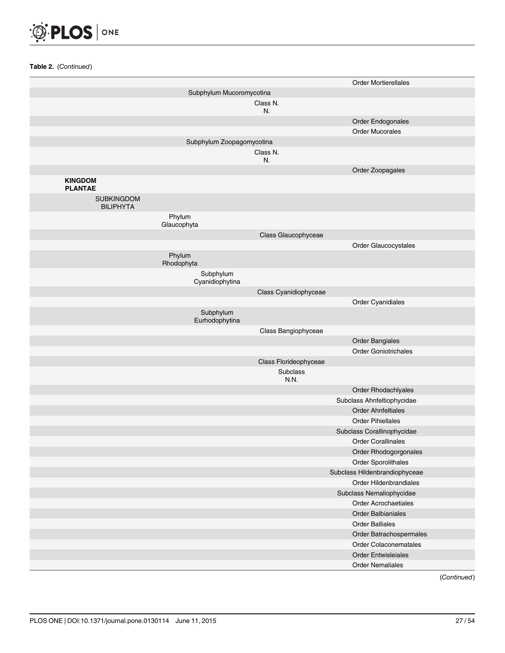

|                                       |                              |                       | <b>Order Mortierellales</b>   |
|---------------------------------------|------------------------------|-----------------------|-------------------------------|
|                                       | Subphylum Mucoromycotina     |                       |                               |
|                                       |                              | Class N.<br>N.        |                               |
|                                       |                              |                       | Order Endogonales             |
|                                       |                              |                       | <b>Order Mucorales</b>        |
|                                       | Subphylum Zoopagomycotina    |                       |                               |
|                                       |                              | Class N.<br>N.        |                               |
|                                       |                              |                       | Order Zoopagales              |
| <b>KINGDOM</b><br><b>PLANTAE</b>      |                              |                       |                               |
| <b>SUBKINGDOM</b><br><b>BILIPHYTA</b> |                              |                       |                               |
|                                       | Phylum<br>Glaucophyta        |                       |                               |
|                                       |                              | Class Glaucophyceae   |                               |
|                                       |                              |                       | Order Glaucocystales          |
|                                       | Phylum<br>Rhodophyta         |                       |                               |
|                                       | Subphylum<br>Cyanidiophytina |                       |                               |
|                                       |                              | Class Cyanidiophyceae |                               |
|                                       |                              |                       | Order Cyanidiales             |
|                                       | Subphylum<br>Eurhodophytina  |                       |                               |
|                                       |                              | Class Bangiophyceae   |                               |
|                                       |                              |                       | <b>Order Bangiales</b>        |
|                                       |                              |                       | <b>Order Goniotrichales</b>   |
|                                       |                              | Class Florideophyceae |                               |
|                                       |                              | Subclass<br>N.N.      |                               |
|                                       |                              |                       | Order Rhodachlyales           |
|                                       |                              |                       | Subclass Ahnfeltiophycidae    |
|                                       |                              |                       | <b>Order Ahnfeltiales</b>     |
|                                       |                              |                       | <b>Order Pihiellales</b>      |
|                                       |                              |                       | Subclass Corallinophycidae    |
|                                       |                              |                       | <b>Order Corallinales</b>     |
|                                       |                              |                       | Order Rhodogorgonales         |
|                                       |                              |                       | Order Sporolithales           |
|                                       |                              |                       | Subclass Hildenbrandiophyceae |
|                                       |                              |                       | Order Hildenbrandiales        |
|                                       |                              |                       | Subclass Nemaliophycidae      |
|                                       |                              |                       | <b>Order Acrochaetiales</b>   |
|                                       |                              |                       | <b>Order Balbianiales</b>     |
|                                       |                              |                       | <b>Order Balliales</b>        |
|                                       |                              |                       | Order Batrachospermales       |
|                                       |                              |                       | Order Colaconematales         |
|                                       |                              |                       | <b>Order Entwisleiales</b>    |
|                                       |                              |                       | <b>Order Nemaliales</b>       |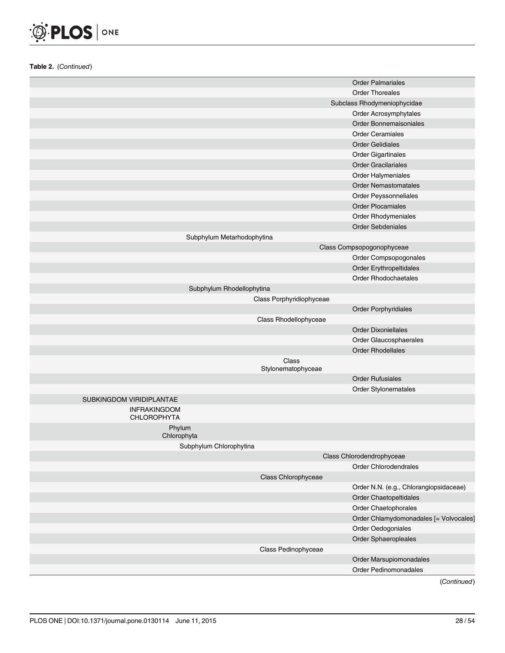## O PLOS ONE

Table 2. (Continued)

|                                           |                             | <b>Order Palmariales</b>               |
|-------------------------------------------|-----------------------------|----------------------------------------|
|                                           |                             | <b>Order Thoreales</b>                 |
|                                           |                             | Subclass Rhodymeniophycidae            |
|                                           |                             | Order Acrosymphytales                  |
|                                           |                             | <b>Order Bonnemaisoniales</b>          |
|                                           |                             | <b>Order Ceramiales</b>                |
|                                           |                             | <b>Order Gelidiales</b>                |
|                                           |                             | <b>Order Gigartinales</b>              |
|                                           |                             | <b>Order Gracilariales</b>             |
|                                           |                             | Order Halymeniales                     |
|                                           |                             | <b>Order Nemastomatales</b>            |
|                                           |                             | Order Peyssonneliales                  |
|                                           |                             | <b>Order Plocamiales</b>               |
|                                           |                             | Order Rhodymeniales                    |
|                                           |                             | <b>Order Sebdeniales</b>               |
| Subphylum Metarhodophytina                |                             |                                        |
|                                           |                             | Class Compsopogonophyceae              |
|                                           |                             | Order Compsopogonales                  |
|                                           |                             | Order Erythropeltidales                |
|                                           |                             | <b>Order Rhodochaetales</b>            |
| Subphylum Rhodellophytina                 |                             |                                        |
|                                           | Class Porphyridiophyceae    |                                        |
|                                           |                             | <b>Order Porphyridiales</b>            |
|                                           | Class Rhodellophyceae       |                                        |
|                                           |                             | <b>Order Dixoniellales</b>             |
|                                           |                             | Order Glaucosphaerales                 |
|                                           |                             | <b>Order Rhodellales</b>               |
|                                           | Class<br>Stylonematophyceae |                                        |
|                                           |                             | <b>Order Rufusiales</b>                |
|                                           |                             | Order Stylonematales                   |
| SUBKINGDOM VIRIDIPLANTAE                  |                             |                                        |
| <b>INFRAKINGDOM</b><br><b>CHLOROPHYTA</b> |                             |                                        |
| Phylum<br>Chlorophyta                     |                             |                                        |
| Subphylum Chlorophytina                   |                             |                                        |
|                                           |                             | Class Chlorodendrophyceae              |
|                                           |                             | Order Chlorodendrales                  |
|                                           | Class Chlorophyceae         |                                        |
|                                           |                             | Order N.N. (e.g., Chlorangiopsidaceae) |
|                                           |                             | Order Chaetopeltidales                 |
|                                           |                             | Order Chaetophorales                   |
|                                           |                             | Order Chlamydomonadales [= Volvocales] |
|                                           |                             | Order Oedogoniales                     |
|                                           |                             | Order Sphaeropleales                   |
|                                           | Class Pedinophyceae         |                                        |
|                                           |                             | Order Marsupiomonadales                |
|                                           |                             | Order Pedinomonadales                  |
|                                           |                             |                                        |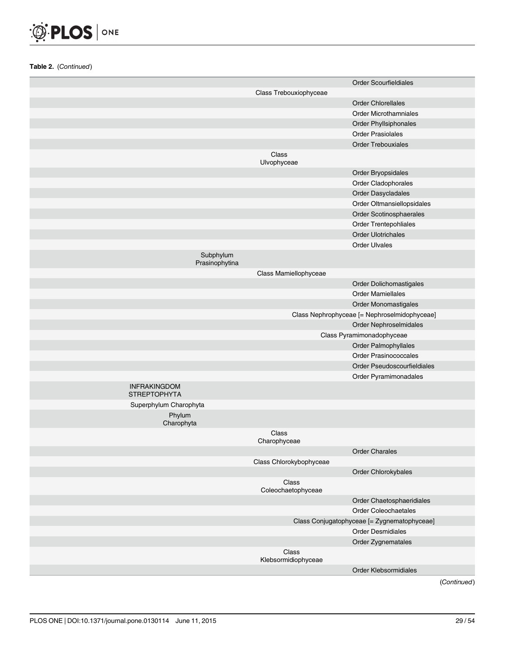

|                                            |                              | <b>Order Scourfieldiales</b>                 |
|--------------------------------------------|------------------------------|----------------------------------------------|
|                                            | Class Trebouxiophyceae       |                                              |
|                                            |                              | <b>Order Chlorellales</b>                    |
|                                            |                              | <b>Order Microthamniales</b>                 |
|                                            |                              | <b>Order Phyllsiphonales</b>                 |
|                                            |                              | <b>Order Prasiolales</b>                     |
|                                            |                              | <b>Order Trebouxiales</b>                    |
|                                            | Class                        |                                              |
|                                            | Ulvophyceae                  |                                              |
|                                            |                              | Order Bryopsidales                           |
|                                            |                              | Order Cladophorales                          |
|                                            |                              | Order Dasycladales                           |
|                                            |                              | Order Oltmansiellopsidales                   |
|                                            |                              | Order Scotinosphaerales                      |
|                                            |                              | Order Trentepohliales                        |
|                                            |                              | <b>Order Ulotrichales</b>                    |
|                                            |                              | <b>Order Ulvales</b>                         |
| Subphylum<br>Prasinophytina                |                              |                                              |
|                                            | Class Mamiellophyceae        |                                              |
|                                            |                              | Order Dolichomastigales                      |
|                                            |                              | <b>Order Mamiellales</b>                     |
|                                            |                              | Order Monomastigales                         |
|                                            |                              | Class Nephrophyceae [= Nephroselmidophyceae] |
|                                            |                              | Order Nephroselmidales                       |
|                                            |                              | Class Pyramimonadophyceae                    |
|                                            |                              | Order Palmophyllales                         |
|                                            |                              | <b>Order Prasinococcales</b>                 |
|                                            |                              | Order Pseudoscourfieldiales                  |
|                                            |                              | Order Pyramimonadales                        |
| <b>INFRAKINGDOM</b><br><b>STREPTOPHYTA</b> |                              |                                              |
| Superphylum Charophyta                     |                              |                                              |
| Phylum<br>Charophyta                       |                              |                                              |
|                                            | Class<br>Charophyceae        |                                              |
|                                            |                              | <b>Order Charales</b>                        |
|                                            | Class Chlorokybophyceae      |                                              |
|                                            |                              | Order Chlorokybales                          |
|                                            | Class                        |                                              |
|                                            | Coleochaetophyceae           |                                              |
|                                            |                              | Order Chaetosphaeridiales                    |
|                                            |                              | <b>Order Coleochaetales</b>                  |
|                                            |                              | Class Conjugatophyceae [= Zygnematophyceae]  |
|                                            |                              | <b>Order Desmidiales</b>                     |
|                                            |                              | Order Zygnematales                           |
|                                            | Class<br>Klebsormidiophyceae |                                              |
|                                            |                              | Order Klebsormidiales                        |
|                                            |                              |                                              |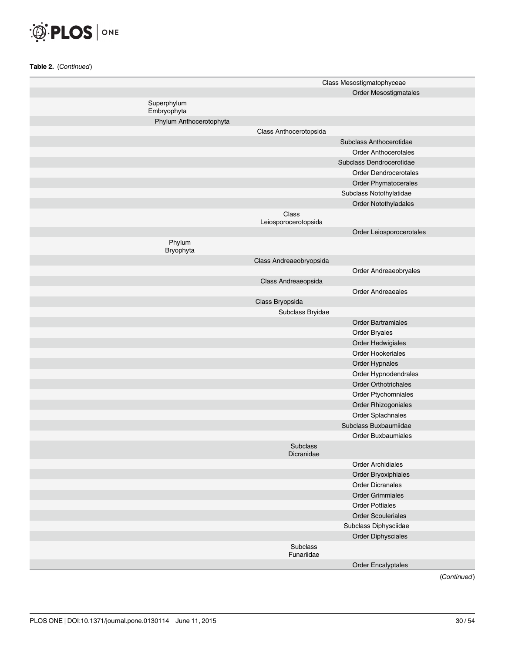

|                            |                               | Class Mesostigmatophyceae    |
|----------------------------|-------------------------------|------------------------------|
|                            |                               | Order Mesostigmatales        |
| Superphylum<br>Embryophyta |                               |                              |
| Phylum Anthocerotophyta    |                               |                              |
|                            | Class Anthocerotopsida        |                              |
|                            |                               | Subclass Anthocerotidae      |
|                            |                               | <b>Order Anthocerotales</b>  |
|                            |                               | Subclass Dendrocerotidae     |
|                            |                               | <b>Order Dendrocerotales</b> |
|                            |                               | Order Phymatocerales         |
|                            |                               | Subclass Notothylatidae      |
|                            |                               | Order Notothyladales         |
|                            | Class<br>Leiosporocerotopsida |                              |
|                            |                               | Order Leiosporocerotales     |
| Phylum<br>Bryophyta        |                               |                              |
|                            | Class Andreaeobryopsida       |                              |
|                            |                               | Order Andreaeobryales        |
|                            | Class Andreaeopsida           |                              |
|                            |                               | <b>Order Andreaeales</b>     |
|                            | Class Bryopsida               |                              |
|                            | Subclass Bryidae              |                              |
|                            |                               | <b>Order Bartramiales</b>    |
|                            |                               | Order Bryales                |
|                            |                               | Order Hedwigiales            |
|                            |                               | <b>Order Hookeriales</b>     |
|                            |                               | Order Hypnales               |
|                            |                               | Order Hypnodendrales         |
|                            |                               | <b>Order Orthotrichales</b>  |
|                            |                               | Order Ptychomniales          |
|                            |                               | Order Rhizogoniales          |
|                            |                               | Order Splachnales            |
|                            |                               | Subclass Buxbaumiidae        |
|                            |                               | <b>Order Buxbaumiales</b>    |
|                            | Subclass<br>Dicranidae        |                              |
|                            |                               | <b>Order Archidiales</b>     |
|                            |                               | Order Bryoxiphiales          |
|                            |                               | <b>Order Dicranales</b>      |
|                            |                               | <b>Order Grimmiales</b>      |
|                            |                               | <b>Order Pottiales</b>       |
|                            |                               | <b>Order Scouleriales</b>    |
|                            |                               | Subclass Diphysciidae        |
|                            |                               | <b>Order Diphysciales</b>    |
|                            | Subclass<br>Funariidae        |                              |
|                            |                               | <b>Order Encalyptales</b>    |
|                            |                               |                              |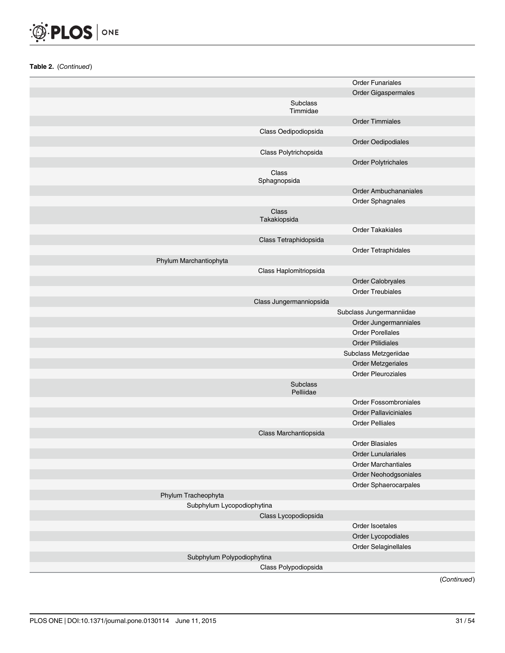

|                            |                              | <b>Order Funariales</b>      |
|----------------------------|------------------------------|------------------------------|
|                            |                              | Order Gigaspermales          |
|                            | Subclass<br>Timmidae         |                              |
|                            |                              | <b>Order Timmiales</b>       |
|                            | Class Oedipodiopsida         |                              |
|                            |                              | Order Oedipodiales           |
|                            | Class Polytrichopsida        |                              |
|                            |                              | <b>Order Polytrichales</b>   |
|                            | Class<br>Sphagnopsida        |                              |
|                            |                              | <b>Order Ambuchananiales</b> |
|                            |                              | Order Sphagnales             |
|                            | Class<br>Takakiopsida        |                              |
|                            |                              | <b>Order Takakiales</b>      |
|                            | Class Tetraphidopsida        |                              |
|                            |                              | Order Tetraphidales          |
| Phylum Marchantiophyta     |                              |                              |
|                            | Class Haplomitriopsida       |                              |
|                            |                              | Order Calobryales            |
|                            |                              | <b>Order Treubiales</b>      |
|                            | Class Jungermanniopsida      |                              |
|                            |                              | Subclass Jungermanniidae     |
|                            |                              | Order Jungermanniales        |
|                            |                              | <b>Order Porellales</b>      |
|                            |                              | <b>Order Ptilidiales</b>     |
|                            |                              | Subclass Metzgeriidae        |
|                            |                              | Order Metzgeriales           |
|                            |                              | <b>Order Pleuroziales</b>    |
|                            | <b>Subclass</b><br>Pelliidae |                              |
|                            |                              | <b>Order Fossombroniales</b> |
|                            |                              | <b>Order Pallaviciniales</b> |
|                            |                              | <b>Order Pelliales</b>       |
|                            | Class Marchantiopsida        |                              |
|                            |                              | <b>Order Blasiales</b>       |
|                            |                              | <b>Order Lunulariales</b>    |
|                            |                              | <b>Order Marchantiales</b>   |
|                            |                              | Order Neohodgsoniales        |
|                            |                              | Order Sphaerocarpales        |
| Phylum Tracheophyta        |                              |                              |
| Subphylum Lycopodiophytina |                              |                              |
|                            | Class Lycopodiopsida         |                              |
|                            |                              | Order Isoetales              |
|                            |                              | Order Lycopodiales           |
|                            |                              | Order Selaginellales         |
| Subphylum Polypodiophytina |                              |                              |
|                            | Class Polypodiopsida         |                              |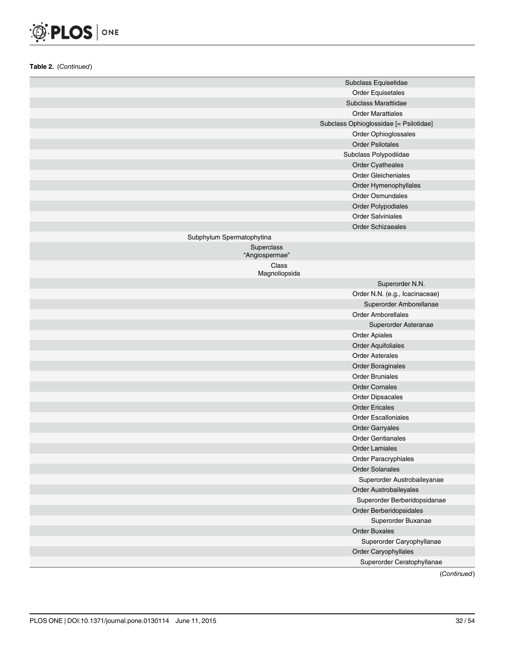## O PLOS ONE

Table 2. (Continued)

|                              | Subclass Equisetidae                   |
|------------------------------|----------------------------------------|
|                              | <b>Order Equisetales</b>               |
|                              | Subclass Marattiidae                   |
|                              | <b>Order Marattiales</b>               |
|                              | Subclass Ophioglossidae [= Psilotidae] |
|                              | Order Ophioglossales                   |
|                              | <b>Order Psilotales</b>                |
|                              | Subclass Polypodiidae                  |
|                              | Order Cyatheales                       |
|                              | <b>Order Gleicheniales</b>             |
|                              | Order Hymenophyllales                  |
|                              | <b>Order Osmundales</b>                |
|                              | Order Polypodiales                     |
|                              | <b>Order Salviniales</b>               |
|                              | <b>Order Schizaeales</b>               |
| Subphylum Spermatophytina    |                                        |
| Superclass<br>"Angiospermae" |                                        |
| Class                        |                                        |
| Magnoliopsida                |                                        |
|                              | Superorder N.N.                        |
|                              | Order N.N. (e.g., Icacinaceae)         |
|                              | Superorder Amborellanae                |
|                              | <b>Order Amborellales</b>              |
|                              | Superorder Asteranae                   |
|                              | <b>Order Apiales</b>                   |
|                              | <b>Order Aquifoliales</b>              |
|                              | <b>Order Asterales</b>                 |
|                              | <b>Order Boraginales</b>               |
|                              | <b>Order Bruniales</b>                 |
|                              | <b>Order Cornales</b>                  |
|                              | <b>Order Dipsacales</b>                |
|                              | <b>Order Ericales</b>                  |
|                              | <b>Order Escalloniales</b>             |
|                              | <b>Order Garryales</b>                 |
|                              | <b>Order Gentianales</b>               |
|                              | <b>Order Lamiales</b>                  |
|                              | Order Paracryphiales                   |
|                              | <b>Order Solanales</b>                 |
|                              | Superorder Austrobaileyanae            |
|                              | Order Austrobaileyales                 |
|                              | Superorder Berberidopsidanae           |
|                              | Order Berberidopsidales                |
|                              | Superorder Buxanae                     |
|                              | <b>Order Buxales</b>                   |
|                              | Superorder Caryophyllanae              |
|                              | Order Caryophyllales                   |
|                              | Superorder Ceratophyllanae             |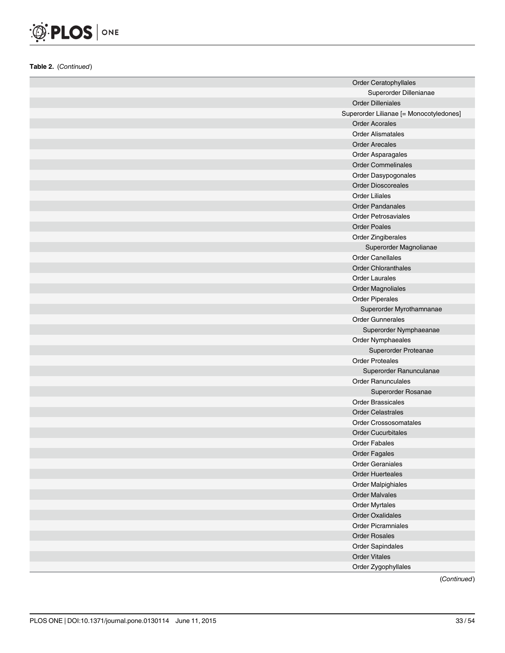

| <b>Order Ceratophyllales</b>            |
|-----------------------------------------|
| Superorder Dillenianae                  |
| <b>Order Dilleniales</b>                |
| Superorder Lilianae [= Monocotyledones] |
| <b>Order Acorales</b>                   |
| <b>Order Alismatales</b>                |
| <b>Order Arecales</b>                   |
| Order Asparagales                       |
| <b>Order Commelinales</b>               |
| Order Dasypogonales                     |
| <b>Order Dioscoreales</b>               |
| <b>Order Liliales</b>                   |
| <b>Order Pandanales</b>                 |
| <b>Order Petrosaviales</b>              |
| <b>Order Poales</b>                     |
| Order Zingiberales                      |
| Superorder Magnolianae                  |
| <b>Order Canellales</b>                 |
| <b>Order Chloranthales</b>              |
| <b>Order Laurales</b>                   |
| <b>Order Magnoliales</b>                |
| <b>Order Piperales</b>                  |
| Superorder Myrothamnanae                |
| <b>Order Gunnerales</b>                 |
| Superorder Nymphaeanae                  |
| Order Nymphaeales                       |
| Superorder Proteanae                    |
| <b>Order Proteales</b>                  |
| Superorder Ranunculanae                 |
| <b>Order Ranunculales</b>               |
| Superorder Rosanae                      |
| <b>Order Brassicales</b>                |
| <b>Order Celastrales</b>                |
| <b>Order Crossosomatales</b>            |
| <b>Order Cucurbitales</b>               |
| <b>Order Fabales</b>                    |
| <b>Order Fagales</b>                    |
| <b>Order Geraniales</b>                 |
| <b>Order Huerteales</b>                 |
| Order Malpighiales                      |
| <b>Order Malvales</b>                   |
| Order Myrtales                          |
| Order Oxalidales                        |
| <b>Order Picramniales</b>               |
| <b>Order Rosales</b>                    |
| Order Sapindales                        |
| <b>Order Vitales</b>                    |
| Order Zygophyllales                     |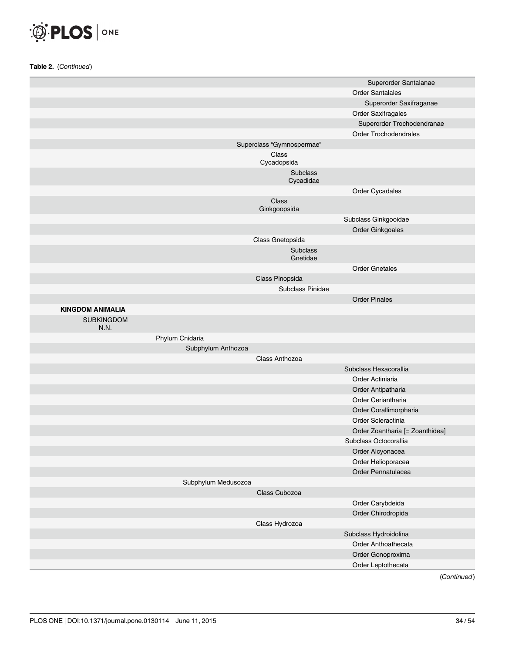

|                           |                           | Superorder Santalanae           |
|---------------------------|---------------------------|---------------------------------|
|                           |                           | <b>Order Santalales</b>         |
|                           |                           | Superorder Saxifraganae         |
|                           |                           | <b>Order Saxifragales</b>       |
|                           |                           | Superorder Trochodendranae      |
|                           |                           | <b>Order Trochodendrales</b>    |
|                           | Superclass "Gymnospermae" |                                 |
|                           | Class                     |                                 |
|                           | Cycadopsida               |                                 |
|                           | Subclass<br>Cycadidae     |                                 |
|                           |                           | Order Cycadales                 |
|                           | Class<br>Ginkgoopsida     |                                 |
|                           |                           | Subclass Ginkgooidae            |
|                           |                           | Order Ginkgoales                |
|                           | Class Gnetopsida          |                                 |
|                           | Subclass                  |                                 |
|                           | Gnetidae                  |                                 |
|                           |                           | <b>Order Gnetales</b>           |
|                           | Class Pinopsida           |                                 |
|                           | Subclass Pinidae          |                                 |
|                           |                           | <b>Order Pinales</b>            |
| <b>KINGDOM ANIMALIA</b>   |                           |                                 |
| <b>SUBKINGDOM</b><br>N.N. |                           |                                 |
| Phylum Cnidaria           |                           |                                 |
| Subphylum Anthozoa        |                           |                                 |
|                           | Class Anthozoa            |                                 |
|                           |                           | Subclass Hexacorallia           |
|                           |                           | Order Actiniaria                |
|                           |                           | Order Antipatharia              |
|                           |                           | Order Ceriantharia              |
|                           |                           | Order Corallimorpharia          |
|                           |                           | Order Scleractinia              |
|                           |                           |                                 |
|                           |                           | Order Zoantharia [= Zoanthidea] |
|                           |                           | Subclass Octocorallia           |
|                           |                           | Order Alcyonacea                |
|                           |                           | Order Helioporacea              |
|                           |                           | Order Pennatulacea              |
| Subphylum Medusozoa       |                           |                                 |
|                           | Class Cubozoa             |                                 |
|                           |                           | Order Carybdeida                |
|                           |                           | Order Chirodropida              |
|                           | Class Hydrozoa            |                                 |
|                           |                           | Subclass Hydroidolina           |
|                           |                           | Order Anthoathecata             |
|                           |                           | Order Gonoproxima               |
|                           |                           | Order Leptothecata              |
|                           |                           | (Confini and)                   |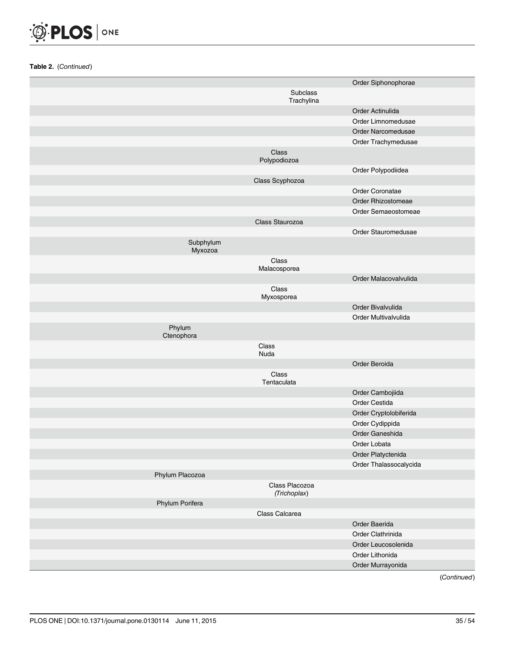

|                      |                                | Order Siphonophorae    |
|----------------------|--------------------------------|------------------------|
|                      | Subclass                       |                        |
|                      | Trachylina                     |                        |
|                      |                                | Order Actinulida       |
|                      |                                | Order Limnomedusae     |
|                      |                                | Order Narcomedusae     |
|                      |                                | Order Trachymedusae    |
|                      | Class<br>Polypodiozoa          |                        |
|                      |                                | Order Polypodiidea     |
|                      | Class Scyphozoa                |                        |
|                      |                                | Order Coronatae        |
|                      |                                | Order Rhizostomeae     |
|                      |                                | Order Semaeostomeae    |
|                      | Class Staurozoa                |                        |
|                      |                                | Order Stauromedusae    |
| Subphylum<br>Myxozoa |                                |                        |
|                      | Class<br>Malacosporea          |                        |
|                      |                                | Order Malacovalvulida  |
|                      | Class                          |                        |
|                      | Myxosporea                     |                        |
|                      |                                | Order Bivalvulida      |
|                      |                                | Order Multivalvulida   |
| Phylum<br>Ctenophora |                                |                        |
|                      | Class<br>Nuda                  |                        |
|                      |                                | Order Beroida          |
|                      | Class<br>Tentaculata           |                        |
|                      |                                | Order Cambojiida       |
|                      |                                | Order Cestida          |
|                      |                                | Order Cryptolobiferida |
|                      |                                | Order Cydippida        |
|                      |                                | Order Ganeshida        |
|                      |                                | Order Lobata           |
|                      |                                | Order Platyctenida     |
|                      |                                | Order Thalassocalycida |
| Phylum Placozoa      |                                |                        |
|                      | Class Placozoa<br>(Trichoplax) |                        |
| Phylum Porifera      |                                |                        |
|                      | Class Calcarea                 |                        |
|                      |                                | Order Baerida          |
|                      |                                | Order Clathrinida      |
|                      |                                | Order Leucosolenida    |
|                      |                                | Order Lithonida        |
|                      |                                | Order Murrayonida      |
|                      |                                |                        |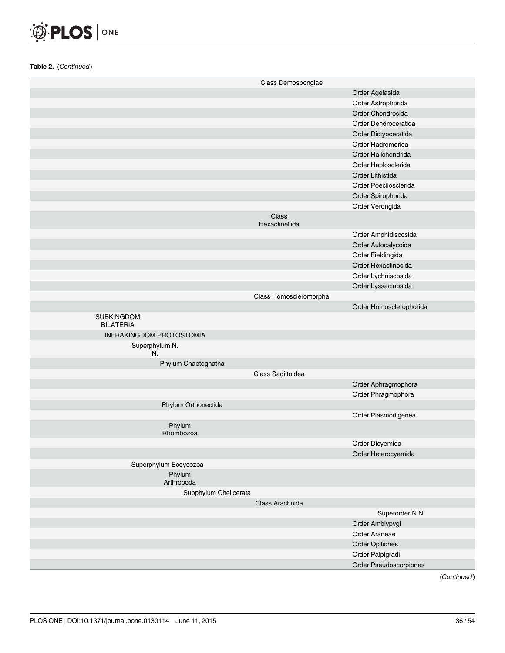

|                                       | Class Demospongiae      |                         |
|---------------------------------------|-------------------------|-------------------------|
|                                       |                         | Order Agelasida         |
|                                       |                         | Order Astrophorida      |
|                                       |                         | Order Chondrosida       |
|                                       |                         | Order Dendroceratida    |
|                                       |                         | Order Dictyoceratida    |
|                                       |                         | Order Hadromerida       |
|                                       |                         | Order Halichondrida     |
|                                       |                         | Order Haplosclerida     |
|                                       |                         | Order Lithistida        |
|                                       |                         | Order Poecilosclerida   |
|                                       |                         | Order Spirophorida      |
|                                       |                         | Order Verongida         |
|                                       | Class<br>Hexactinellida |                         |
|                                       |                         | Order Amphidiscosida    |
|                                       |                         | Order Aulocalycoida     |
|                                       |                         | Order Fieldingida       |
|                                       |                         | Order Hexactinosida     |
|                                       |                         | Order Lychniscosida     |
|                                       |                         | Order Lyssacinosida     |
|                                       | Class Homoscleromorpha  |                         |
|                                       |                         | Order Homosclerophorida |
| <b>SUBKINGDOM</b><br><b>BILATERIA</b> |                         |                         |
| <b>INFRAKINGDOM PROTOSTOMIA</b>       |                         |                         |
| Superphylum N.<br>N.                  |                         |                         |
| Phylum Chaetognatha                   |                         |                         |
|                                       | Class Sagittoidea       |                         |
|                                       |                         | Order Aphragmophora     |
|                                       |                         | Order Phragmophora      |
| Phylum Orthonectida                   |                         |                         |
|                                       |                         | Order Plasmodigenea     |
| Phylum<br>Rhombozoa                   |                         |                         |
|                                       |                         | Order Dicyemida         |
|                                       |                         | Order Heterocyemida     |
| Superphylum Ecdysozoa                 |                         |                         |
| Phylum<br>Arthropoda                  |                         |                         |
| Subphylum Chelicerata                 |                         |                         |
|                                       | Class Arachnida         |                         |
|                                       |                         | Superorder N.N.         |
|                                       |                         | Order Amblypygi         |
|                                       |                         | Order Araneae           |
|                                       |                         | Order Opiliones         |
|                                       |                         | Order Palpigradi        |
|                                       |                         | Order Pseudoscorpiones  |
|                                       |                         |                         |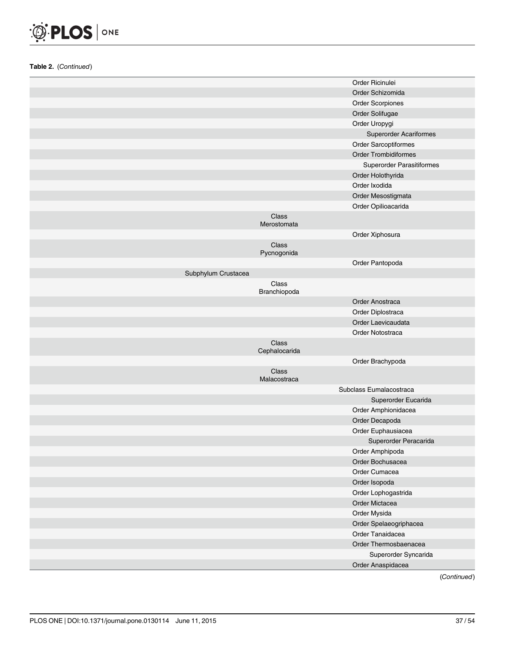

|                     |                        | Order Ricinulei               |
|---------------------|------------------------|-------------------------------|
|                     |                        | Order Schizomida              |
|                     |                        | <b>Order Scorpiones</b>       |
|                     |                        | Order Solifugae               |
|                     |                        | Order Uropygi                 |
|                     |                        | <b>Superorder Acariformes</b> |
|                     |                        | Order Sarcoptiformes          |
|                     |                        | Order Trombidiformes          |
|                     |                        | Superorder Parasitiformes     |
|                     |                        | Order Holothyrida             |
|                     |                        | Order Ixodida                 |
|                     |                        | Order Mesostigmata            |
|                     |                        | Order Opilioacarida           |
|                     | Class<br>Merostomata   |                               |
|                     |                        | Order Xiphosura               |
|                     | Class<br>Pycnogonida   |                               |
|                     |                        | Order Pantopoda               |
| Subphylum Crustacea |                        |                               |
|                     | Class                  |                               |
|                     | Branchiopoda           |                               |
|                     |                        | Order Anostraca               |
|                     |                        | Order Diplostraca             |
|                     |                        | Order Laevicaudata            |
|                     |                        | Order Notostraca              |
|                     | Class<br>Cephalocarida |                               |
|                     |                        | Order Brachypoda              |
|                     | Class<br>Malacostraca  |                               |
|                     |                        | Subclass Eumalacostraca       |
|                     |                        | Superorder Eucarida           |
|                     |                        | Order Amphionidacea           |
|                     |                        | Order Decapoda                |
|                     |                        | Order Euphausiacea            |
|                     |                        | Superorder Peracarida         |
|                     |                        | Order Amphipoda               |
|                     |                        | Order Bochusacea              |
|                     |                        | Order Cumacea                 |
|                     |                        | Order Isopoda                 |
|                     |                        | Order Lophogastrida           |
|                     |                        | Order Mictacea                |
|                     |                        | Order Mysida                  |
|                     |                        | Order Spelaeogriphacea        |
|                     |                        | Order Tanaidacea              |
|                     |                        | Order Thermosbaenacea         |
|                     |                        | Superorder Syncarida          |
|                     |                        | Order Anaspidacea             |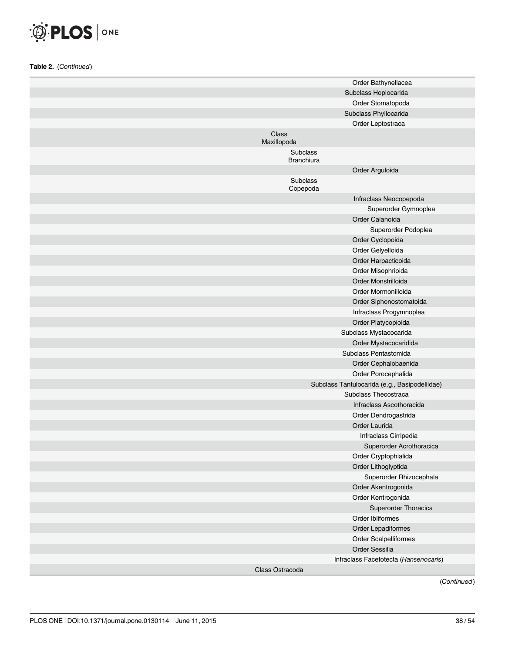

| Order Bathynellacea                           |
|-----------------------------------------------|
| Subclass Hoplocarida                          |
| Order Stomatopoda                             |
| Subclass Phyllocarida                         |
| Order Leptostraca                             |
| Class                                         |
| Maxillopoda                                   |
| Subclass<br><b>Branchiura</b>                 |
| Order Arguloida                               |
| Subclass<br>Copepoda                          |
| Infraclass Neocopepoda                        |
| Superorder Gymnoplea                          |
| Order Calanoida                               |
| Superorder Podoplea                           |
| Order Cyclopoida                              |
| Order Gelyelloida                             |
| Order Harpacticoida                           |
| Order Misophrioida                            |
| Order Monstrilloida                           |
| Order Mormonilloida                           |
| Order Siphonostomatoida                       |
| Infraclass Progymnoplea                       |
| Order Platycopioida                           |
| Subclass Mystacocarida                        |
| Order Mystacocaridida                         |
| Subclass Pentastomida                         |
| Order Cephalobaenida                          |
| Order Porocephalida                           |
| Subclass Tantulocarida (e.g., Basipodellidae) |
| Subclass Thecostraca                          |
| Infraclass Ascothoracida                      |
| Order Dendrogastrida                          |
| Order Laurida                                 |
| Infraclass Cirripedia                         |
| Superorder Acrothoracica                      |
| Order Cryptophialida                          |
| Order Lithoglyptida                           |
| Superorder Rhizocephala                       |
| Order Akentrogonida                           |
| Order Kentrogonida                            |
| Superorder Thoracica                          |
| Order Ibliformes                              |
| Order Lepadiformes                            |
| Order Scalpelliformes                         |
| Order Sessilia                                |
| Infraclass Facetotecta (Hansenocaris)         |
| Class Ostracoda                               |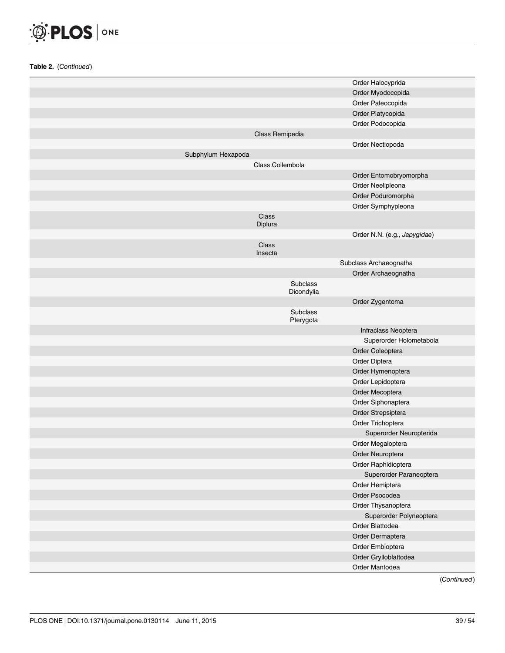

|                    |                        | Order Halocyprida            |
|--------------------|------------------------|------------------------------|
|                    |                        | Order Myodocopida            |
|                    |                        | Order Paleocopida            |
|                    |                        | Order Platycopida            |
|                    |                        | Order Podocopida             |
|                    |                        |                              |
|                    | Class Remipedia        |                              |
|                    |                        | Order Nectiopoda             |
| Subphylum Hexapoda |                        |                              |
|                    | Class Collembola       |                              |
|                    |                        | Order Entomobryomorpha       |
|                    |                        | Order Neelipleona            |
|                    |                        | Order Poduromorpha           |
|                    |                        | Order Symphypleona           |
|                    | Class<br>Diplura       |                              |
|                    |                        | Order N.N. (e.g., Japygidae) |
|                    | Class<br>Insecta       |                              |
|                    |                        | Subclass Archaeognatha       |
|                    |                        | Order Archaeognatha          |
|                    | Subclass<br>Dicondylia |                              |
|                    |                        | Order Zygentoma              |
|                    | Subclass<br>Pterygota  |                              |
|                    |                        | Infraclass Neoptera          |
|                    |                        | Superorder Holometabola      |
|                    |                        | Order Coleoptera             |
|                    |                        | Order Diptera                |
|                    |                        | Order Hymenoptera            |
|                    |                        | Order Lepidoptera            |
|                    |                        | Order Mecoptera              |
|                    |                        | Order Siphonaptera           |
|                    |                        | Order Strepsiptera           |
|                    |                        | Order Trichoptera            |
|                    |                        |                              |
|                    |                        | Superorder Neuropterida      |
|                    |                        | Order Megaloptera            |
|                    |                        | Order Neuroptera             |
|                    |                        | Order Raphidioptera          |
|                    |                        | Superorder Paraneoptera      |
|                    |                        | Order Hemiptera              |
|                    |                        | Order Psocodea               |
|                    |                        | Order Thysanoptera           |
|                    |                        | Superorder Polyneoptera      |
|                    |                        | Order Blattodea              |
|                    |                        | Order Dermaptera             |
|                    |                        | Order Embioptera             |
|                    |                        | Order Grylloblattodea        |
|                    |                        | Order Mantodea               |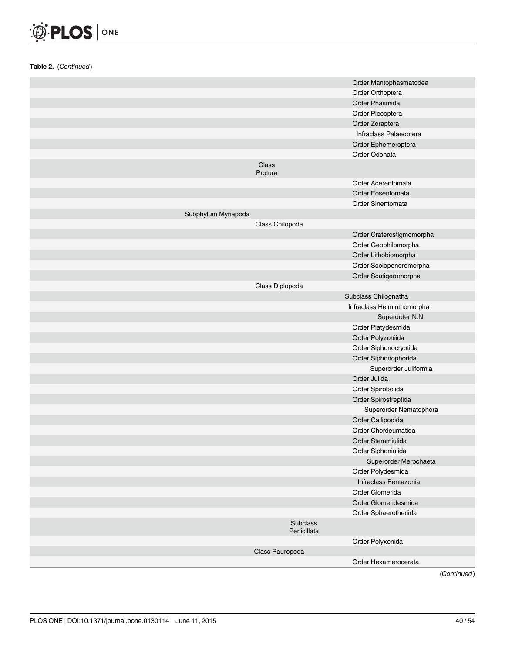

|                     |                         | Order Mantophasmatodea     |
|---------------------|-------------------------|----------------------------|
|                     |                         | Order Orthoptera           |
|                     |                         | Order Phasmida             |
|                     |                         | Order Plecoptera           |
|                     |                         | Order Zoraptera            |
|                     |                         | Infraclass Palaeoptera     |
|                     |                         | Order Ephemeroptera        |
|                     |                         | Order Odonata              |
|                     | Class<br>Protura        |                            |
|                     |                         | Order Acerentomata         |
|                     |                         | Order Eosentomata          |
|                     |                         | Order Sinentomata          |
| Subphylum Myriapoda |                         |                            |
|                     | Class Chilopoda         |                            |
|                     |                         | Order Craterostigmomorpha  |
|                     |                         | Order Geophilomorpha       |
|                     |                         | Order Lithobiomorpha       |
|                     |                         | Order Scolopendromorpha    |
|                     |                         | Order Scutigeromorpha      |
|                     | Class Diplopoda         |                            |
|                     |                         | Subclass Chilognatha       |
|                     |                         | Infraclass Helminthomorpha |
|                     |                         | Superorder N.N.            |
|                     |                         | Order Platydesmida         |
|                     |                         | Order Polyzoniida          |
|                     |                         | Order Siphonocryptida      |
|                     |                         | Order Siphonophorida       |
|                     |                         | Superorder Juliformia      |
|                     |                         | Order Julida               |
|                     |                         | Order Spirobolida          |
|                     |                         | Order Spirostreptida       |
|                     |                         | Superorder Nematophora     |
|                     |                         | Order Callipodida          |
|                     |                         | Order Chordeumatida        |
|                     |                         | Order Stemmiulida          |
|                     |                         | Order Siphoniulida         |
|                     |                         | Superorder Merochaeta      |
|                     |                         | Order Polydesmida          |
|                     |                         | Infraclass Pentazonia      |
|                     |                         | Order Glomerida            |
|                     |                         | Order Glomeridesmida       |
|                     |                         | Order Sphaerotheriida      |
|                     | Subclass<br>Penicillata |                            |
|                     |                         | Order Polyxenida           |
|                     | Class Pauropoda         |                            |
|                     |                         | Order Hexamerocerata       |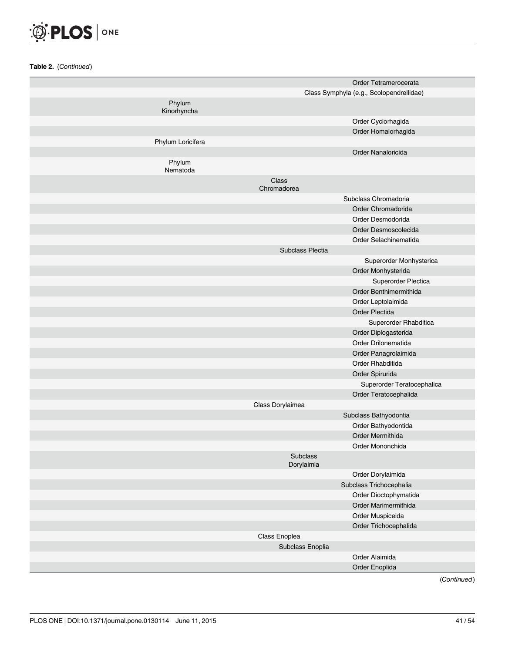

|                       |                        | Order Tetramerocerata                    |
|-----------------------|------------------------|------------------------------------------|
|                       |                        | Class Symphyla (e.g., Scolopendrellidae) |
| Phylum<br>Kinorhyncha |                        |                                          |
|                       |                        | Order Cyclorhagida                       |
|                       |                        | Order Homalorhagida                      |
| Phylum Loricifera     |                        |                                          |
|                       |                        | Order Nanaloricida                       |
| Phylum<br>Nematoda    |                        |                                          |
|                       | Class<br>Chromadorea   |                                          |
|                       |                        | Subclass Chromadoria                     |
|                       |                        | Order Chromadorida                       |
|                       |                        | Order Desmodorida                        |
|                       |                        | Order Desmoscolecida                     |
|                       |                        | Order Selachinematida                    |
|                       | Subclass Plectia       |                                          |
|                       |                        | Superorder Monhysterica                  |
|                       |                        | Order Monhysterida                       |
|                       |                        | Superorder Plectica                      |
|                       |                        | Order Benthimermithida                   |
|                       |                        | Order Leptolaimida                       |
|                       |                        | Order Plectida                           |
|                       |                        | Superorder Rhabditica                    |
|                       |                        | Order Diplogasterida                     |
|                       |                        | Order Drilonematida                      |
|                       |                        | Order Panagrolaimida                     |
|                       |                        | Order Rhabditida                         |
|                       |                        | Order Spirurida                          |
|                       |                        | Superorder Teratocephalica               |
|                       |                        | Order Teratocephalida                    |
|                       | Class Dorylaimea       |                                          |
|                       |                        | Subclass Bathyodontia                    |
|                       |                        | Order Bathyodontida                      |
|                       |                        | Order Mermithida                         |
|                       |                        | Order Mononchida                         |
|                       | Subclass<br>Dorylaimia |                                          |
|                       |                        | Order Dorylaimida                        |
|                       |                        | Subclass Trichocephalia                  |
|                       |                        | Order Dioctophymatida                    |
|                       |                        | Order Marimermithida                     |
|                       |                        | Order Muspiceida                         |
|                       |                        | Order Trichocephalida                    |
|                       | Class Enoplea          |                                          |
|                       | Subclass Enoplia       |                                          |
|                       |                        | Order Alaimida                           |
|                       |                        | Order Enoplida                           |
|                       |                        |                                          |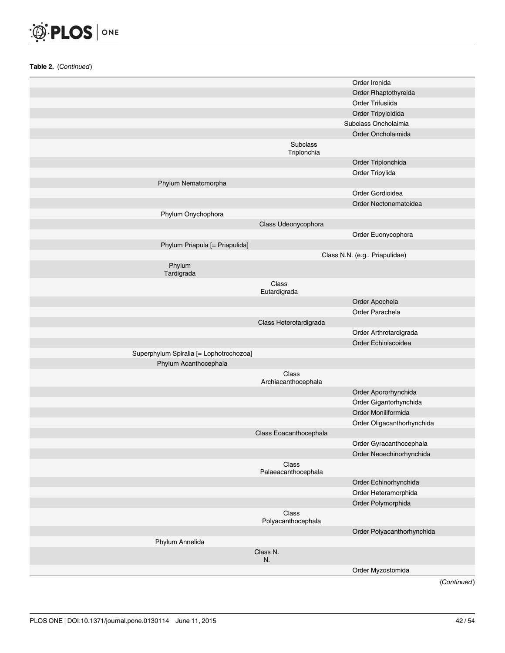

|                                         |                              | Order Ironida                  |
|-----------------------------------------|------------------------------|--------------------------------|
|                                         |                              | Order Rhaptothyreida           |
|                                         |                              | Order Trifusiida               |
|                                         |                              | Order Tripyloidida             |
|                                         |                              | Subclass Oncholaimia           |
|                                         |                              | Order Oncholaimida             |
|                                         | Subclass<br>Triplonchia      |                                |
|                                         |                              | Order Triplonchida             |
|                                         |                              | Order Tripylida                |
| Phylum Nematomorpha                     |                              |                                |
|                                         |                              | Order Gordioidea               |
|                                         |                              | Order Nectonematoidea          |
| Phylum Onychophora                      |                              |                                |
|                                         | Class Udeonycophora          |                                |
|                                         |                              | Order Euonycophora             |
| Phylum Priapula [= Priapulida]          |                              |                                |
|                                         |                              | Class N.N. (e.g., Priapulidae) |
| Phylum<br>Tardigrada                    |                              |                                |
|                                         | Class                        |                                |
|                                         | Eutardigrada                 |                                |
|                                         |                              | Order Apochela                 |
|                                         |                              | Order Parachela                |
|                                         | Class Heterotardigrada       |                                |
|                                         |                              | Order Arthrotardigrada         |
|                                         |                              | Order Echiniscoidea            |
| Superphylum Spiralia [= Lophotrochozoa] |                              |                                |
| Phylum Acanthocephala                   |                              |                                |
|                                         | Class<br>Archiacanthocephala |                                |
|                                         |                              | Order Apororhynchida           |
|                                         |                              | Order Gigantorhynchida         |
|                                         |                              | Order Moniliformida            |
|                                         |                              | Order Oligacanthorhynchida     |
|                                         | Class Eoacanthocephala       |                                |
|                                         |                              | Order Gyracanthocephala        |
|                                         |                              | Order Neoechinorhynchida       |
|                                         | Class<br>Palaeacanthocephala |                                |
|                                         |                              | Order Echinorhynchida          |
|                                         |                              | Order Heteramorphida           |
|                                         |                              | Order Polymorphida             |
|                                         | Class<br>Polyacanthocephala  |                                |
|                                         |                              | Order Polyacanthorhynchida     |
| Phylum Annelida                         |                              |                                |
|                                         | Class N.<br>N.               |                                |
|                                         |                              | Order Myzostomida              |
|                                         |                              |                                |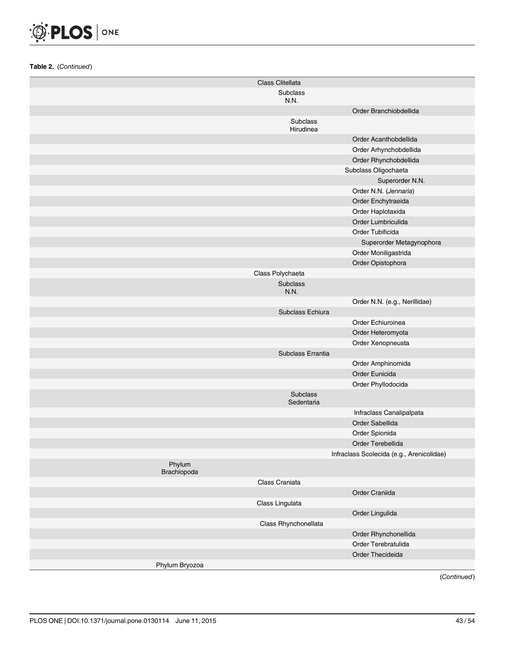

|                       | Class Clitellata        |                                           |
|-----------------------|-------------------------|-------------------------------------------|
|                       | Subclass                |                                           |
|                       | N.N.                    |                                           |
|                       |                         | Order Branchiobdellida                    |
|                       | Subclass<br>Hirudinea   |                                           |
|                       |                         | Order Acanthobdellida                     |
|                       |                         | Order Arhynchobdellida                    |
|                       |                         | Order Rhynchobdellida                     |
|                       |                         | Subclass Oligochaeta                      |
|                       |                         | Superorder N.N.                           |
|                       |                         | Order N.N. (Jennaria)                     |
|                       |                         | Order Enchytraeida                        |
|                       |                         | Order Haplotaxida                         |
|                       |                         | Order Lumbriculida                        |
|                       |                         | Order Tubificida                          |
|                       |                         | Superorder Metagynophora                  |
|                       |                         | Order Moniligastrida                      |
|                       |                         | Order Opistophora                         |
|                       | Class Polychaeta        |                                           |
|                       | <b>Subclass</b><br>N.N. |                                           |
|                       |                         | Order N.N. (e.g., Nerillidae)             |
|                       | Subclass Echiura        |                                           |
|                       |                         | Order Echiuroinea                         |
|                       |                         | Order Heteromyota                         |
|                       |                         | Order Xenopneusta                         |
|                       | Subclass Errantia       |                                           |
|                       |                         | Order Amphinomida                         |
|                       |                         | Order Eunicida                            |
|                       |                         | Order Phyllodocida                        |
|                       | Subclass<br>Sedentaria  |                                           |
|                       |                         | Infraclass Canalipalpata                  |
|                       |                         | Order Sabellida                           |
|                       |                         | Order Spionida                            |
|                       |                         | Order Terebellida                         |
|                       |                         | Infraclass Scolecida (e.g., Arenicolidae) |
| Phylum<br>Brachiopoda |                         |                                           |
|                       | Class Craniata          |                                           |
|                       |                         | Order Craniida                            |
|                       | Class Lingulata         |                                           |
|                       |                         | Order Lingulida                           |
|                       | Class Rhynchonellata    |                                           |
|                       |                         | Order Rhynchonellida                      |
|                       |                         | Order Terebratulida                       |
|                       |                         | Order Thecideida                          |
| Phylum Bryozoa        |                         |                                           |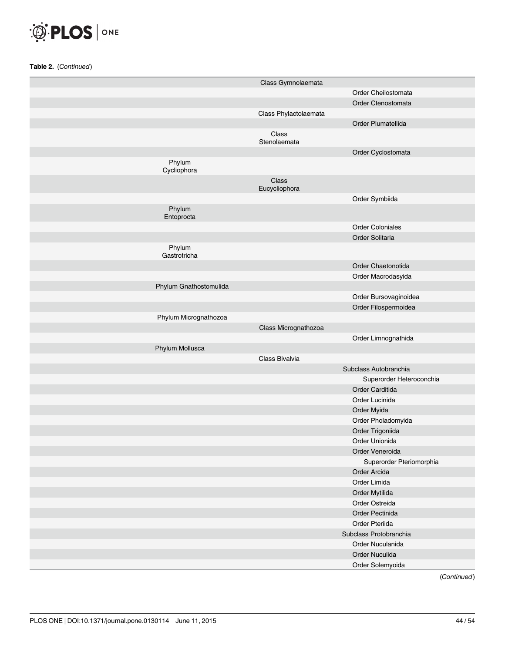

|                        | Class Gymnolaemata     |                          |
|------------------------|------------------------|--------------------------|
|                        |                        | Order Cheilostomata      |
|                        |                        | Order Ctenostomata       |
|                        | Class Phylactolaemata  |                          |
|                        |                        | Order Plumatellida       |
|                        | Class                  |                          |
|                        | Stenolaemata           |                          |
|                        |                        | Order Cyclostomata       |
| Phylum<br>Cycliophora  |                        |                          |
|                        | Class<br>Eucycliophora |                          |
|                        |                        | Order Symbiida           |
| Phylum<br>Entoprocta   |                        |                          |
|                        |                        | <b>Order Coloniales</b>  |
|                        |                        | Order Solitaria          |
| Phylum<br>Gastrotricha |                        |                          |
|                        |                        | Order Chaetonotida       |
|                        |                        | Order Macrodasyida       |
| Phylum Gnathostomulida |                        |                          |
|                        |                        | Order Bursovaginoidea    |
|                        |                        | Order Filospermoidea     |
| Phylum Micrognathozoa  |                        |                          |
|                        | Class Micrognathozoa   |                          |
|                        |                        | Order Limnognathida      |
| Phylum Mollusca        |                        |                          |
|                        | Class Bivalvia         |                          |
|                        |                        | Subclass Autobranchia    |
|                        |                        | Superorder Heteroconchia |
|                        |                        | Order Carditida          |
|                        |                        | Order Lucinida           |
|                        |                        | Order Myida              |
|                        |                        | Order Pholadomyida       |
|                        |                        | Order Trigoniida         |
|                        |                        | Order Unionida           |
|                        |                        | Order Veneroida          |
|                        |                        | Superorder Pteriomorphia |
|                        |                        | Order Arcida             |
|                        |                        | Order Limida             |
|                        |                        | Order Mytilida           |
|                        |                        | Order Ostreida           |
|                        |                        | Order Pectinida          |
|                        |                        | Order Pteriida           |
|                        |                        | Subclass Protobranchia   |
|                        |                        | Order Nuculanida         |
|                        |                        | Order Nuculida           |
|                        |                        | Order Solemyoida         |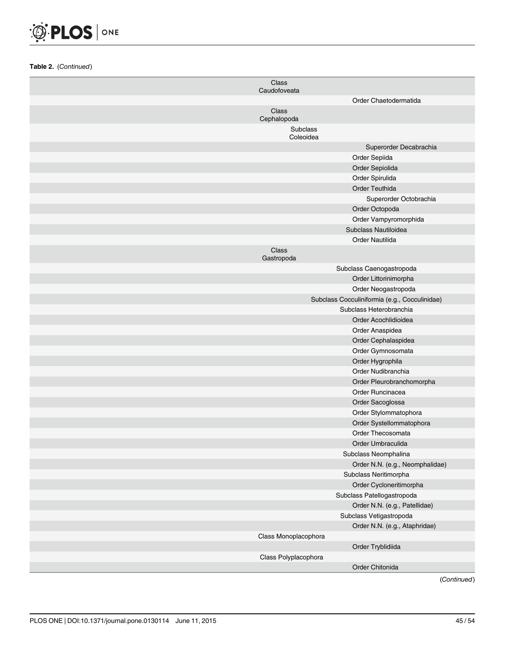

| Class<br>Caudofoveata                                    |
|----------------------------------------------------------|
| Order Chaetodermatida                                    |
| Class<br>Cephalopoda                                     |
| Subclass<br>Coleoidea                                    |
| Superorder Decabrachia                                   |
| Order Sepiida                                            |
| Order Sepiolida                                          |
| Order Spirulida                                          |
| Order Teuthida                                           |
| Superorder Octobrachia                                   |
| Order Octopoda                                           |
| Order Vampyromorphida                                    |
| Subclass Nautiloidea                                     |
| Order Nautilida                                          |
| Class<br>Gastropoda                                      |
| Subclass Caenogastropoda                                 |
| Order Littorinimorpha                                    |
| Order Neogastropoda                                      |
| Subclass Cocculiniformia (e.g., Cocculinidae)            |
| Subclass Heterobranchia                                  |
| Order Acochlidioidea                                     |
| Order Anaspidea                                          |
| Order Cephalaspidea                                      |
| Order Gymnosomata                                        |
| Order Hygrophila                                         |
| Order Nudibranchia                                       |
| Order Pleurobranchomorpha                                |
| Order Runcinacea                                         |
| Order Sacoglossa                                         |
| Order Stylommatophora                                    |
| Order Systellommatophora                                 |
| Order Thecosomata                                        |
| Order Umbraculida                                        |
| Subclass Neomphalina                                     |
| Order N.N. (e.g., Neomphalidae)                          |
| Subclass Neritimorpha                                    |
| Order Cycloneritimorpha<br>Subclass Patellogastropoda    |
|                                                          |
| Order N.N. (e.g., Patellidae)<br>Subclass Vetigastropoda |
| Order N.N. (e.g., Ataphridae)                            |
| Class Monoplacophora                                     |
| Order Tryblidiida                                        |
| Class Polyplacophora                                     |
| Order Chitonida                                          |
|                                                          |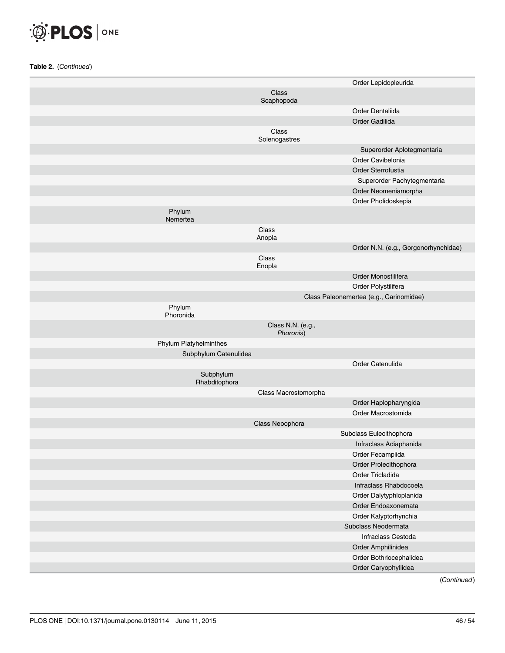

|                            |                                | Order Lepidopleurida                    |
|----------------------------|--------------------------------|-----------------------------------------|
|                            | Class<br>Scaphopoda            |                                         |
|                            |                                | Order Dentaliida                        |
|                            |                                | Order Gadilida                          |
|                            | Class                          |                                         |
|                            | Solenogastres                  |                                         |
|                            |                                | Superorder Aplotegmentaria              |
|                            |                                | Order Cavibelonia                       |
|                            |                                | Order Sterrofustia                      |
|                            |                                | Superorder Pachytegmentaria             |
|                            |                                | Order Neomeniamorpha                    |
|                            |                                | Order Pholidoskepia                     |
| Phylum<br>Nemertea         |                                |                                         |
|                            | Class<br>Anopla                |                                         |
|                            |                                | Order N.N. (e.g., Gorgonorhynchidae)    |
|                            | Class<br>Enopla                |                                         |
|                            |                                | Order Monostilifera                     |
|                            |                                | Order Polystilifera                     |
|                            |                                | Class Paleonemertea (e.g., Carinomidae) |
| Phylum<br>Phoronida        |                                |                                         |
|                            | Class N.N. (e.g.,<br>Phoronis) |                                         |
| Phylum Platyhelminthes     |                                |                                         |
| Subphylum Catenulidea      |                                |                                         |
|                            |                                | Order Catenulida                        |
| Subphylum<br>Rhabditophora |                                |                                         |
|                            | Class Macrostomorpha           |                                         |
|                            |                                | Order Haplopharyngida                   |
|                            |                                | Order Macrostomida                      |
|                            | Class Neoophora                |                                         |
|                            |                                | Subclass Eulecithophora                 |
|                            |                                | Infraclass Adiaphanida                  |
|                            |                                | Order Fecampiida                        |
|                            |                                | Order Prolecithophora                   |
|                            |                                | Order Tricladida                        |
|                            |                                | Infraclass Rhabdocoela                  |
|                            |                                | Order Dalytyphloplanida                 |
|                            |                                | Order Endoaxonemata                     |
|                            |                                | Order Kalyptorhynchia                   |
|                            |                                | Subclass Neodermata                     |
|                            |                                | Infraclass Cestoda                      |
|                            |                                | Order Amphilinidea                      |
|                            |                                | Order Bothriocephalidea                 |
|                            |                                | Order Caryophyllidea                    |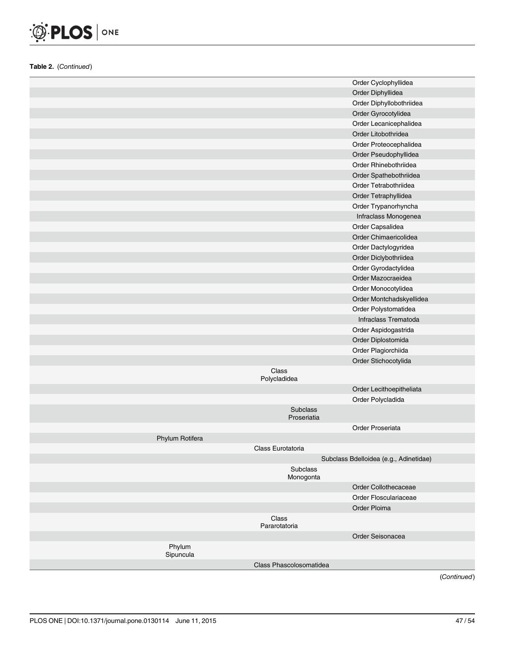

|                     |                         | Order Cyclophyllidea                   |
|---------------------|-------------------------|----------------------------------------|
|                     |                         | Order Diphyllidea                      |
|                     |                         | Order Diphyllobothriidea               |
|                     |                         | Order Gyrocotylidea                    |
|                     |                         | Order Lecanicephalidea                 |
|                     |                         | Order Litobothridea                    |
|                     |                         | Order Proteocephalidea                 |
|                     |                         | Order Pseudophyllidea                  |
|                     |                         | Order Rhinebothriidea                  |
|                     |                         | Order Spathebothriidea                 |
|                     |                         | Order Tetrabothriidea                  |
|                     |                         | Order Tetraphyllidea                   |
|                     |                         | Order Trypanorhyncha                   |
|                     |                         | Infraclass Monogenea                   |
|                     |                         | Order Capsalidea                       |
|                     |                         | Order Chimaericolidea                  |
|                     |                         | Order Dactylogyridea                   |
|                     |                         | Order Diclybothriidea                  |
|                     |                         | Order Gyrodactylidea                   |
|                     |                         | Order Mazocraeidea                     |
|                     |                         | Order Monocotylidea                    |
|                     |                         | Order Montchadskyellidea               |
|                     |                         | Order Polystomatidea                   |
|                     |                         | Infraclass Trematoda                   |
|                     |                         | Order Aspidogastrida                   |
|                     |                         | Order Diplostomida                     |
|                     |                         | Order Plagiorchiida                    |
|                     |                         | Order Stichocotylida                   |
|                     | Class                   |                                        |
|                     | Polycladidea            |                                        |
|                     |                         | Order Lecithoepitheliata               |
|                     |                         | Order Polycladida                      |
|                     | Subclass<br>Proseriatia |                                        |
|                     |                         | Order Proseriata                       |
| Phylum Rotifera     |                         |                                        |
|                     | Class Eurotatoria       |                                        |
|                     |                         | Subclass Bdelloidea (e.g., Adinetidae) |
|                     | Subclass<br>Monogonta   |                                        |
|                     |                         | Order Collothecaceae                   |
|                     |                         | Order Flosculariaceae                  |
|                     |                         | Order Ploima                           |
|                     | Class<br>Pararotatoria  |                                        |
|                     |                         | Order Seisonacea                       |
| Phylum<br>Sipuncula |                         |                                        |
|                     | Class Phascolosomatidea |                                        |
|                     |                         |                                        |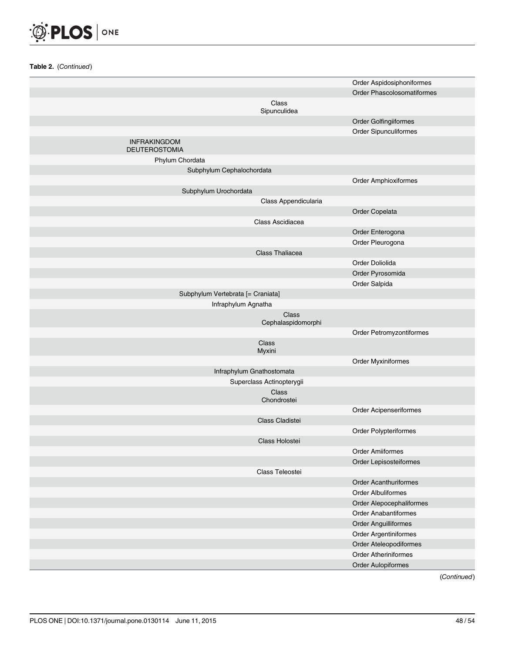

|                                             | Order Aspidosiphoniformes     |
|---------------------------------------------|-------------------------------|
|                                             | Order Phascolosomatiformes    |
| Class<br>Sipunculidea                       |                               |
|                                             | Order Golfingiiformes         |
|                                             | Order Sipunculiformes         |
| <b>INFRAKINGDOM</b><br><b>DEUTEROSTOMIA</b> |                               |
| Phylum Chordata                             |                               |
| Subphylum Cephalochordata                   |                               |
|                                             | Order Amphioxiformes          |
| Subphylum Urochordata                       |                               |
|                                             | Class Appendicularia          |
|                                             | Order Copelata                |
| Class Ascidiacea                            |                               |
|                                             | Order Enterogona              |
|                                             | Order Pleurogona              |
| Class Thaliacea                             |                               |
|                                             |                               |
|                                             | Order Doliolida               |
|                                             | Order Pyrosomida              |
|                                             | Order Salpida                 |
| Subphylum Vertebrata [= Craniata]           |                               |
| Infraphylum Agnatha                         |                               |
|                                             | Class<br>Cephalaspidomorphi   |
|                                             | Order Petromyzontiformes      |
| Class<br>Myxini                             |                               |
|                                             | Order Myxiniformes            |
| Infraphylum Gnathostomata                   |                               |
| Superclass Actinopterygii                   |                               |
| Class<br>Chondrostei                        |                               |
|                                             | <b>Order Acipenseriformes</b> |
| Class Cladistei                             |                               |
|                                             | Order Polypteriformes         |
| Class Holostei                              |                               |
|                                             | <b>Order Amiiformes</b>       |
|                                             | Order Lepisosteiformes        |
| Class Teleostei                             |                               |
|                                             | Order Acanthuriformes         |
|                                             | Order Albuliformes            |
|                                             | Order Alepocephaliformes      |
|                                             | <b>Order Anabantiformes</b>   |
|                                             | Order Anguilliformes          |
|                                             | Order Argentiniformes         |
|                                             | Order Ateleopodiformes        |
|                                             | <b>Order Atheriniformes</b>   |
|                                             |                               |
|                                             | <b>Order Aulopiformes</b>     |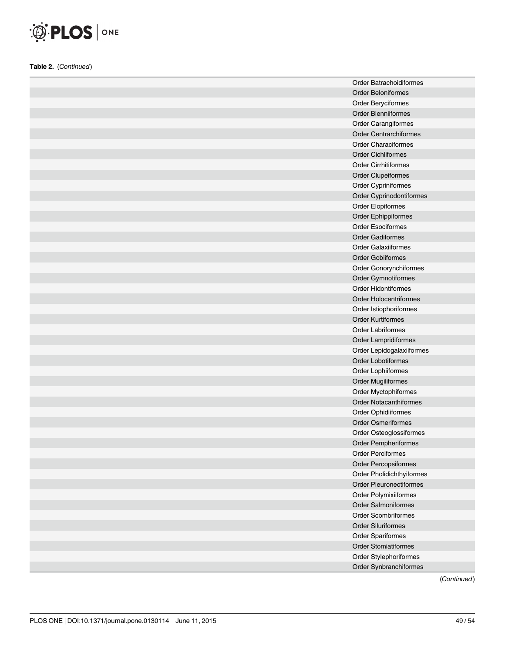

| <b>Order Batrachoidiformes</b> |
|--------------------------------|
| <b>Order Beloniformes</b>      |
| Order Beryciformes             |
| Order Blenniiformes            |
| Order Carangiformes            |
| <b>Order Centrarchiformes</b>  |
| <b>Order Characiformes</b>     |
| Order Cichliformes             |
| Order Cirrhitiformes           |
| Order Clupeiformes             |
| Order Cypriniformes            |
| Order Cyprinodontiformes       |
| Order Elopiformes              |
| Order Ephippiformes            |
| <b>Order Esociformes</b>       |
| <b>Order Gadiformes</b>        |
| <b>Order Galaxiiformes</b>     |
| <b>Order Gobiiformes</b>       |
| Order Gonorynchiformes         |
| Order Gymnotiformes            |
| <b>Order Hidontiformes</b>     |
| <b>Order Holocentriformes</b>  |
| Order Istiophoriformes         |
| <b>Order Kurtiformes</b>       |
| <b>Order Labriformes</b>       |
| Order Lampridiformes           |
| Order Lepidogalaxiiformes      |
| Order Lobotiformes             |
| Order Lophiiformes             |
| <b>Order Mugiliformes</b>      |
| Order Myctophiformes           |
| <b>Order Notacanthiformes</b>  |
| Order Ophidiiformes            |
| <b>Order Osmeriformes</b>      |
| Order Osteoglossiformes        |
| Order Pempheriformes           |
| Order Perciformes              |
| Order Percopsiformes           |
| Order Pholidichthyiformes      |
| Order Pleuronectiformes        |
| Order Polymixiiformes          |
| Order Salmoniformes            |
| <b>Order Scombriformes</b>     |
| <b>Order Siluriformes</b>      |
| Order Spariformes              |
| <b>Order Stomiatiformes</b>    |
| Order Stylephoriformes         |
| Order Synbranchiformes         |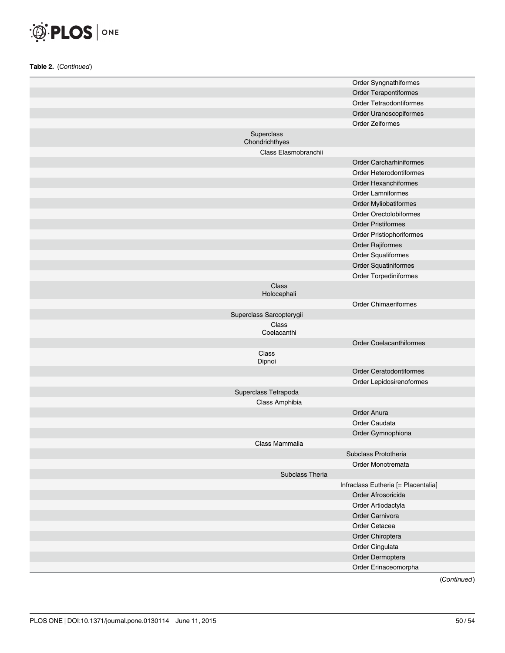

|                              | Order Syngnathiformes               |
|------------------------------|-------------------------------------|
|                              | Order Terapontiformes               |
|                              | Order Tetraodontiformes             |
|                              | Order Uranoscopiformes              |
|                              | Order Zeiformes                     |
| Superclass<br>Chondrichthyes |                                     |
| Class Elasmobranchii         |                                     |
|                              | <b>Order Carcharhiniformes</b>      |
|                              | Order Heterodontiformes             |
|                              | <b>Order Hexanchiformes</b>         |
|                              | <b>Order Lamniformes</b>            |
|                              | Order Myliobatiformes               |
|                              | Order Orectolobiformes              |
|                              | <b>Order Pristiformes</b>           |
|                              | Order Pristiophoriformes            |
|                              | Order Rajiformes                    |
|                              | Order Squaliformes                  |
|                              | Order Squatiniformes                |
|                              | Order Torpediniformes               |
| Class<br>Holocephali         |                                     |
|                              | <b>Order Chimaeriformes</b>         |
| Superclass Sarcopterygii     |                                     |
| Class<br>Coelacanthi         |                                     |
|                              | <b>Order Coelacanthiformes</b>      |
| Class<br>Dipnoi              |                                     |
|                              | <b>Order Ceratodontiformes</b>      |
|                              | Order Lepidosirenoformes            |
| Superclass Tetrapoda         |                                     |
| Class Amphibia               |                                     |
|                              | Order Anura                         |
|                              | Order Caudata                       |
|                              | Order Gymnophiona                   |
| Class Mammalia               |                                     |
|                              | Subclass Prototheria                |
|                              | Order Monotremata                   |
| Subclass Theria              |                                     |
|                              | Infraclass Eutheria [= Placentalia] |
|                              | Order Afrosoricida                  |
|                              | Order Artiodactyla                  |
|                              | Order Carnivora<br>Order Cetacea    |
|                              |                                     |
|                              | Order Chiroptera<br>Order Cingulata |
|                              | Order Dermoptera                    |
|                              |                                     |
|                              | Order Erinaceomorpha                |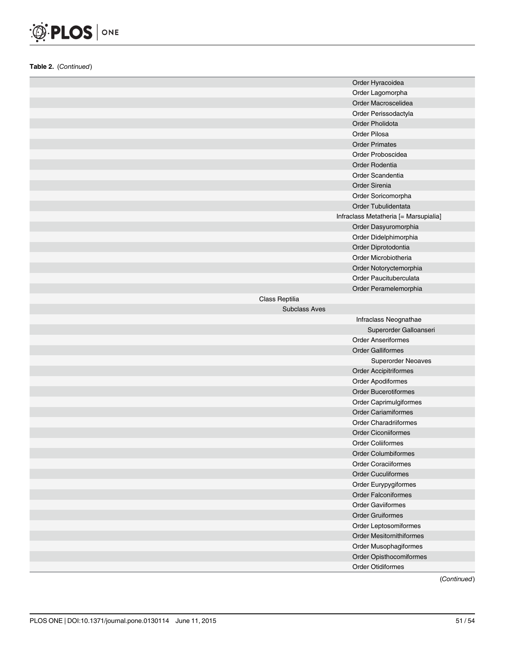

|                      | Order Hyracoidea                      |
|----------------------|---------------------------------------|
|                      | Order Lagomorpha                      |
|                      | Order Macroscelidea                   |
|                      | Order Perissodactyla                  |
|                      | Order Pholidota                       |
|                      | Order Pilosa                          |
|                      | <b>Order Primates</b>                 |
|                      | Order Proboscidea                     |
|                      | Order Rodentia                        |
|                      | Order Scandentia                      |
|                      | <b>Order Sirenia</b>                  |
|                      | Order Soricomorpha                    |
|                      | Order Tubulidentata                   |
|                      | Infraclass Metatheria [= Marsupialia] |
|                      | Order Dasyuromorphia                  |
|                      | Order Didelphimorphia                 |
|                      | Order Diprotodontia                   |
|                      | Order Microbiotheria                  |
|                      | Order Notoryctemorphia                |
|                      | Order Paucituberculata                |
|                      | Order Peramelemorphia                 |
| Class Reptilia       |                                       |
| <b>Subclass Aves</b> |                                       |
|                      | Infraclass Neognathae                 |
|                      |                                       |
|                      | Superorder Galloanseri                |
|                      | <b>Order Anseriformes</b>             |
|                      | <b>Order Galliformes</b>              |
|                      | Superorder Neoaves                    |
|                      | <b>Order Accipitriformes</b>          |
|                      | Order Apodiformes                     |
|                      | <b>Order Bucerotiformes</b>           |
|                      | Order Caprimulgiformes                |
|                      | <b>Order Cariamiformes</b>            |
|                      | <b>Order Charadriiformes</b>          |
|                      | <b>Order Ciconiiformes</b>            |
|                      | <b>Order Coliiformes</b>              |
|                      | Order Columbiformes                   |
|                      | <b>Order Coraciiformes</b>            |
|                      | <b>Order Cuculiformes</b>             |
|                      | Order Eurypygiformes                  |
|                      | <b>Order Falconiformes</b>            |
|                      | <b>Order Gaviiformes</b>              |
|                      | <b>Order Gruiformes</b>               |
|                      | Order Leptosomiformes                 |
|                      | <b>Order Mesitornithiformes</b>       |
|                      | Order Musophagiformes                 |
|                      | Order Opisthocomiformes               |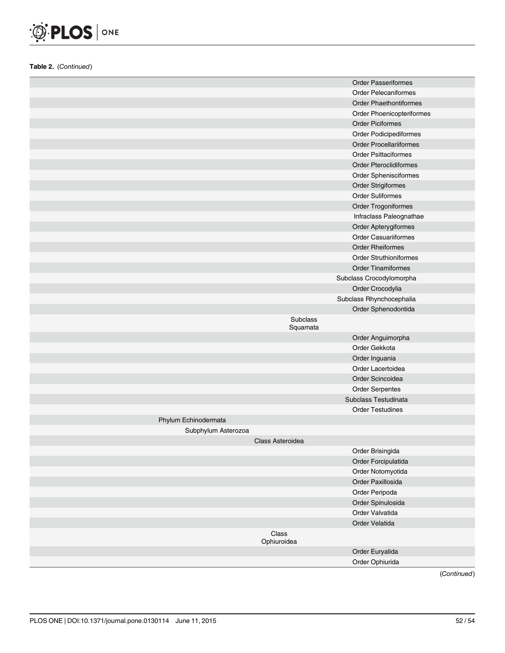

|                      |                  | <b>Order Passeriformes</b>     |
|----------------------|------------------|--------------------------------|
|                      |                  | <b>Order Pelecaniformes</b>    |
|                      |                  | <b>Order Phaethontiformes</b>  |
|                      |                  | Order Phoenicopteriformes      |
|                      |                  | <b>Order Piciformes</b>        |
|                      |                  | <b>Order Podicipediformes</b>  |
|                      |                  | <b>Order Procellariiformes</b> |
|                      |                  | <b>Order Psittaciformes</b>    |
|                      |                  | <b>Order Pteroclidiformes</b>  |
|                      |                  | Order Sphenisciformes          |
|                      |                  | <b>Order Strigiformes</b>      |
|                      |                  | <b>Order Suliformes</b>        |
|                      |                  | Order Trogoniformes            |
|                      |                  | Infraclass Paleognathae        |
|                      |                  | Order Apterygiformes           |
|                      |                  | <b>Order Casuariiformes</b>    |
|                      |                  | <b>Order Rheiformes</b>        |
|                      |                  | <b>Order Struthioniformes</b>  |
|                      |                  | <b>Order Tinamiformes</b>      |
|                      |                  | Subclass Crocodylomorpha       |
|                      |                  | Order Crocodylia               |
|                      |                  | Subclass Rhynchocephalia       |
|                      |                  | Order Sphenodontida            |
|                      | Subclass         |                                |
|                      | Squamata         |                                |
|                      |                  | Order Anguimorpha              |
|                      |                  | Order Gekkota                  |
|                      |                  | Order Inguania                 |
|                      |                  | Order Lacertoidea              |
|                      |                  | Order Scincoidea               |
|                      |                  | <b>Order Serpentes</b>         |
|                      |                  | Subclass Testudinata           |
|                      |                  | <b>Order Testudines</b>        |
| Phylum Echinodermata |                  |                                |
| Subphylum Asterozoa  |                  |                                |
|                      | Class Asteroidea |                                |
|                      |                  | Order Brisingida               |
|                      |                  | Order Forcipulatida            |
|                      |                  | Order Notomyotida              |
|                      |                  | Order Paxillosida              |
|                      |                  | Order Peripoda                 |
|                      |                  | Order Spinulosida              |
|                      |                  | Order Valvatida                |
|                      |                  | Order Velatida                 |
|                      | Class            |                                |
|                      | Ophiuroidea      |                                |
|                      |                  | Order Euryalida                |
|                      |                  | Order Ophiurida                |
|                      |                  |                                |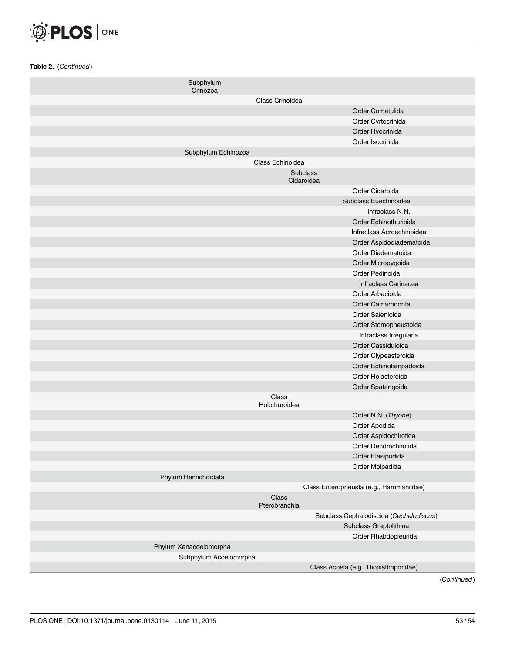

| Subphylum<br>Crinozoa  |                                           |
|------------------------|-------------------------------------------|
|                        | Class Crinoidea                           |
|                        | Order Comatulida                          |
|                        | Order Cyrtocrinida                        |
|                        | Order Hyocrinida                          |
|                        | Order Isocrinida                          |
| Subphylum Echinozoa    |                                           |
|                        | Class Echinoidea                          |
|                        | Subclass<br>Cidaroidea                    |
|                        | Order Cidaroida                           |
|                        | Subclass Euechinoidea                     |
|                        | Infraclass N.N.                           |
|                        | Order Echinothurioida                     |
|                        | Infraclass Acroechinoidea                 |
|                        | Order Aspidodiadematoida                  |
|                        | Order Diadematoida                        |
|                        | Order Micropygoida                        |
|                        | Order Pedinoida                           |
|                        | Infraclass Carinacea                      |
|                        | Order Arbacioida                          |
|                        | Order Camarodonta                         |
|                        | Order Salenioida                          |
|                        | Order Stomopneustoida                     |
|                        | Infraclass Irregularia                    |
|                        | Order Cassiduloida                        |
|                        | Order Clypeasteroida                      |
|                        | Order Echinolampadoida                    |
|                        | Order Holasteroida                        |
|                        | Order Spatangoida                         |
|                        | Class<br>Holothuroidea                    |
|                        | Order N.N. (Thyone)                       |
|                        | Order Apodida                             |
|                        | Order Aspidochirotida                     |
|                        | Order Dendrochirotida                     |
|                        | Order Elasipodida                         |
|                        | Order Molpadida                           |
| Phylum Hemichordata    |                                           |
|                        | Class Enteropneusta (e.g., Harrimaniidae) |
|                        | Class<br>Pterobranchia                    |
|                        | Subclass Cephalodiscida (Cephalodiscus)   |
|                        | Subclass Graptolithina                    |
| Phylum Xenacoelomorpha | Order Rhabdopleurida                      |
| Subphylum Acoelomorpha |                                           |
|                        | Class Acoela (e.g., Diopisthoporidae)     |